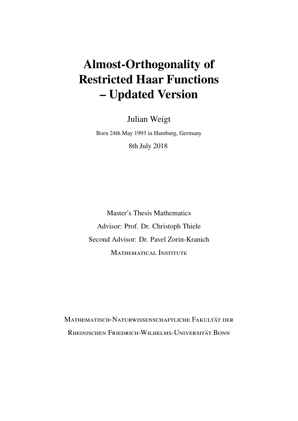# **Almost-Orthogonality of Restricted Haar Functions – Updated Version**

Julian Weigt

Born 24th May 1993 in Hamburg, Germany 8th July 2018

Master's Thesis Mathematics Advisor: Prof. Dr. Christoph Thiele Second Advisor: Dr. Pavel Zorin-Kranich Mathematical Institute

Mathematisch-Naturwissenschaftliche Fakultät der Rheinischen Friedrich-Wilhelms-Universität Bonn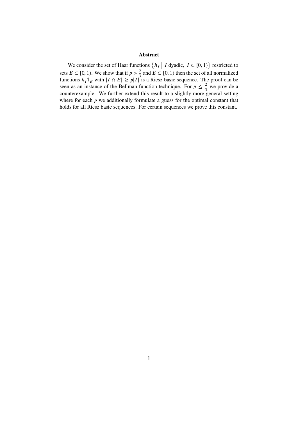#### **Abstract**

We consider the set of Haar functions  $\{h_I \mid I \text{ dyadic}, I \subset [0,1)\}$  restricted to sets  $E \subset [0, 1)$ . We show that if  $p > \frac{2}{3}$  and  $E \subset [0, 1)$  then the set of all normalized functions  $h_I \mathbb{1}_E$  with  $|I \cap E| \geq p|I|$  is a Riesz basic sequence. The proof can be seen as an instance of the Bellman function technique. For  $p \leq \frac{2}{3}$  we provide a counterexample. We further extend this result to a slightly more general setting where for each  $p$  we additionally formulate a guess for the optimal constant that holds for all Riesz basic sequences. For certain sequences we prove this constant.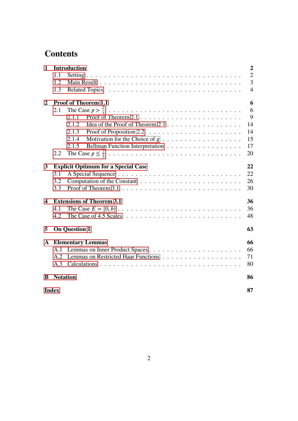# **Contents**

| $\mathbf{1}$            | <b>Introduction</b>         |                                                                                                  |                |
|-------------------------|-----------------------------|--------------------------------------------------------------------------------------------------|----------------|
|                         | 1.1                         |                                                                                                  | $\overline{2}$ |
|                         | 1.2                         |                                                                                                  | 3              |
|                         | 1.3                         |                                                                                                  | $\overline{4}$ |
| $\overline{2}$          | <b>Proof of Theorem 1.1</b> |                                                                                                  |                |
|                         | 2.1                         |                                                                                                  | 6              |
|                         |                             | 2.1.1                                                                                            | 9              |
|                         |                             | 2.1.2                                                                                            | 14             |
|                         |                             | 2.1.3                                                                                            | 14             |
|                         |                             | 2.1.4<br>Motivation for the Choice of $g \dots \dots \dots \dots \dots \dots$                    | 15             |
|                         |                             | Bellman Function Interpretation<br>2.1.5                                                         | 17             |
|                         | 2.2                         |                                                                                                  | 20             |
| 3                       |                             | <b>Explicit Optimum for a Special Case</b>                                                       | 22             |
|                         | 3.1                         |                                                                                                  | 22             |
|                         | 3.2                         |                                                                                                  | 26             |
|                         | 3.3                         |                                                                                                  | 30             |
| $\overline{\mathbf{4}}$ |                             | <b>Extensions of Theorem 3.1</b>                                                                 | 36             |
|                         | 4.1                         |                                                                                                  | 36             |
|                         | 4.2                         | The Case of $4.5$ Scales $\ldots \ldots \ldots \ldots \ldots \ldots \ldots \ldots \ldots \ldots$ | 48             |
| 5                       |                             | <b>On Question 1</b>                                                                             | 63             |
| $\mathbf{A}$            |                             | <b>Elementary Lemmas</b>                                                                         | 66             |
|                         | A.1                         |                                                                                                  | 66             |
|                         | A.2                         |                                                                                                  | 71             |
|                         | A.3                         |                                                                                                  | 80             |
| B                       | <b>Notation</b>             |                                                                                                  | 86             |
|                         | <b>Index</b>                |                                                                                                  |                |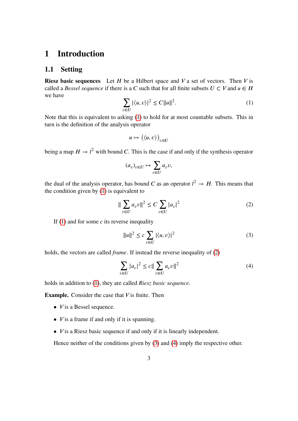# <span id="page-4-0"></span>**1 Introduction**

## <span id="page-4-1"></span>**1.1 Setting**

**Riesz basic sequences** Let  $H$  be a Hilbert space and  $V$  a set of vectors. Then  $V$  is called a *Bessel sequence* if there is a C such that for all finite subsets  $U \subset V$  and  $u \in H$ we have

<span id="page-4-2"></span>
$$
\sum_{v \in U} |\langle u, v \rangle|^2 \le C ||u||^2. \tag{1}
$$

Note that this is equivalent to asking [\(1\)](#page-4-2) to hold for at most countable subsets. This in turn is the definition of the analysis operator

$$
u \mapsto (\langle u, v \rangle)_{v \in U}
$$

being a map  $H \to l^2$  with bound C. This is the case if and only if the synthesis operator

$$
(a_v)_{v \in U} \mapsto \sum_{v \in U} a_v v,
$$

the dual of the analysis operator, has bound C as an operator  $l^2 \rightarrow H$ . This means that the condition given by  $(1)$  is equivalent to

<span id="page-4-3"></span>
$$
\|\sum_{v\in U} a_v v\|^2 \le C \sum_{v\in U} |a_v|^2 \tag{2}
$$

If  $(1)$  and for some c its reverse inequality

<span id="page-4-4"></span>
$$
||u||^2 \le c \sum_{v \in U} |\langle u, v \rangle|^2 \tag{3}
$$

holds, the vectors are called *frame*. If instead the reverse inequality of [\(2\)](#page-4-3)

<span id="page-4-5"></span>
$$
\sum_{v \in U} |a_v|^2 \le c \| \sum_{v \in U} a_v v \|^2 \tag{4}
$$

holds in addition to [\(1\)](#page-4-2), they are called *Riesz basic sequence*.

**Example.** Consider the case that  $V$  is finite. Then

- $V$  is a Bessel sequence.
- $V$  is a frame if and only if it is spanning.
- $V$  is a Riesz basic sequence if and only if it is linearly independent.

Hence neither of the conditions given by [\(3\)](#page-4-4) and [\(4\)](#page-4-5) imply the respective other.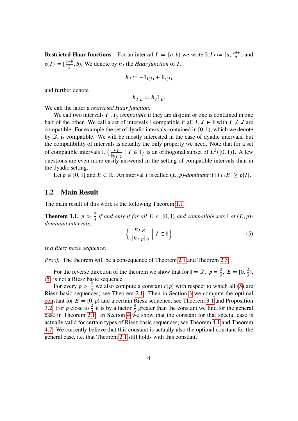**Restricted Haar functions** For an interval  $I := [a, b)$  we write  $I(I) := [a, \frac{a+b}{2})$  and  $\mathfrak{r}(I) \coloneqq \left[\frac{a+b}{2}, b\right)$ . We denote by  $h_I$  the *Haar function* of *I*,

$$
h_I := -\mathbb{1}_{\mathfrak{l}(I)} + \mathbb{1}_{\mathfrak{r}(I)}
$$

and further denote

$$
h_{I,E} := h_I \mathbb{1}_E.
$$

We call the latter a *restricted Haar function*.

We call two intervals  $I_1$ ,  $I_2$  *compatible* if they are disjoint or one is contained in one half of the other. We call a set of intervals  $\mathbb I$  compatible if all  $I, J \in \mathbb I$  with  $I \neq J$  are compatible. For example the set of dyadic intervals contained in [0, 1), which we denote by  $\mathcal{D}$ , is compatible. We will be mostly interested in the case of dyadic intervals, but the compatibility of intervals is actually the only property we need. Note that for a set of compatible intervals  $\mathbb{I}$ ,  $\left\{\frac{h_I}{\|\mathbf{h}_I\|}\right\}$  $\frac{h_I}{\|h_I\|_2}$  |  $I \in \mathbb{I}$ } is an orthogonal subset of  $L^2([0, 1))$ . A few questions are even more easily answered in the setting of compatible intervals than in the dyadic setting.

Let  $p \in [0, 1]$  and  $E \subset \mathbb{R}$ . An interval *I* is called  $(E, p)$ -dominant if  $|I \cap E| \geq p|I|$ .

### <span id="page-5-0"></span>**1.2 Main Result**

The main result of this work is the following Theorem [1.1.](#page-5-1)

<span id="page-5-1"></span>**Theorem 1.1.**  $p > \frac{2}{3}$  if and only if for all  $E \subset [0, 1)$  and compatible sets  $\mathbb{I}$  of  $(E, p)$ *dominant intervals,*

<span id="page-5-2"></span>
$$
\left\{ \frac{h_{I,E}}{\|h_{I,E}\|_2} \mid I \in \mathbb{I} \right\}
$$
\n<sup>(5)</sup>

*is a Riesz basic sequence.*

*Proof.* The theorem will be a consequence of Theorem [2.1](#page-9-0) and Theorem [2.3.](#page-22-1)  $\Box$ 

For the reverse direction of the theorem we show that for  $\mathbb{I} = \mathcal{D}$ ,  $p = \frac{2}{3}$ ,  $E = [0, \frac{2}{3})$ , [\(5\)](#page-5-2) is not a Riesz basic sequence.

For every  $p > \frac{2}{3}$  we also compute a constant  $c(p)$  with respect to which all [\(5\)](#page-5-2) are Riesz basic sequences; see Theorem [2.1.](#page-9-0) Then in Section [3](#page-24-0) we compute the optimal constant for  $E = [0, p)$  and a certain Riesz sequence; see Theorem [3.1](#page-25-0) and Proposition [3.2.](#page-28-1) For p close to  $\frac{2}{3}$  it is by a factor  $\frac{8}{3}$  greater than the constant we find for the general case in Theorem [2.1.](#page-9-0) In Section [4](#page-38-0) we show that the constant for that special case is actually valid for certain types of Riesz basic sequences; see Theorem [4.1](#page-38-2) and Theorem [4.7.](#page-50-1) We currently believe that this constant is actually also the optimal constant for the general case, i.e. that Theorem [2.1](#page-9-0) still holds with this constant.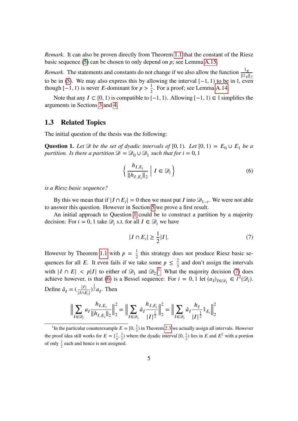*Remark.* It can also be proven directly from Theorem [1.1](#page-5-1) that the constant of the Riesz basic sequence  $(5)$  can be chosen to only depend on  $p$ ; see Lemma [A.15.](#page-77-0)

*Remark.* The statements and constants do not change if we also allow the function  $\frac{1_E}{\|1_E\|_2}$ to be in [\(5\)](#page-5-2). We may also express this by allowing the interval  $[-1, 1)$  to be in  $\mathbb{I}$ , even though [-1, 1) is never *E*-dominant for  $p > \frac{1}{2}$ . For a proof; see Lemma [A.14.](#page-76-0)

Note that any  $I \subset [0, 1)$  is compatible to  $[-1, 1)$ . Allowing  $[-1, 1) \in \mathbb{I}$  simplifies the arguments in Sections [3](#page-24-0) and [4.](#page-38-0)

### <span id="page-6-0"></span>**1.3 Related Topics**

The initial question of the thesis was the following:

<span id="page-6-1"></span>**Question 1.** Let  $\mathcal{D}$  be the set of dyadic intervals of [0, 1). Let [0, 1) =  $E_0 \cup E_1$  be a partition. Is there a partition  $\mathscr{D} = \mathscr{D}_0 \cup \mathscr{D}_1$  such that for  $i = 0, 1$ 

<span id="page-6-4"></span>
$$
\left\{ \frac{h_{I,E_i}}{\|h_{I,E_i}\|_2} \; \middle| \; I \in \mathcal{D}_i \right\} \tag{6}
$$

*is a Riesz basic sequence?*

By this we mean that if  $|I \cap E_i| = 0$  then we must put I into  $\mathcal{D}_{1-i}$ . We were not able to answer this question. However in Section [5](#page-65-0) we prove a first result.

An initial approach to Question [1](#page-6-1) could be to construct a partition by a majority decision: For  $i = 0, 1$  take  $\mathcal{D}_i$  s.t. for all  $I \in \mathcal{D}_i$  we have

<span id="page-6-3"></span>
$$
|I \cap E_i| \ge \frac{1}{2}|I|.\tag{7}
$$

However by Theorem [1.1](#page-5-1) with  $p = \frac{1}{2}$  $\frac{1}{2}$  this strategy does not produce Riesz basic sequences for all E. It even fails if we take some  $p \leq \frac{2}{3}$  and don't assign the intervals with  $|I \cap E| < p|I|$  to either of  $\mathcal{D}_1$  $\mathcal{D}_1$  and  $\mathcal{D}_2$ .<sup>1</sup> What the majority decision [\(7\)](#page-6-3) does achieve however, is that [\(6\)](#page-6-4) is a Bessel sequence: For  $i = 0, 1$  let  $(a_I)_{I \in \mathcal{D}_i} \in l^2(\mathcal{D}_i)$ . Define  $\tilde{a}_I = \left(\frac{|I|}{|I \cap E_i|}\right)^{\frac{1}{2}} a_I$ . Then

$$
\Big\| \sum_{I \in \mathcal{D}_i} a_I \frac{h_{I, E_i}}{\|h_{I, E_i}\|_2} \Big\|_2^2 = \Big\| \sum_{I \in \mathcal{D}_i} \tilde{a}_I \frac{h_{I, E_i}}{|I|^{\frac{1}{2}}} \Big\|_2^2 = \Big\| \sum_{I \in \mathcal{D}_i} \tilde{a}_I \frac{h_I}{|I|^{\frac{1}{2}}} \mathbb{1}_{E_i} \Big\|_2^2
$$

<span id="page-6-2"></span><sup>&</sup>lt;sup>1</sup>In the particular counterexample  $E = [0, \frac{2}{3})$  in Theorem [2.3](#page-22-1) we actually assign all intervals. However the proof idea still works for  $E = \left[\frac{1}{4}, \frac{2}{3}\right]$  $\frac{2}{3}$ ) where the dyadic interval  $[0, \frac{1}{2})$  lies in E and  $E^{\text{C}}$  with a portion of only  $\frac{1}{2}$  each and hence is not assigned.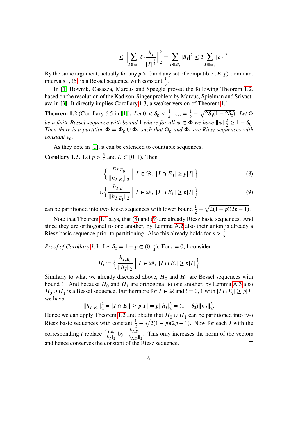$$
\leq \Big\| \sum_{I \in \mathcal{D}_i} \tilde{a}_I \frac{h_I}{|I|^{\frac{1}{2}}} \Big\|_2^2 = \sum_{I \in \mathcal{D}_i} |\tilde{a}_I|^2 \leq 2 \sum_{I \in \mathcal{D}_i} |a_I|^2
$$

By the same argument, actually for any  $p > 0$  and any set of compatible  $(E, p)$ -dominant intervals  $\mathbb{I}$ , [\(5\)](#page-5-2) is a Bessel sequence with constant  $\frac{1}{p}$ .

In [\[1\]](#page-90-0) Bownik, Casazza, Marcus and Speegle proved the following Theorem [1.2,](#page-7-0) based on the resolution of the Kadison-Singer problem by Marcus, Spielman and Srivastava in [\[3\]](#page-90-1). It directly implies Corollary [1.3,](#page-7-1) a weaker version of Theorem [1.1.](#page-5-1)

<span id="page-7-0"></span>**Theorem 1.2** (Corollary 6.5 in [\[1\]](#page-90-0)). *Let*  $0 < \delta_0 < \frac{1}{4}$  $\frac{1}{4}$ ,  $\varepsilon_0 = \frac{1}{2}$  $\frac{1}{2} - \sqrt{2\delta_0(1-2\delta_0)}$ . Let  $\Phi$ *be a finite Bessel sequence with bound* 1 *where for all*  $\varphi \in \Phi$  *we have*  $\|\varphi\|_2^2 \geq 1 - \delta_0$ . *Then there is a partition*  $\Phi = \Phi_0 \cup \Phi_1$  *such that*  $\Phi_0$  *and*  $\Phi_1$  *are Riesz sequences with*  $constant \varepsilon_0$ .

As they note in [\[1\]](#page-90-0), it can be extended to countable sequences.

<span id="page-7-1"></span>**Corollary 1.3.** Let  $p > \frac{3}{4}$  and  $E \subset [0, 1)$ . Then

<span id="page-7-3"></span><span id="page-7-2"></span>
$$
\left\{ \frac{h_{I,E_0}}{\|h_{I,E_0}\|_2} \mid I \in \mathcal{D}, \ |I \cap E_0| \ge p|I| \right\}
$$
\n
$$
(8)
$$

$$
\bigcup \left\{ \frac{h_{I,E_1}}{\|h_{I,E_1}\|_2} \middle| I \in \mathcal{D}, \ |I \cap E_1| \ge p|I| \right\} \tag{9}
$$

can be partitioned into two Riesz sequences with lower bound  $\frac{1}{2} - \sqrt{2(1-p)(2p-1)}$ .

Note that Theorem [1.1](#page-5-1) says, that [\(8\)](#page-7-2) and [\(9\)](#page-7-3) are already Riesz basic sequences. And since they are orthogonal to one another, by Lemma [A.2](#page-69-0) also their union is already a Riesz basic sequence prior to partitioning. Also this already holds for  $p > \frac{2}{3}$ .

*Proof of Corollary [1.3.](#page-7-1)* Let  $\delta_0 = 1 - p \in (0, \frac{1}{4})$ . For  $i = 0, 1$  consider

$$
H_i \coloneqq \left\{ \frac{h_{I, E_i}}{\|h_I\|_2} \mid I \in \mathcal{D}, \ |I \cap E_i| \ge p |I| \right\}
$$

Similarly to what we already discussed above,  $H_0$  and  $H_1$  are Bessel sequences with bound 1. And because  $H_0$  and  $H_1$  are orthogonal to one another, by Lemma [A.3](#page-69-1) also  $H_0 \cup H_1$  is a Bessel sequence. Furthermore for  $I \in \mathcal{D}$  and  $i = 0, 1$  with  $|I \cap E_i| \geq p|I|$ we have

$$
||h_{I,E_i}||_2^2 = |I \cap E_i| \ge p|I| = p||h_I|_2^2 = (1 - \delta_0) ||h_I||_2^2.
$$

Hence we can apply Theorem [1.2](#page-7-0) and obtain that  $H_0 \cup H_1$  can be partitioned into two Riesz basic sequences with constant  $\frac{1}{2} - \sqrt{2(1-p)(2p-1)}$ . Now for each *I* with the corresponding *i* replace  $\frac{h_{I,E_i}}{||h_i||}$  $\frac{h_{I,E_i}}{\|h_I\|_2}$  by  $\frac{h_{I,E_i}}{\|h_{I,E_i}\|_2}$  $\frac{m_{i,E_i}}{||h_{I,E_i}||_2}$ . This only increases the norm of the vectors and hence conserves the constant of the Riesz sequence.  $\Box$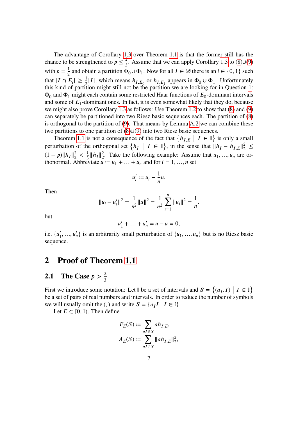The advantage of Corollary [1.3](#page-7-1) over Theorem [1.1](#page-5-1) is that the former still has the chance to be strengthened to  $p \leq \frac{2}{3}$ . Assume that we can apply Corollary [1.3](#page-7-1) to [\(8\)](#page-7-2)∪[\(9\)](#page-7-3) with  $p = \frac{1}{2}$  $\frac{1}{2}$  and obtain a partition  $\Phi_0 \cup \Phi_1$ . Now for all  $I \in \mathcal{D}$  there is an  $i \in \{0, 1\}$  such that  $|I \cap E_i| \ge \frac{1}{2}|I|$ , which means  $h_{I,E_0}$  or  $h_{I,E_1}$  appears in  $\Phi_0 \cup \Phi_1$ . Unfortunately this kind of partition might still not be the partition we are looking for in Question [1:](#page-6-1)  $\Phi_0$  and  $\Phi_1$  might each contain some restricted Haar functions of  $E_0$ -dominant intervals and some of  $E_1$ -dominant ones. In fact, it is even somewhat likely that they do, because we might also prove Corollary [1.3](#page-7-1) as follows: Use Theorem [1.2](#page-7-0) to show that [\(8\)](#page-7-2) and [\(9\)](#page-7-3) can separately be partitioned into two Riesz basic sequences each. The partition of [\(8\)](#page-7-2) is orthogonal to the partition of [\(9\)](#page-7-3). That means by Lemma [A.2](#page-69-0) we can combine these two partitions to one partition of [\(8\)](#page-7-2)∪[\(9\)](#page-7-3) into two Riesz basic sequences.

Theorem [1.1](#page-5-1) is not a consequence of the fact that  $\{h_{I,E} \mid I \in \mathbb{I}\}\$  is only a small perturbation of the orthogonal set  $\{h_I \mid I \in \mathbb{I}\}\$ , in the sense that  $||h_I - h_{I,E}||_2^2$  $\frac{2}{2}$   $\leq$  $(1-p)\|h_I\|_2^2$  $\frac{2}{2}$  <  $\frac{1}{3}$  $\frac{1}{3} \|h_I\|_2^2$  $\frac{2}{2}$ . Take the following example: Assume that  $u_1, \ldots, u_n$  are orthonormal. Abbreviate  $u := u_1 + \dots + u_n$  and for  $i = 1, \dots, n$  set

$$
u_i' := u_i - \frac{1}{n}u.
$$

Then

$$
||u_i - u'_i||^2 = \frac{1}{n^2} ||u||^2 = \frac{1}{n^2} \sum_{i=1}^n ||u_i||^2 = \frac{1}{n}.
$$

but

$$
u'_1 + \dots + u'_n = u - u = 0,
$$

i.e.  $\{u'_1, ..., u'_n\}$  is an arbitrarily small perturbation of  $\{u_1, ..., u_n\}$  but is no Riesz basic sequence.

## <span id="page-8-0"></span>**2 Proof of Theorem [1.1](#page-5-1)**

# <span id="page-8-1"></span>**2.1** The Case  $p > \frac{2}{3}$

First we introduce some notation: Let  $\mathbb{I}$  be a set of intervals and  $S = \{(a_I, I) \mid I \in \mathbb{I}\}\$ be a set of pairs of real numbers and intervals. In order to reduce the number of symbols we will usually omit the (, ) and write  $S = \{a_I I \mid I \in \mathbb{I}\}.$ 

Let  $E \subset [0, 1)$ . Then define

$$
F_E(S) := \sum_{aI \in S} a h_{I,E},
$$
  

$$
A_E(S) := \sum_{aI \in S} ||a h_{I,E}||_2^2,
$$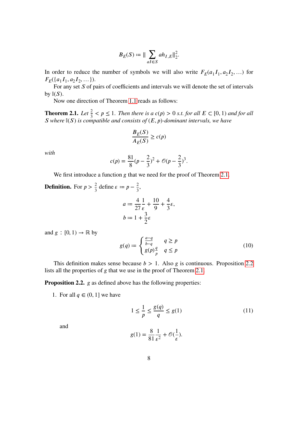$$
B_E(S) \coloneqq \| \sum_{aI \in S} a h_{I,E} \|^2_2
$$

.

In order to reduce the number of symbols we will also write  $F_E(a_1I_1, a_2I_2, ...)$  for  $F_E(\{a_1I_1, a_2I_2, ...\}).$ 

For any set  $S$  of pairs of coefficients and intervals we will denote the set of intervals by  $\mathbb{I}(S)$ .

Now one direction of Theorem [1.1](#page-5-1) reads as follows:

<span id="page-9-0"></span>**Theorem 2.1.** *Let*  $\frac{2}{3} < p \le 1$ *. Then there is a c(p)* > 0 *s.t. for all*  $E \subset [0, 1)$  *and for all S* where  $\mathbb{I}(S)$  is compatible and consists of  $(E, p)$ -dominant intervals, we have

$$
\frac{B_E(S)}{A_E(S)} \ge c(p)
$$

*with*

$$
c(p) = \frac{81}{8}(p - \frac{2}{3})^2 + \mathcal{O}(p - \frac{2}{3})^3.
$$

We first introduce a function  $g$  that we need for the proof of Theorem [2.1.](#page-9-0)

**Definition.** For  $p > \frac{2}{3}$  define  $\varepsilon := p - \frac{2}{3}$  $\frac{2}{3}$ ,

$$
a := \frac{4}{27} \frac{1}{\epsilon} + \frac{10}{9} + \frac{4}{3} \epsilon,
$$
  

$$
b := 1 + \frac{3}{2} \epsilon
$$

and  $g : [0, 1) \rightarrow \mathbb{R}$  by

<span id="page-9-2"></span>
$$
g(q) := \begin{cases} \frac{a-q}{b-q} & q \ge p \\ g(p)\frac{q}{p} & q \le p \end{cases}
$$
 (10)

This definition makes sense because  $b > 1$ . Also g is continuous. Proposition [2.2](#page-9-1) lists all the properties of  $g$  that we use in the proof of Theorem [2.1.](#page-9-0)

<span id="page-9-1"></span>**Proposition 2.2.** *g* as defined above has the following properties:

1. For all  $q \in (0, 1]$  we have

<span id="page-9-3"></span>
$$
1 \le \frac{1}{p} \le \frac{g(q)}{q} \le g(1) \tag{11}
$$

and

$$
g(1) = \frac{8}{81} \frac{1}{\varepsilon^2} + \mathcal{O}(\frac{1}{\varepsilon}).
$$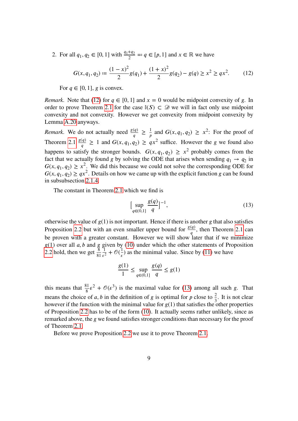2. For all  $q_1, q_2 \in [0, 1]$  with  $\frac{q_1 + q_2}{2} =: q \in [p, 1]$  and  $x \in \mathbb{R}$  we have

<span id="page-10-0"></span>
$$
G(x, q_1, q_2) \coloneqq \frac{(1-x)^2}{2} g(q_1) + \frac{(1+x)^2}{2} g(q_2) - g(q) \ge x^2 \ge qx^2. \tag{12}
$$

For  $q \in [0, 1]$ , g is convex.

*Remark.* Note that [\(12\)](#page-10-0) for  $q \in [0, 1]$  and  $x = 0$  would be midpoint convexity of g. In order to prove Theorem [2.1](#page-9-0) for the case  $\mathbb{I}(S) \subset \mathcal{D}$  we will in fact only use midpoint convexity and not convexity. However we get convexity from midpoint convexity by Lemma [A.20](#page-82-1) anyways.

*Remark.* We do not actually need  $\frac{g(q)}{q} \geq \frac{1}{p}$  $\frac{1}{p}$  and  $G(x, q_1, q_2) \geq x^2$ : For the proof of Theorem [2.1](#page-9-0)  $\frac{g(q)}{q} \ge 1$  and  $G(x, q_1, q_2) \ge qx^2$  suffice. However the g we found also happens to satisfy the stronger bounds.  $G(x, q_1, q_2) \geq x^2$  probably comes from the fact that we actually found g by solving the ODE that arises when sending  $q_1 \rightarrow q_2$  in  $G(x, q_1, q_2) \ge x^2$ . We did this because we could not solve the corresponding ODE for  $G(x, q_1, q_2) \ge qx^2$ . Details on how we came up with the explicit function g can be found in subsubsection [2.1.4.](#page-17-0)

The constant in Theorem [2.1](#page-9-0) which we find is

<span id="page-10-1"></span>
$$
\left[\sup_{q\in(0,1]} \frac{g(q)}{q}\right]^{-1},\tag{13}
$$

otherwise the value of  $g(1)$  is not important. Hence if there is another g that also satisfies Proposition [2.2](#page-9-1) but with an even smaller upper bound for  $\frac{g(q)}{q}$ , then Theorem [2.1](#page-9-0) can  $\boldsymbol{q}$ be proven with a greater constant. However we will show later that if we minimize  $g(1)$  over all a, b and g given by [\(10\)](#page-9-2) under which the other statements of Proposition [2.2](#page-9-1) hold, then we get  $\frac{8}{81}$ 1  $\frac{1}{\epsilon^2} + \mathcal{O}(\frac{1}{\epsilon})$  as the minimal value. Since by [\(11\)](#page-9-3) we have

$$
\frac{g(1)}{1} \le \sup_{q \in (0,1]} \frac{g(q)}{q} \le g(1)
$$

this means that  $\frac{81}{8} \varepsilon^2 + \mathcal{O}(\varepsilon^3)$  is the maximal value for [\(13\)](#page-10-1) among all such g. That means the choice of a, b in the definition of g is optimal for p close to  $\frac{2}{3}$ . It is not clear however if the function with the minimal value for  $g(1)$  that satisfies the other properties of Proposition [2.2](#page-9-1) has to be of the form [\(10\)](#page-9-2). It actually seems rather unlikely, since as remarked above, the *g* we found satisfies stronger conditions than necessary for the proof of Theorem [2.1.](#page-9-0)

Before we prove Proposition [2.2](#page-9-1) we use it to prove Theorem [2.1.](#page-9-0)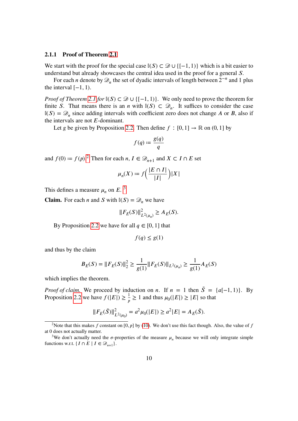#### <span id="page-11-0"></span>**2.1.1 Proof of Theorem [2.1](#page-9-0)**

We start with the proof for the special case  $\mathbb{I}(S) \subset \mathcal{D} \cup \{[-1,1)\}\$  which is a bit easier to understand but already showcases the central idea used in the proof for a general  $S$ .

For each *n* denote by  $\mathcal{D}_n$  the set of dyadic intervals of length between  $2^{-n}$  and 1 plus the interval  $[-1, 1)$ .

*Proof of Theorem* [2.1](#page-9-0) *for*  $\mathbb{I}(S) \subset \mathcal{D} \cup \{[-1,1)\}\$ . We only need to prove the theorem for finite S. That means there is an *n* with  $\mathbb{I}(S) \subset \mathcal{D}_n$ . It suffices to consider the case  $\mathbb{I}(S) = \mathcal{D}_n$  since adding intervals with coefficient zero does not change A or B, also if the intervals are not  $E$ -dominant.

Let g be given by Proposition [2.2.](#page-9-1) Then define  $f : [0, 1] \rightarrow \mathbb{R}$  on  $(0, 1]$  by

$$
f(q) \coloneqq \frac{g(q)}{q}
$$

and  $f(0) \coloneqq f(p)$ .<sup>[2](#page-11-1)</sup> Then for each  $n, I \in \mathcal{D}_{n+1}$  and  $X \subset I \cap E$  set

$$
\mu_n(X) := f\left(\frac{|E \cap I|}{|I|}\right)|X|
$$

This defines a measure  $\mu_n$  on E.<sup>[3](#page-11-2)</sup>

**Claim.** For each *n* and *S* with  $\mathbb{I}(S) = \mathcal{D}_n$  we have

$$
||F_E(S)||_{L^2(\mu_n)}^2 \ge A_E(S).
$$

By Proposition [2.2](#page-9-1) we have for all  $q \in [0, 1]$  that

$$
f(q) \le g(1)
$$

and thus by the claim

$$
B_E(S) = ||F_E(S)||_2^2 \ge \frac{1}{g(1)} ||F_E(S)||_{L^2(\mu_n)} \ge \frac{1}{g(1)} A_E(S)
$$

which implies the theorem.

*Proof of claim.* We proceed by induction on *n*. If  $n = 1$  then  $\tilde{S} = \{a[-1, 1)\}\$ . By Proposition [2.2](#page-9-1) we have  $f(|E|) \ge \frac{1}{p} \ge 1$  and thus  $\mu_0(|E|) \ge |E|$  so that

$$
||F_E(\tilde{S})||_{L^2(\mu_0)}^2 = a^2\mu_0(|E|) \ge a^2|E| = A_E(\tilde{S}).
$$

<span id="page-11-1"></span><sup>&</sup>lt;sup>2</sup>Note that this makes f constant on [0, p] by [\(10\)](#page-9-2). We don't use this fact though. Also, the value of f at 0 does not actually matter.

<span id="page-11-2"></span><sup>&</sup>lt;sup>3</sup>We don't actually need the  $\sigma$ -properties of the measure  $\mu_n$  because we will only integrate simple functions w.r.t. { $I \cap E \mid I \in \mathcal{D}_{n+1}$  }.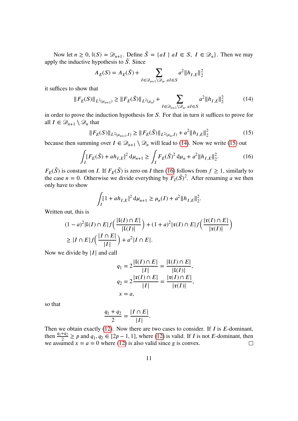Now let  $n \geq 0$ ,  $\mathbb{I}(S) = \mathcal{D}_{n+1}$ . Define  $\tilde{S} = \{aI \mid aI \in S, I \in \mathcal{D}_n\}$ . Then we may apply the inductive hypothesis to  $\tilde{S}$ . Since

$$
A_E(S) = A_E(\tilde{S}) + \sum_{I \in \mathcal{D}_{n+1} \setminus \mathcal{D}_n, aI \in S} a^2 \|h_{I,E}\|_2^2
$$

it suffices to show that

<span id="page-12-0"></span>
$$
||F_E(S)||_{L^2(\mu_{n+1})} \ge ||F_E(\tilde{S})||_{L^2(\mu_n)} + \sum_{I \in \mathcal{D}_{n+1} \setminus \mathcal{D}_n, \ aI \in S} a^2 ||h_{I,E}||_2^2 \tag{14}
$$

in order to prove the induction hypothesis for  $S$ . For that in turn it suffices to prove for all  $I \in \mathcal{D}_{n+1} \setminus \mathcal{D}_n$  that

<span id="page-12-1"></span>
$$
||F_E(S)||_{L^2(\mu_{n+1},I)} \ge ||F_E(\tilde{S})||_{L^2(\mu_n,I)} + a^2 ||h_{I,E}||_2^2
$$
\n(15)

because then summing over  $I \in \mathcal{D}_{n+1} \setminus \mathcal{D}_n$  will lead to [\(14\)](#page-12-0). Now we write [\(15\)](#page-12-1) out

<span id="page-12-2"></span>
$$
\int_{I} [F_{E}(\tilde{S}) + ah_{I,E}]^{2} d\mu_{n+1} \ge \int_{I} F_{E}(\tilde{S})^{2} d\mu_{n} + a^{2} \|h_{I,E}\|_{2}^{2}.
$$
 (16)

 $F_E(\tilde{S})$  is constant on *I*. If  $F_E(\tilde{S})$  is zero on *I* then [\(16\)](#page-12-2) follows from  $f \ge 1$ , similarly to the case  $n = 0$ . Otherwise we divide everything by  $F_I(\tilde{S})^2$ . After renaming a we then only have to show

$$
\int_{I} [1 + ah_{I,E}]^{2} d\mu_{n+1} \ge \mu_{n}(I) + a^{2} ||h_{I,E}||_{2}^{2}.
$$

Written out, this is

$$
(1-a)^{2}|\mathfrak{l}(I) \cap E|f\left(\frac{|\mathfrak{l}(I) \cap E|}{|\mathfrak{l}(I)|}\right) + (1+a)^{2}|\mathfrak{r}(I) \cap E|f\left(\frac{|\mathfrak{r}(I) \cap E|}{|\mathfrak{r}(I)|}\right)
$$
  
\n
$$
\geq |I \cap E|f\left(\frac{|I \cap E|}{|I|}\right) + a^{2}|I \cap E|.
$$

Now we divide by  $|I|$  and call

$$
q_1 = 2\frac{|{\bf i}(I) \cap E|}{|I|} = \frac{|{\bf i}(I) \cap E|}{|{\bf i}(I)|},
$$
  
\n
$$
q_2 = 2\frac{|{\bf i}(I) \cap E|}{|I|} = \frac{|{\bf i}(I) \cap E|}{|{\bf i}(I)|},
$$
  
\n
$$
x = a,
$$

so that

$$
\frac{q_1+q_2}{2}=\frac{|I\cap E|}{|I|}.
$$

Then we obtain exactly [\(12\)](#page-10-0). Now there are two cases to consider. If  $I$  is  $E$ -dominant, then  $\frac{q_1+q_2}{2} \ge p$  and  $q_1, q_2 \in [2p-1, 1]$ , where [\(12\)](#page-10-0) is valid. If *I* is not *E*-dominant, then we assumed  $x = a = 0$  where [\(12\)](#page-10-0) is also valid since g is convex.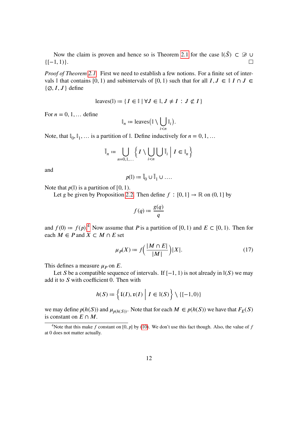Now the claim is proven and hence so is Theorem [2.1](#page-9-0) for the case  $\mathbb{I}(\tilde{S}) \subset \mathcal{D} \cup \mathcal{D}$  ${[-1,1)}.$  $\Box$ 

*Proof of Theorem [2.1.](#page-9-0)* First we need to establish a few notions. For a finite set of intervals  $\mathbb I$  that contains  $[0, 1)$  and subintervals of  $[0, 1)$  such that for all  $I, J \in \mathbb I$   $\Lambda \cap J \in$  $\{\emptyset, I, J\}$  define

$$
leaves(\mathbb{I}) := \{ I \in \mathbb{I} \mid \forall J \in \mathbb{I}, J \neq I : J \not\subset I \}
$$

For  $n = 0, 1, \ldots$  define

$$
\mathbb{I}_n := \text{leaves} \big( \mathbb{I} \setminus \bigcup_{i < n} \mathbb{I}_i \big).
$$

Note, that  $\mathbb{I}_0, \mathbb{I}_1, \dots$  is a partition of  $\mathbb{I}$ . Define inductively for  $n = 0, 1, \dots$ 

$$
\tilde{\mathbb{I}}_n := \bigcup_{n=0,1,\dots} \left\{ I \setminus \bigcup_{i < n} \bigcup \tilde{\mathbb{I}}_i \; \middle| \; I \in \mathbb{I}_n \right\}
$$

and

$$
p(\mathbb{I}) := \mathbb{I}_0 \cup \mathbb{I}_1 \cup \dots
$$

Note that  $p(\mathbb{I})$  is a partition of [0, 1).

Let g be given by Proposition [2.2.](#page-9-1) Then define  $f : [0, 1] \rightarrow \mathbb{R}$  on  $(0, 1]$  by

$$
f(q) \coloneqq \frac{g(q)}{q}
$$

and  $f(0) := f(p)^{4}$  $f(0) := f(p)^{4}$  $f(0) := f(p)^{4}$ . Now assume that P is a partition of [0, 1) and  $E \subset [0, 1)$ . Then for each  $M \in P$  and  $X \subset M \cap E$  set

<span id="page-13-1"></span>
$$
\mu_P(X) \coloneqq f\left(\frac{|M \cap E|}{|M|}\right)|X|.\tag{17}
$$

This defines a measure  $\mu_P$  on E.

Let S be a compatible sequence of intervals. If  $[-1, 1)$  is not already in  $\mathbb{I}(S)$  we may add it to  $S$  with coefficient 0. Then with

$$
h(S) \coloneqq \left\{ \mathfrak{l}(I), \mathfrak{r}(I) \mid I \in \mathbb{I}(S) \right\} \setminus \{ [-1, 0) \}
$$

we may define  $p(h(S))$  and  $\mu_{p(h(S))}$ . Note that for each  $M \in p(h(S))$  we have that  $F_E(S)$ is constant on  $E \cap M$ .

<span id="page-13-0"></span><sup>&</sup>lt;sup>4</sup>Note that this make *f* constant on [0,  $p$ ] by [\(10\)](#page-9-2). We don't use this fact though. Also, the value of *f* at 0 does not matter actually.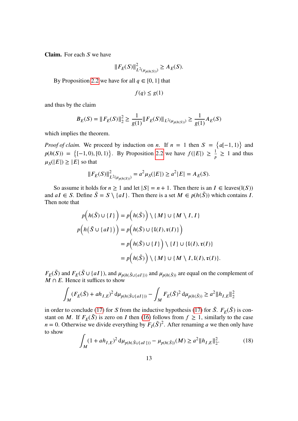**Claim.** For each  $S$  we have

$$
||F_E(S)||_{L^2(\mu_{p(h(S))})}^2 \ge A_E(S).
$$

By Proposition [2.2](#page-9-1) we have for all  $q \in [0, 1]$  that

$$
f(q) \le g(1)
$$

and thus by the claim

$$
B_E(S) = ||F_E(S)||_2^2 \ge \frac{1}{g(1)} ||F_E(S)||_{L^2(\mu_{p(h(S))})} \ge \frac{1}{g(1)} A_E(S)
$$

which implies the theorem.

*Proof of claim.* We proceed by induction on *n*. If  $n = 1$  then  $S = \{a[-1, 1)\}\$ and  $p(h(S)) = \{ [-1, 0), [0, 1) \}.$  By Proposition [2.2](#page-9-1) we have  $f(|E|) \ge \frac{1}{p} \ge 1$  and thus  $\mu_S(|E|) \geq |E|$  so that

$$
||F_E(S)||_{L^2(\mu_{p(h(S))})}^2 = a^2 \mu_S(|E|) \ge a^2|E| = A_E(S).
$$

So assume it holds for  $n \ge 1$  and let  $|S| = n + 1$ . Then there is an  $I \in \text{leaves}(\mathbb{I}(S))$ and  $aI \in S$ . Define  $\tilde{S} = S \setminus \{aI\}$ . Then there is a set  $M \in p(h(\tilde{S}))$  which contains I. Then note that

$$
p(h(\tilde{S}) \cup \{I\}) = p(h(\tilde{S})) \setminus \{M\} \cup \{M \setminus I, I\}
$$
  

$$
p(h(\tilde{S} \cup \{aI\})) = p(h(\tilde{S}) \cup \{I(I), \mathfrak{r}(I)\})
$$
  

$$
= p(h(\tilde{S}) \cup \{I\}) \setminus \{I\} \cup \{I(I), \mathfrak{r}(I)\}
$$
  

$$
= p(h(\tilde{S})) \setminus \{M\} \cup \{M \setminus I, I(I), \mathfrak{r}(I)\}.
$$

 $F_E(\tilde{S})$  and  $F_E(\tilde{S} \cup \{aI\})$ , and  $\mu_{p(h(\tilde{S} \cup \{aI\}))}$  and  $\mu_{p(h(\tilde{S}))}$  are equal on the complement of  $M \cap E$ . Hence it suffices to show

$$
\int_M (F_E(\tilde{S}) + ah_{I,E})^2 d\mu_{p(h(\tilde{S} \cup \{aI\}))} - \int_M F_E(\tilde{S})^2 d\mu_{p(h(\tilde{S}))} \ge a^2 \|h_{I,E}\|_2^2
$$

in order to conclude [\(17\)](#page-13-1) for *S* from the inductive hypothesis (17) for  $\tilde{S}$ .  $F_E(\tilde{S})$  is constant on M. If  $F_E(\tilde{S})$  is zero on I then [\(16\)](#page-12-2) follows from  $f \ge 1$ , similarly to the case  $n = 0$ . Otherwise we divide everything by  $F_I(\tilde{S})^2$ . After renaming a we then only have to show

<span id="page-14-0"></span>
$$
\int_{M} (1 + ah_{I,E})^2 d\mu_{p(h(\tilde{S} \cup \{aI\}))} - \mu_{p(h(\tilde{S}))}(M) \ge a^2 \|h_{I,E}\|_2^2.
$$
 (18)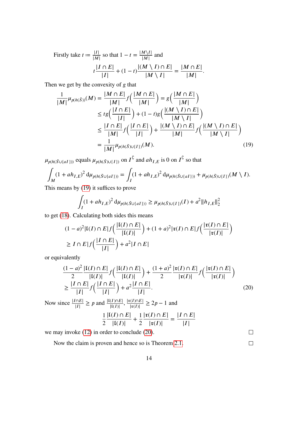Firstly take 
$$
t := \frac{|I|}{|M|}
$$
 so that  $1 - t = \frac{|M \setminus I|}{|M|}$  and  

$$
t \frac{|I \cap E|}{|I|} + (1 - t) \frac{|(M \setminus I) \cap E|}{|M \setminus I|} = \frac{|M \cap E|}{|M|}.
$$

Then we get by the convexity of  $g$  that

$$
\frac{1}{|M|} \mu_{p(h(\tilde{S}))}(M) = \frac{|M \cap E|}{|M|} f\left(\frac{|M \cap E|}{|M|}\right) = g\left(\frac{|M \cap E|}{|M|}\right)
$$
\n
$$
\leq t g\left(\frac{|I \cap E|}{|I|}\right) + (1-t)g\left(\frac{|(M \setminus I) \cap E|}{|M \setminus I|}\right)
$$
\n
$$
\leq \frac{|I \cap E|}{|M|} f\left(\frac{|I \cap E|}{|I|}\right) + \frac{|(M \setminus I) \cap E|}{|M|} f\left(\frac{|(M \setminus I) \cap E|}{|M \setminus I|}\right)
$$
\n
$$
= \frac{1}{|M|} \mu_{p(h(\tilde{S}) \cup \{I\})}(M). \tag{19}
$$

 $\mu_{p(h(\tilde{S}\cup\{aI\}))}$  equals  $\mu_{p(h(\tilde{S})\cup\{I\})}$  on  $I^{\complement}$  and  $ah_{I,E}$  is 0 on  $I^{\complement}$  so that

$$
\int_M (1 + ah_{I,E})^2 d\mu_{p(h(\tilde{S} \cup \{aI\}))} = \int_I (1 + ah_{I,E})^2 d\mu_{p(h(\tilde{S} \cup \{aI\}))} + \mu_{p(h(\tilde{S}) \cup \{I\})}(M \setminus I).
$$

This means by [\(19\)](#page-15-0) it suffices to prove

<span id="page-15-0"></span>
$$
\int_{I} (1 + ah_{I,E})^2 d\mu_{p(h(\tilde{S} \cup \{aI\}))} \ge \mu_{p(h(\tilde{S}) \cup \{I\})}(I) + a^2 \|h_{I,E}\|_2^2
$$

to get [\(18\)](#page-14-0). Calculating both sides this means

$$
(1-a)^{2}|\mathfrak{l}(I) \cap E|f\left(\frac{|\mathfrak{l}(I) \cap E|}{|\mathfrak{l}(I)|}\right) + (1+a)^{2}|\mathfrak{r}(I) \cap E|f\left(\frac{|\mathfrak{r}(I) \cap E|}{|\mathfrak{r}(I)|}\right)
$$
  
\n
$$
\geq I \cap E|f\left(\frac{|I \cap E|}{|I|}\right) + a^{2}|I \cap E|
$$

14

or equivalently

$$
\frac{(1-a)^2}{2} \frac{|\mathfrak{l}(I) \cap E|}{|\mathfrak{l}(I)|} f\left(\frac{|\mathfrak{l}(I) \cap E|}{|\mathfrak{l}(I)|}\right) + \frac{(1+a)^2}{2} \frac{|\mathfrak{r}(I) \cap E|}{|\mathfrak{r}(I)|} f\left(\frac{|\mathfrak{r}(I) \cap E|}{|\mathfrak{r}(I)|}\right)
$$
\n
$$
\geq \frac{|I \cap E|}{|I|} f\left(\frac{|I \cap E|}{|I|}\right) + a^2 \frac{|I \cap E|}{|I|}. \tag{20}
$$

Now since  $\frac{|I \cap E|}{|I|} \ge p$  and  $\frac{|I(I) \cap E|}{|I(I)|}$ ,  $\frac{|I(I) \cap E|}{|I(I)|} \ge 2p - 1$  and 1 2  $|{\mathfrak l}(I) \cap E|$  $\frac{[I] \cap E}{|{\mathfrak{l}}(I)|} + \frac{1}{2}$ 2  $|\mathfrak{r}(I) \cap E|$  $\frac{(-1)^{11}-1}{|\mathfrak{r}(I)|}$  =  $|I \cap E|$  $|I|$ 

we may invoke [\(12\)](#page-10-0) in order to conclude [\(20\)](#page-15-1).

<span id="page-15-1"></span> $\Box$  $\Box$ 

Now the claim is proven and hence so is Theorem [2.1.](#page-9-0)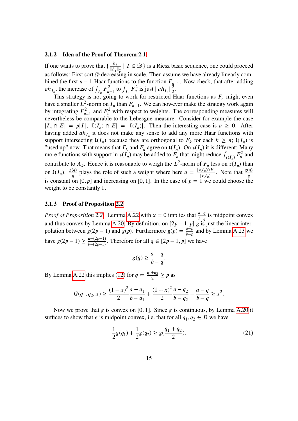#### <span id="page-16-0"></span>**2.1.2 Idea of the Proof of Theorem [2.1](#page-9-0)**

If one wants to prove that  $\{\frac{h_l}{\|\mathbf{h}_l\|}\}$  $\frac{n_I}{\|h_I\|_2}$  |  $I \in \mathcal{D}$ } is a Riesz basic sequence, one could proceed as follows: First sort  $\mathcal D$  decreasing in scale. Then assume we have already linearly combined the first  $n - 1$  Haar functions to the function  $F_{n-1}$ . Now check, that after adding  $ah_{I_n}$ , the increase of  $\int_{I_n} F_{n-1}^2$  to  $\int_{I_n} F_n^2$  is just  $||ah_{I_n}||_2^2$  $rac{2}{2}$ .

This strategy is not going to work for restricted Haar functions as  $F_n$  might even have a smaller  $L^2$ -norm on  $I_n$  than  $F_{n-1}$ . We can however make the strategy work again by integrating  $F_{n-1}^2$  and  $F_n^2$  with respect to weights. The corresponding measures will nevertheless be comparable to the Lebesgue measure. Consider for example the case  $|I_n \cap E| = |I|, |I(I_n) \cap E| = |I(I_n)|.$  Then the interesting case is  $a \ge 0.$  After having added  $ah_{I_n}$  it does not make any sense to add any more Haar functions with support intersecting  $\mathfrak{l}(I_n)$  because they are orthogonal to  $F_k$  for each  $k \geq n$ ;  $\mathfrak{l}(I_n)$  is "used up" now. That means that  $F_k$  and  $F_n$  agree on  $\mathfrak{l}(I_n)$ . On  $\mathfrak{r}(I_n)$  it is different: Many more functions with support in  $\mathfrak{r}(I_n)$  may be added to  $F_n$  that might reduce  $\int_{\mathfrak{r}(I_n)} F_n^2$  and ) contribute to  $A_k$ . Hence it is reasonable to weigh the  $L^2$ -norm of  $F_n$  less on  $\mathfrak{r}(I_n)$  than on  $\mathfrak{l}(I_n)$ .  $\frac{g(q)}{q}$  $\frac{q}{q}$  plays the role of such a weight where here  $q = \frac{|\mathfrak{r}(I_n) \cap E|}{|\mathfrak{r}(I_n)|}$  $\frac{g(q)}{|\mathfrak{r}(I_n)|}$ . Note that  $\frac{g(q)}{q}$ is constant on [0,  $p$ ] and increasing on [0, 1]. In the case of  $p = 1$  we could choose the weight to be constantly 1.

#### <span id="page-16-1"></span>**2.1.3 Proof of Proposition [2.2](#page-9-1)**

*Proof of Proposition* [2.2.](#page-9-1) Lemma [A.22](#page-83-0) with  $x = 0$  implies that  $\frac{a-q}{b-q}$  is midpoint convex and thus convex by Lemma [A.20.](#page-82-1) By definition, on  $[2p - 1, p]$  g is just the linear interpolation between  $g(2p - 1)$  and  $g(p)$ . Furthermore  $g(p) = \frac{a - p}{b - p}$  and by Lemma [A.23](#page-84-0) we have  $g(2p - 1) \ge \frac{a - (2p - 1)}{b - (2p - 1)}$ . Therefore for all  $q \in [2p - 1, p]$  we have

$$
g(q) \ge \frac{a-q}{b-q}.
$$

By Lemma [A.22](#page-83-0) this implies [\(12\)](#page-10-0) for  $q = \frac{q_1 + q_2}{2}$  $\frac{q}{2} \geq p$  as

$$
G(q_1, q_2, x) \ge \frac{(1-x)^2}{2} \frac{a-q_1}{b-q_1} + \frac{(1+x)^2}{2} \frac{a-q_2}{b-q_2} - \frac{a-q}{b-q} \ge x^2.
$$

Now we prove that  $g$  is convex on [0, 1]. Since  $g$  is continuous, by Lemma [A.20](#page-82-1) it suffices to show that g is midpoint convex, i.e. that for all  $q_1, q_2 \in D$  we have

$$
\frac{1}{2}g(q_1) + \frac{1}{2}g(q_2) \ge g(\frac{q_1 + q_2}{2}).
$$
\n(21)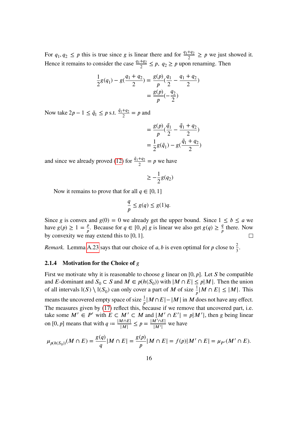For  $q_1, q_2 \leq p$  this is true since g is linear there and for  $\frac{q_1+q_2}{2} \geq p$  we just showed it. Hence it remains to consider the case  $\frac{q_1+q_2}{2} \leq p$ ,  $q_2 \geq p$  upon renaming. Then

$$
\frac{1}{2}g(q_1) - g(\frac{q_1 + q_2}{2}) = \frac{g(p)}{p}(\frac{q_1}{2} - \frac{q_1 + q_2}{2})
$$

$$
= \frac{g(p)}{p}(-\frac{q_2}{2})
$$

Now take  $2p - 1 \leq \tilde{q}_1 \leq p$  s.t.  $\frac{\tilde{q}_1 + q_2}{2} = p$  and

$$
= \frac{g(p)}{p}(\frac{\tilde{q}_1}{2} - \frac{\tilde{q}_1 + q_2}{2})
$$

$$
= \frac{1}{2}g(\tilde{q}_1) - g(\frac{\tilde{q}_1 + q_2}{2})
$$

and since we already proved [\(12\)](#page-10-0) for  $\frac{\tilde{q}_1 + q_2}{2} = p$  we have

$$
\geq -\frac{1}{2}g(q_2)
$$

Now it remains to prove that for all  $q \in [0, 1]$ 

$$
\frac{q}{p} \le g(q) \le g(1)q.
$$

Since g is convex and  $g(0) = 0$  we already get the upper bound. Since  $1 \le b \le a$  we have  $g(p) \ge 1 = \frac{p}{p}$ . Because for  $q \in [0, p]$  g is linear we also get  $g(q) \ge \frac{q}{p}$  there. Now by convexity we may extend this to [0, 1].

*Remark.* Lemma [A.23](#page-84-0) says that our choice of a, b is even optimal for p close to  $\frac{2}{3}$ .

#### <span id="page-17-0"></span>**2.1.4 Motivation for the Choice of**

First we motivate why it is reasonable to choose g linear on  $[0, p]$ . Let S be compatible and E-dominant and  $S_0 \subset S$  and  $M \in p(h(S_0))$  with  $|M \cap E| \leq p|M|$ . Then the union of all intervals  $\mathbb{I}(S) \setminus \mathbb{I}(S_0)$  can only cover a part of M of size  $\frac{1}{p} |M \cap E| \leq |M|$ . This means the uncovered empty space of size  $\frac{1}{p} |M \cap E| - |M|$  in M does not have any effect. The measures given by  $(17)$  reflect this, because if we remove that uncovered part, i.e. take some  $M' \in P'$  with  $E \subset M' \subset M$  and  $|M' \cap E'| = p|M'|$ , then g being linear on [0, p] means that with  $q := \frac{|M \cap E|}{|M|} \le p = \frac{|M' \cap E|}{|M'|}$  we have

$$
\mu_{p(h(S_0))}(M \cap E) = \frac{g(q)}{q} |M \cap E| = \frac{g(p)}{p} |M \cap E| = f(p) |M' \cap E| = \mu_{P'}(M' \cap E).
$$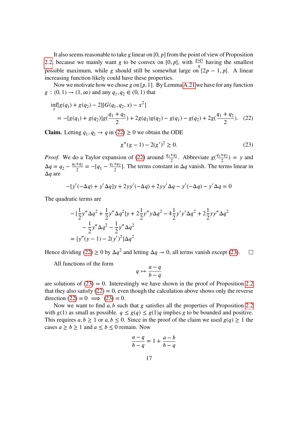It also seems reasonable to take g linear on  $[0, p]$  from the point of view of Proposition [2.2,](#page-9-1) because we mainly want g to be convex on [0, p], with  $\frac{g(q)}{q}$  having the smallest  $\boldsymbol{q}$ possible maximum, while g should still be somewhat large on  $[2p - 1, p]$ . A linear increasing function likely could have these properties.

Now we motivate how we chose g on [p, 1]. By Lemma [A.21](#page-83-1) we have for any function  $g: (0, 1) \to (1, \infty)$  and any  $q_1, q_2 \in (0, 1)$  that

$$
\inf_{x} [g(q_1) + g(q_2) - 2][G(q_1, q_2, x) - x^2]
$$
  
= -[g(q\_1) + g(q\_2)]g(\frac{q\_1 + q\_2}{2}) + 2g(q\_1)g(q\_2) - g(q\_1) - g(q\_2) + 2g(\frac{q\_1 + q\_2}{2}). (22)

**Claim.** Letting  $q_1, q_2 \rightarrow q$  in [\(22\)](#page-18-0)  $\geq 0$  we obtain the ODE

<span id="page-18-1"></span><span id="page-18-0"></span>
$$
g''(g-1) - 2(g')^2 \ge 0.
$$
 (23)

*Proof.* We do a Taylor expansion of [\(22\)](#page-18-0) around  $\frac{q_1+q_2}{2}$ . Abbreviate  $g(\frac{q_1+q_2}{2}) = y$  and  $\Delta q = q_2 - \frac{q_1 + q_2}{2}$  $\frac{+q_2}{2} = -[q_1 - \frac{q_1+q_2}{2}]$  $\frac{1}{2}$ . The terms constant in  $\Delta q$  vanish. The terms linear in  $\Delta q$  are

$$
-[y'(-\Delta q) + y'\Delta q]y + 2yy'(-\Delta q) + 2yy'\Delta q - y'(-\Delta q) - y'\Delta q = 0
$$

The quadratic terms are

$$
- \left[\frac{1}{2}y''\Delta q^2 + \frac{1}{2}y''\Delta q^2\right]y + 2\frac{1}{2}y''y\Delta q^2 - 4\frac{1}{2}y'y'\Delta q^2 + 2\frac{1}{2}yy''\Delta q^2 - \frac{1}{2}y''\Delta q^2 - \frac{1}{2}y''\Delta q^2
$$
  
= 
$$
[y''(y-1) - 2(y')^2]\Delta q^2
$$

Hence dividing [\(22\)](#page-18-0)  $\geq 0$  by  $\Delta q^2$  and letting  $\Delta q \to 0$ , all terms vanish except [\(23\)](#page-18-1).  $\Box$ 

All functions of the form

$$
q\mapsto \frac{a-q}{b-q}
$$

are solutions of  $(23) = 0$ . Interestingly we have shown in the proof of Proposition [2.2](#page-9-1) that they also satisfy  $(22) = 0$ , even though the calculation above shows only the reverse direction  $(22) = 0 \implies (23) = 0$  $(22) = 0 \implies (23) = 0$  $(22) = 0 \implies (23) = 0$ .

Now we want to find  $a, b$  such that  $g$  satisfies all the properties of Proposition [2.2](#page-9-1) with  $g(1)$  as small as possible.  $q \leq g(q) \leq g(1)q$  implies g to be bounded and positive. This requires  $a, b \ge 1$  or  $a, b \le 0$ . Since in the proof of the claim we used  $g(q) \ge 1$  the cases  $a \ge b \ge 1$  and  $a \le b \le 0$  remain. Now

$$
\frac{a-q}{b-q} = 1 + \frac{a-b}{b-q}
$$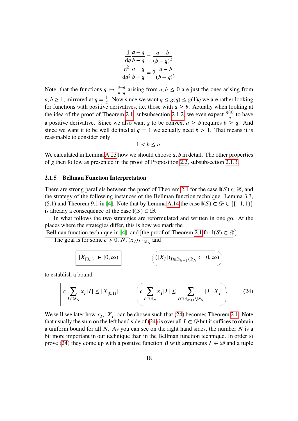$$
\frac{\mathrm{d}}{\mathrm{d}q} \frac{a-q}{b-q} = \frac{a-b}{(b-q)^2}
$$

$$
\frac{\mathrm{d}^2}{\mathrm{d}q^2} \frac{a-q}{b-q} = 2 \frac{a-b}{(b-q)^3}
$$

Note, that the functions  $q \mapsto \frac{q-q}{b-q}$  arising from  $a, b \le 0$  are just the ones arising from  $a, b \ge 1$ , mirrored at  $q = \frac{1}{2}$ . Now since we want  $q \le g(q) \le g(1)q$  we are rather looking for functions with positive derivatives, i.e. those with  $a \ge b$ . Actually when looking at the idea of the proof of Theorem [2.1,](#page-9-0) subsubsection [2.1.2,](#page-16-0) we even expect  $\frac{g(q)}{q}$  to have  $\boldsymbol{q}$ a positive derivative. Since we also want g to be convex,  $a \ge b$  requires  $b \ge q$ . And since we want it to be well defined at  $q = 1$  we actually need  $b > 1$ . That means it is reasonable to consider only

 $1 < b \le a$ .

We calculated in Lemma [A.23](#page-84-0) how we should choose  $a, b$  in detail. The other properties of g then follow as presented in the proof of Proposition [2.2,](#page-9-1) subsubsection [2.1.3.](#page-16-1)

#### <span id="page-19-0"></span>**2.1.5 Bellman Function Interpretation**

There are strong parallels between the proof of Theorem [2.1](#page-9-0) for the case  $\mathbb{I}(S) \subset \mathcal{D}$ , and the strategy of the following instances of the Bellman function technique: Lemma 3.3, (5.1) and Theorem 9.1 in [\[4\]](#page-90-2). Note that by Lemma [A.14](#page-76-0) the case  $\mathbb{I}(S) \subset \mathcal{D} \cup \{[-1, 1)\}\$ is already a consequence of the case  $\mathbb{I}(S) \subset \mathcal{D}$ .

In what follows the two strategies are reformulated and written in one go. At the places where the strategies differ, this is how we mark the

Bellman function technique in [\[4\]](#page-90-2) and (the proof of Theorem [2.1](#page-9-0) for  $\mathbb{I}(S) \subset \mathcal{D}$ ).

The goal is for some  $c > 0$ ,  $N$ ,  $(x_I)_{I \in \mathcal{D}_N}$  and

<span id="page-19-1"></span>
$$
|X_{[0,1)}| \in [0,\infty)
$$
\n
$$
(|X_I|)_{I \in \mathcal{D}_{N+1} \setminus \mathcal{D}_N} \subset [0,\infty)
$$

to establish a bound

$$
c \sum_{I \in \mathcal{D}_N} x_I |I| \le |X_{[0,1)}| \qquad \left( c \sum_{I \in \mathcal{D}_N} x_I |I| \le \sum_{I \in \mathcal{D}_{N+1} \setminus \mathcal{D}_N} |I| |X_I| \right).
$$
 (24)

We will see later how  $x_I$ ,  $|X_I|$  can be chosen such that [\(24\)](#page-19-1) becomes Theorem [2.1.](#page-9-0) Note that usually the sum on the left hand side of [\(24\)](#page-19-1) is over all  $I \in \mathcal{D}$  but it suffices to obtain a uniform bound for all  $N$ . As you can see on the right hand sides, the number  $N$  is a bit more important in our technique than in the Bellman function technique. In order to prove [\(24\)](#page-19-1) they come up with a positive function B with arguments  $I \in \mathcal{D}$  and a tuple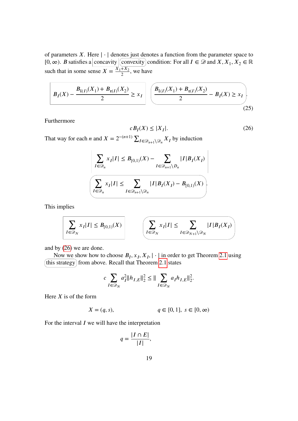of parameters X. Here  $|\cdot|$  denotes just denotes a function from the parameter space to [0,  $\infty$ ). *B* satisfies a concavity convexity condition: For all  $I \in \mathcal{D}$  and  $X, X_1, X_2 \in \mathbb{R}$ such that in some sense  $X = \frac{X_1 + X_2}{2}$ , we have

$$
B_{I}(X) - \frac{B_{I(I)}(X_1) + B_{\mathfrak{r}(I)}(X_2)}{2} \ge x_I \left[ \frac{B_{I(I)}(X_1) + B_{\mathfrak{r}(I)}(X_2)}{2} - B_{I}(X) \ge x_I \right].
$$
\n(25)

Furthermore

<span id="page-20-0"></span>
$$
cB_I(X) \le |X_I|. \tag{26}
$$

That way for each *n* and  $X = 2^{-(n+1)} \sum_{I \in \mathcal{D}_{n+1} \setminus \mathcal{D}_n} X_I$  by induction

$$
\frac{\displaystyle\sum_{I\in \mathcal{D}_n}x_I|I|\leq B_{[0,1)}(X)-\sum_{I\in \mathcal{D}_{n+1}\backslash D_n}|I|B_I(X_I)}{\displaystyle\sum_{I\in \mathcal{D}_n}x_I|I|\leq \sum_{I\in \mathcal{D}_{n+1}\backslash \mathcal{D}_n}|I|B_I(X_I)-B_{[0,1)}(X)}.
$$

This implies

$$
\sum_{I \in \mathcal{D}_N} x_I |I| \leq B_{[0,1)}(X) \qquad \qquad \left( \sum_{I \in \mathcal{D}_N} x_I |I| \leq \sum_{I \in \mathcal{D}_{N+1} \setminus \mathcal{D}_N} |I| B_I(X_I) \right)
$$

and by [\(26\)](#page-20-0) we are done.

Now we show how to choose  $B_I, x_I, X_I, |\cdot|$  in order to get Theorem [2.1](#page-9-0) using (this strategy) from above. Recall that Theorem [2.1](#page-9-0) states

$$
c \sum_{I \in \mathcal{D}_N} a_I^2 \|h_{I,E}\|_2^2 \le \|\sum_{I \in \mathcal{D}_N} a_I h_{I,E}\|_2^2.
$$

Here  $X$  is of the form

$$
X = (q, s), \t q \in [0, 1], s \in [0, \infty)
$$

For the interval  $I$  we will have the interpretation

$$
q = \frac{|I \cap E|}{|I|},
$$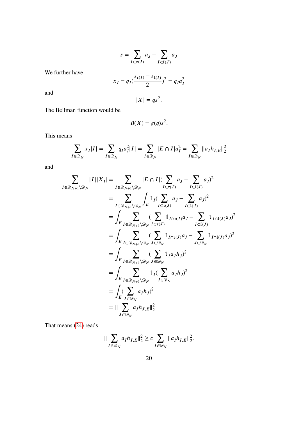$$
s = \sum_{I \subset \mathfrak{r}(J)} a_J - \sum_{I \subset \mathfrak{l}(J)} a_J
$$

We further have

$$
x_I = q_I(\frac{s_{\mathfrak{r}(I)} - s_{\mathfrak{l}(I)}}{2})^2 = q_I a_I^2
$$

and

$$
|X|=qs^2.
$$

The Bellman function would be

$$
B(X) = g(q)s^2.
$$

This means

$$
\sum_{I \in \mathcal{D}_N} x_I |I| = \sum_{I \in \mathcal{D}_N} q_I a_I^2 |I| = \sum_{I \in \mathcal{D}_N} |E \cap I| a_I^2 = \sum_{I \in \mathcal{D}_N} ||a_I h_{I,E}||_2^2
$$

and

$$
\sum_{I \in \mathcal{D}_{N+1} \setminus \mathcal{D}_{N}} |I||X_{I}| = \sum_{I \in \mathcal{D}_{N+1} \setminus \mathcal{D}_{N}} |E \cap I| (\sum_{I \subset \mathfrak{x}(J)} a_{J} - \sum_{I \subset I(J)} a_{J})^{2}
$$
\n
$$
= \sum_{I \in \mathcal{D}_{N+1} \setminus \mathcal{D}_{N}} \int_{E} 1_{I} (\sum_{I \subset \mathfrak{x}(J)} a_{J} - \sum_{I \subset I(J)} a_{J})^{2}
$$
\n
$$
= \int_{E} \sum_{I \in \mathcal{D}_{N+1} \setminus \mathcal{D}_{N}} (\sum_{I \subset \mathfrak{x}(J)} 1_{I \cap \mathfrak{x}(J)} a_{J} - \sum_{I \subset I(J)} 1_{I \cap I(J)} a_{J})^{2}
$$
\n
$$
= \int_{E} \sum_{I \in \mathcal{D}_{N+1} \setminus \mathcal{D}_{N}} (\sum_{J \in \mathcal{D}_{N}} 1_{I \cap \mathfrak{x}(J)} a_{J} - \sum_{J \in \mathcal{D}_{N}} 1_{I \cap I(J)} a_{J})^{2}
$$
\n
$$
= \int_{E} \sum_{I \in \mathcal{D}_{N+1} \setminus \mathcal{D}_{N}} ( \sum_{J \in \mathcal{D}_{N}} 1_{I} a_{J} h_{J})^{2}
$$
\n
$$
= \int_{E} \sum_{I \in \mathcal{D}_{N+1} \setminus \mathcal{D}_{N}} 1_{I} (\sum_{J \in \mathcal{D}_{N}} a_{J} h_{J})^{2}
$$
\n
$$
= \int_{E} (\sum_{J \in \mathcal{D}_{N}} a_{J} h_{J})^{2}
$$
\n
$$
= \| \sum_{J \in \mathcal{D}_{N}} a_{J} h_{J, E} \|_{2}^{2}
$$

That means [\(24\)](#page-19-1) reads

$$
\|\sum_{I\in\mathcal{D}_N}a_Ih_{I,E}\|_2^2 \geq c\sum_{I\in\mathcal{D}_N}\|a_Ih_{I,E}\|_2^2.
$$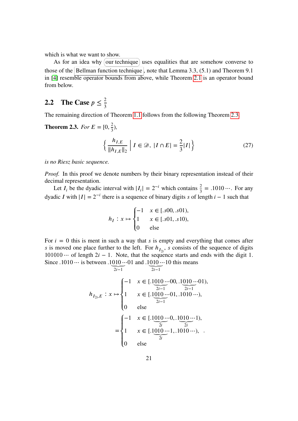which is what we want to show.

As for an idea why (our technique) uses equalities that are somehow converse to those of the Bellman function technique, note that Lemma 3.3,  $(5.1)$  and Theorem 9.1 in [\[4\]](#page-90-2) resemble operator bounds from above, while Theorem [2.1](#page-9-0) is an operator bound from below.

# <span id="page-22-0"></span>**2.2** The Case  $p \leq \frac{2}{3}$

The remaining direction of Theorem [1.1](#page-5-1) follows from the following Theorem [2.3.](#page-22-1)

<span id="page-22-1"></span>**Theorem 2.3.** *For*  $E = [0, \frac{2}{3})$ *,* 

<span id="page-22-2"></span>
$$
\left\{ \frac{h_{I,E}}{\|h_{I,E}\|_2} \middle| I \in \mathcal{D}, \ |I \cap E| = \frac{2}{3} |I| \right\}
$$
 (27)

*is no Riesz basic sequence.*

*Proof.* In this proof we denote numbers by their binary representation instead of their decimal representation.

Let  $I_i$  be the dyadic interval with  $|I_i| = 2^{-i}$  which contains  $\frac{2}{3} = .1010 \cdots$ . For any dyadic I with  $|I| = 2^{-i}$  there is a sequence of binary digits s of length  $i - 1$  such that

$$
h_I: x \mapsto \begin{cases} -1 & x \in [.s00, .s01), \\ 1 & x \in [.s01, .s10), \\ 0 & \text{else} \end{cases}
$$

For  $i = 0$  this is ment in such a way that s is empty and everything that comes after s is moved one place further to the left. For  $h_{I_{2i}}$ , s consists of the sequence of digits  $101010 \cdots$  of length  $2i - 1$ . Note, that the sequence starts and ends with the digit 1. Since  $.1010 \cdots$  is between  $.1010 \cdots$ 01 and  $.1010 \cdots$ 10 this means

$$
h_{I_{2i},E}: x \mapsto \begin{cases} -1 & x \in [.1010\cdots 00, .1010\cdots 01), \\ 1 & x \in [.1010\cdots 01, .1010\cdots ), \\ 0 & \text{else} \end{cases}
$$

$$
= \begin{cases} -1 & x \in [.1010\cdots 01, .1010\cdots 1), \\ 1 & x \in [.1010\cdots 0, .1010\cdots 1), \\ 1 & x \in [.1010\cdots 1, .1010\cdots 1), \\ 0 & \text{else} \end{cases}
$$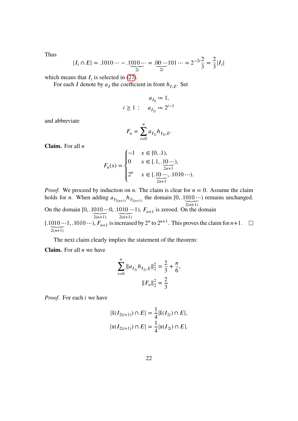Thus

$$
|I_i \cap E| = .1010 \cdots - .1 \underbrace{010 \cdots}_{2i} = .00 \cdots 101 \cdots = 2^{-2i} \frac{2}{3} = \frac{2}{3} |I_i|
$$

which means that  $I_i$  is selected in [\(27\)](#page-22-2).

For each I denote by  $a_I$  the coefficient in front  $h_{I,E}$ . Set

$$
a_{I_0} := 1,
$$
  

$$
i \ge 1: a_{I_{2i}} := 2^{i-1}
$$

and abbreviate

$$
F_n = \sum_{i=0}^n a_{I_{2i}} h_{I_{2i},E}.
$$

**Claim.** For all

 () = ⎧ ⎪ ⎪ ⎨ ⎪ ⎪ ⎩ −1 ∈ [0, .1), 0 ∈ [.1, .10 ⋯⏟2+1 ), 2 ∈ [.10 ⋯⏟2+1 , .1010 ⋯).

*Proof.* We proceed by induction on *n*. The claim is clear for  $n = 0$ . Assume the claim holds for *n*. When adding  $a_{I_{2(n+1)}} h_{I_{2(n+1)}}$  the domain  $[0, .1010 \cdots)$  remains unchanged.

 $2(n+1)$ On the domain  $[0, .1010 \dots]$  $2(n+1)$  $0, .1010 \cdots$  $2(n+1)$ 1),  $F_{n+1}$  is zeroed. On the domain  $[.1010\cdots 1, .1010\cdots), F_{n+1}$  is increased by  $2^n$  to  $2^{n+1}$ . This proves the claim for  $n+1$ .  $2(n+1)$  $\boldsymbol{n}$ 

The next claim clearly implies the statement of the theorem:

**Claim.** For all  $n$  we have

$$
\sum_{i=0}^{n} \|a_{I_{2i}} h_{I_{2i},E}\|_{2}^{2} = \frac{2}{3} + \frac{n}{6},
$$

$$
\|F_{n}\|_{2}^{2} = \frac{2}{3}
$$

*Proof.* For each *i* we have

$$
|\mathfrak{l}(I_{2(i+1)}) \cap E| = \frac{1}{4} |\mathfrak{l}(I_{2i}) \cap E|,
$$
  

$$
|\mathfrak{r}(I_{2(i+1)}) \cap E| = \frac{1}{4} |\mathfrak{r}(I_{2i}) \cap E|.
$$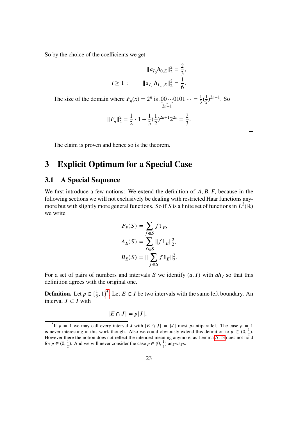So by the choice of the coefficients we get

$$
||a_{I_0}h_{0,E}||_2^2 = \frac{2}{3},
$$
  

$$
i \ge 1: \qquad ||a_{I_{2i}}h_{I_{2i},E}||_2^2 = \frac{1}{6}.
$$

The size of the domain where  $F_n(x) = 2^n$  is .00...  $2n+1$  $0101 \cdots = \frac{1}{3}(\frac{1}{2})$  $\frac{1}{2}$ )<sup>2n+1</sup>. So

$$
||F_n||_2^2 = \frac{1}{2} \cdot 1 + \frac{1}{3} (\frac{1}{2})^{2n+1} 2^{2n} = \frac{2}{3}.
$$

The claim is proven and hence so is the theorem.

# <span id="page-24-0"></span>**3 Explicit Optimum for a Special Case**

### <span id="page-24-1"></span>**3.1 A Special Sequence**

We first introduce a few notions: We extend the definition of  $A, B, F$ , because in the following sections we will not exclusively be dealing with restricted Haar functions anymore but with slightly more general functions. So if S is a finite set of functions in  $L^2(\mathbb{R})$ we write

$$
F_E(S) := \sum_{f \in S} f \mathbb{1}_E,
$$
  
\n
$$
A_E(S) := \sum_{f \in S} ||f \mathbb{1}_E||_2^2,
$$
  
\n
$$
B_E(S) := ||\sum_{f \in S} f \mathbb{1}_E||_2^2.
$$

For a set of pairs of numbers and intervals S we identify  $(a, I)$  with  $ah<sub>I</sub>$  so that this definition agrees with the original one.

**Definition.** Let  $p \in [\frac{1}{2}, 1)^5$  $p \in [\frac{1}{2}, 1)^5$ . Let  $E \subset I$  be two intervals with the same left boundary. An interval  $J \subset I$  with

$$
|E \cap J| = p|J|,
$$

 $\Box$ 

 $\Box$ 

<span id="page-24-2"></span><sup>&</sup>lt;sup>5</sup>If  $p = 1$  we may call every interval J with  $|E \cap J| = |J|$  most p-antiparallel. The case  $p = 1$ is never interesting in this work though. Also we could obviously extend this definition to  $p \in (0, \frac{1}{2})$ . However there the notion does not reflect the intended meaning anymore, as Lemma [A.13](#page-73-1) does not hold for  $p \in (0, \frac{1}{2})$ . And we will never consider the case  $p \in (0, \frac{1}{2})$  anyways.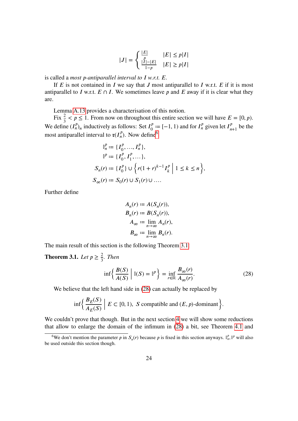$$
|J| = \begin{cases} \frac{|E|}{|I| - |E|} & |E| \le p|I| \\ \frac{|I| - |E|}{1 - p} & |E| \ge p|I| \end{cases}
$$

is called a *most p*-antiparallel interval to I w.r.t. E.

If  $E$  is not contained in  $I$  we say that  $J$  most antiparallel to  $I$  w.r.t.  $E$  if it is most antiparallel to I w.r.t.  $E \cap I$ . We sometimes leave p and E away if it is clear what they are.

Lemma [A.13](#page-73-1) provides a characterisation of this notion.

Fix  $\frac{2}{3} < p \le 1$ . From now on throughout this entire section we will have  $E = [0, p)$ . We define  $(I_n^p)_n$  inductively as follows: Set  $I_0^p := [-1, 1)$  and for  $I_n^p$  given let  $I_{n+1}^p$  be the most antiparallel interval to  $\mathfrak{r}(I_n^p)$ . Now define<sup>[6](#page-25-1)</sup>

$$
\mathbb{I}_n^p := \{I_0^p, ..., I_n^p\},
$$
  
\n
$$
\mathbb{I}^p := \{I_0^p, I_1^p, ...\},
$$
  
\n
$$
S_n(r) := \{I_0^p\} \cup \left\{r(1+r)^{k-1}I_k^p \middle| 1 \le k \le n\right\},
$$
  
\n
$$
S_\infty(r) := S_0(r) \cup S_1(r) \cup ....
$$

Further define

$$
A_n(r) := A(S_n(r)),
$$
  
\n
$$
B_n(r) := B(S_n(r)),
$$
  
\n
$$
A_{\infty} := \lim_{n \to \infty} A_n(r),
$$
  
\n
$$
B_{\infty} := \lim_{n \to \infty} B_n(r).
$$

The main result of this section is the following Theorem [3.1:](#page-25-0)

<span id="page-25-0"></span>**Theorem 3.1.** *Let*  $p \geq \frac{2}{3}$ *. Then* 

<span id="page-25-2"></span>
$$
\inf \left\{ \frac{B(S)}{A(S)} \middle| \mathbb{I}(S) = \mathbb{I}^p \right\} = \inf_{r \in \mathbb{R}} \frac{B_{\infty}(r)}{A_{\infty}(r)}.
$$
 (28)

We believe that the left hand side in  $(28)$  can actually be replaced by

$$
\inf \Bigl\{ \frac{B_E(S)}{A_E(S)} \Bigm| E \subset [0, 1), \ S \text{ compatible and } (E, p)\text{-dominant} \Bigr\}.
$$

We couldn't prove that though. But in the next section [4](#page-38-0) we will show some reductions that allow to enlarge the domain of the infimum in [\(28\)](#page-25-2) a bit, see Theorem [4.1](#page-38-2) and

<span id="page-25-1"></span><sup>&</sup>lt;sup>6</sup>We don't mention the parameter p in  $S_n(r)$  because p is fixed in this section anyways.  $\mathbb{I}_n^p$ ,  $\mathbb{I}^p$  will also be used outside this section though.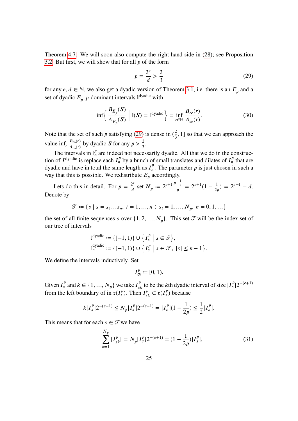Theorem [4.7.](#page-50-1) We will soon also compute the right hand side in [\(28\)](#page-25-2); see Proposition [3.2.](#page-28-1) But first, we will show that for all  $p$  of the form

<span id="page-26-0"></span>
$$
p = \frac{2^e}{d} > \frac{2}{3} \tag{29}
$$

for any  $e, d \in \mathbb{N}$ , we also get a dyadic version of Theorem [3.1,](#page-25-0) i.e. there is an  $E_p$  and a set of dyadic  $E_p$ , *p*-dominant intervals  $\mathbb{I}^{\text{dyadic}}$  with

<span id="page-26-1"></span>
$$
\inf \left\{ \frac{B_{E_p}(S)}{A_{E_p}(S)} \; \middle| \; \mathbb{I}(S) = \mathbb{I}^{\text{dyadic}} \right\} = \inf_{r \in \mathbb{R}} \frac{B_{\infty}(r)}{A_{\infty}(r)}.
$$
\n(30)

Note that the set of such p satisfying [\(29\)](#page-26-0) is dense in  $(\frac{2}{3})$  $\frac{2}{3}$ , 1] so that we can approach the value inf<sub>r</sub>  $\frac{B_{\infty}(r)}{A_{\infty}(r)}$  by dyadic S for any  $p > \frac{2}{3}$ .

The intervals in  $\mathbb{I}_n^p$  are indeed not necessarily dyadic. All that we do in the construction of  $I^{\text{dyadic}}$  is replace each  $I_n^p$  by a bunch of small translates and dilates of  $I_n^p$  $\frac{p}{n}$  that are dyadic and have in total the same length as  $I_n^p$  $\mu$ <sup>*P*</sup>. The parameter *p* is just chosen in such a way that this is possible. We redistribute  $E_p$  accordingly.

Lets do this in detail. For  $p = \frac{2^e}{d}$  $rac{2^e}{d}$  set  $N_p := 2^{e+1} \frac{p-\frac{1}{2}}{p}$ 2  $\frac{-\frac{1}{2}}{p} = 2^{e+1}(1 - \frac{1}{2p}) = 2^{e+1} - d.$ Denote by

$$
\mathcal{T} \coloneqq \{s \mid s = s_1...s_n, \ i = 1,...,n : s_i = 1,...,N_p, \ n = 0,1,...\}
$$

the set of all finite sequences *s* over  $\{1, 2, ..., N_p\}$ . This set  $\mathcal{T}$  will be the index set of our tree of intervals

$$
\mathbb{I}^{\text{dyadic}}_{n} := \{ [-1, 1) \} \cup \left\{ I_s^p \mid s \in \mathcal{T} \right\},
$$
  

$$
\mathbb{I}^{\text{dyadic}}_{n} := \{ [-1, 1) \} \cup \left\{ I_s^p \mid s \in \mathcal{T}, \ |s| \leq n - 1 \right\}.
$$

We define the intervals inductively. Set

$$
I_{\emptyset}^{p}:=[0,1).
$$

Given  $I_s^p$  and  $k \in \{1, ..., N_p\}$  we take  $I_{sk}^p$  to be the kth dyadic interval of size  $|I_s^p|2^{-(e+1)}$ from the left boundary of in  $\mathfrak{r}(I_s^p)$ . Then  $I_{sk}^p \subset \mathfrak{r}(I_s^p)$  because

$$
k|I_s^p|2^{-(e+1)} \le N_p|I_s^p|2^{-(e+1)} = |I_s^p|(1 - \frac{1}{2p}) \le \frac{1}{2}|I_s^p|.
$$

This means that for each  $s \in \mathcal{T}$  we have

$$
\sum_{k=1}^{N_p} |I_{sk}^p| = N_p |I_s^p| 2^{-(e+1)} = (1 - \frac{1}{2p}) |I_s^p|,\tag{31}
$$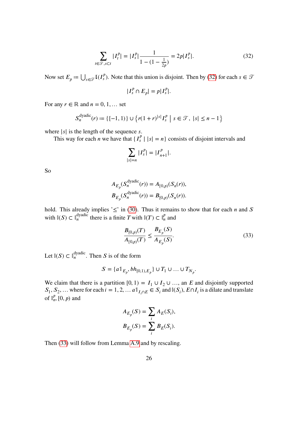$$
\sum_{t \in \mathcal{T}, s \subset t} |I_t^p| = |I_s^p| \frac{1}{1 - (1 - \frac{1}{2p})} = 2p|I_s^p|.
$$
 (32)

Now set  $E_p := \bigcup_{s \in \mathcal{T}} \mathfrak{l}(I_s^p)$ . Note that this union is disjoint. Then by [\(32\)](#page-27-0) for each  $s \in \mathcal{T}$ 

<span id="page-27-0"></span>
$$
|I_s^p \cap E_p| = p|I_s^p|.
$$

For any  $r \in \mathbb{R}$  and  $n = 0, 1, \dots$  set

$$
S_n^{\text{dyadic}}(r) \coloneqq \{ [-1, 1) \} \cup \{ r(1+r)^{|s|} I_s^p \mid s \in \mathcal{T}, \ |s| \leq n-1 \}
$$

where  $|s|$  is the length of the sequence s.

This way for each *n* we have that  $\{I_s^p | |s| = n\}$  consists of disjoint intervals and

$$
\sum_{|s|=n} |I_s^p| = |I_{n+1}^p|.
$$

So

$$
A_{E_p}(S_n^{\text{dyadic}}(r)) = A_{[0,p)}(S_n(r)),
$$
  

$$
B_{E_p}(S_n^{\text{dyadic}}(r)) = B_{[0,p)}(S_n(r)).
$$

hold. This already implies ' $\leq$ ' in [\(30\)](#page-26-1). Thus it remains to show that for each *n* and *S* with  $\mathbb{I}(S) \subset \mathbb{I}_n^{\text{dyadic}}$  there is a finite T with  $\mathbb{I}(T) \subset \mathbb{I}_n^p$  and

<span id="page-27-1"></span>
$$
\frac{B_{[0,p)}(T)}{A_{[0,p)}(T)} \le \frac{B_{E_p}(S)}{A_{E_p}(S)}.\tag{33}
$$

Let  $\mathbb{I}(S) \subset \mathbb{I}_n^{\text{dyadic}}$ . Then S is of the form

$$
S = \{a \mathbb{1}_{E_p}, bh_{[0,1),E_p}\} \cup T_1 \cup \ldots \cup T_{N_p}.
$$

We claim that there is a partition [0, 1) =  $I_1 \cup I_2 \cup ...$ , an E and disjointly supported  $S_1, S_2, ...$  where for each  $i = 1, 2, ...$   $a \mathbb{1}_{I_i \cap E} \in S_i$  and  $\mathbb{I}(S_i)$ ,  $E \cap I_i$  is a dilate and translate of  $\mathbb{I}_n^p$  $_{n}^{P}$ , [0, *p*) and

$$
A_{E_p}(S) = \sum_i A_E(S_i),
$$
  

$$
B_{E_p}(S) = \sum_i B_E(S_i).
$$

Then [\(33\)](#page-27-1) will follow from Lemma [A.9](#page-71-0) and by rescaling.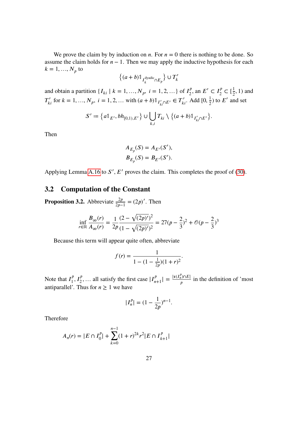We prove the claim by by induction on *n*. For  $n = 0$  there is nothing to be done. So assume the claim holds for  $n - 1$ . Then we may apply the inductive hypothesis for each  $k = 1, ..., N_p$  to

$$
\{(a+b)\mathbb{1}_{I_k^{\text{dyadic}}\cap E_p}\}\cup T_k'
$$

and obtain a partition  $\{I_{ki} | k = 1, ..., N_p, i = 1, 2, ...\}$  of  $I_2^p$  $I_2^p$ , an  $E' \subset I_2^p \subset [\frac{1}{2}, 1)$  and  $T'_{ki}$  for  $k = 1, ..., N_p$ ,  $i = 1, 2, ...$  with  $(a + b) \mathbb{1}_{I'_{ki} \cap E'} \in T'_{ki}$ . Add  $[0, \frac{1}{2})$  to  $E'$  and set

$$
S' := \left\{ a \mathbb{1}_{E'}, bh_{[0,1),E'} \right\} \cup \bigcup_{k,i} T_{ki} \setminus \left\{ (a+b) \mathbb{1}_{I'_{ki} \cap E'} \right\}.
$$

Then

$$
A_{E_p}(S) = A_{E'}(S'),
$$
  

$$
B_{E_p}(S) = B_{E'}(S').
$$

Applying Lemma [A.16](#page-77-1) to  $S'$ ,  $E'$  proves the claim. This completes the proof of [\(30\)](#page-26-1).

## <span id="page-28-0"></span>**3.2 Computation of the Constant**

<span id="page-28-1"></span>**Proposition 3.2.** Abbreviate  $\frac{2p}{2p-1} = (2p)'$ . Then

$$
\inf_{r \in \mathbb{R}} \frac{B_{\infty}(r)}{A_{\infty}(r)} = \frac{1}{2p} \frac{(2 - \sqrt{(2p)')^2}}{(1 - \sqrt{(2p)')^2}} = 27(p - \frac{2}{3})^2 + \mathcal{O}(p - \frac{2}{3})^3
$$

Because this term will appear quite often, abbreviate

$$
f(r) = \frac{1}{1 - (1 - \frac{1}{2p})(1 + r)^2}.
$$

Note that  $I_1^p$  $\prod_{i=1}^{p} I_i^p$ , ... all satisfy the first case  $|I_{n+1}^p| = \frac{|v(I_n^p) \cap E|}{p}$  $\frac{1}{p}$  in the definition of 'most antiparallel'. Thus for  $n \geq 1$  we have

$$
|I_n^p| = (1 - \frac{1}{2p})^{n-1}.
$$

Therefore

$$
A_n(r) = |E \cap I_0^p| + \sum_{k=0}^{n-1} (1+r)^{2k} r^2 |E \cap I_{k+1}^p|
$$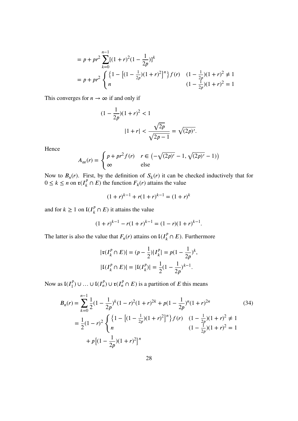$$
= p + pr2 \sum_{k=0}^{n-1} [(1+r)2(1 - \frac{1}{2p})]^{k}
$$
  
=  $p + pr2 \begin{cases} \{1 - [(1 - \frac{1}{2p})(1+r)2]^{n}\} f(r) & (1 - \frac{1}{2p})(1+r)2 \neq 1\\ n & (1 - \frac{1}{2p})(1+r)2 = 1 \end{cases}$ 

This converges for  $n \to \infty$  if and only if

$$
(1 - \frac{1}{2p})(1+r)^2 < 1
$$
\n
$$
|1+r| < \frac{\sqrt{2p}}{\sqrt{2p-1}} = \sqrt{(2p)'}.
$$

Hence

$$
A_{\infty}(r) = \begin{cases} p + pr^2 f(r) & r \in \left(-\sqrt{(2p)'} - 1, \sqrt{(2p)'} - 1\right) \\ \infty & \text{else} \end{cases}
$$

Now to  $B_n(r)$ . First, by the definition of  $S_k(r)$  it can be checked inductively that for  $0 \le k \le n$  on  $\mathfrak{r}(I_k^p \cap E)$  the function  $F_k(r)$  attains the value

$$
(1+r)^{k-1} + r(1+r)^{k-1} = (1+r)^k
$$

and for  $k \geq 1$  on  $\mathfrak{l}(I_k^p \cap E)$  it attains the value

$$
(1+r)^{k-1} - r(1+r)^{k-1} = (1-r)(1+r)^{k-1}.
$$

The latter is also the value that  $F_n(r)$  attains on  $\mathfrak{l}(I_k^p \cap E)$ . Furthermore

<span id="page-29-0"></span>
$$
|\mathfrak{r}(I_k^p \cap E)| = (p - \frac{1}{2})|I_k^p| = p(1 - \frac{1}{2p})^k,
$$
  

$$
|\mathfrak{l}(I_k^p \cap E)| = |\mathfrak{l}(I_k^p)| = \frac{1}{2}(1 - \frac{1}{2p})^{k-1}.
$$

Now as  $I(I_1^p) \cup ... \cup I(I_n^p) \cup \mathfrak{r}(I_n^p \cap E)$  is a partition of E this means

$$
B_n(r) = \sum_{k=0}^{n-1} \frac{1}{2} (1 - \frac{1}{2p})^k (1 - r)^2 (1 + r)^{2k} + p(1 - \frac{1}{2p})^n (1 + r)^{2n}
$$
(34)  

$$
= \frac{1}{2} (1 - r)^2 \begin{cases} \left\{ 1 - \left[ (1 - \frac{1}{2p}) (1 + r)^2 \right]^n \right\} f(r) & (1 - \frac{1}{2p}) (1 + r)^2 \neq 1\\ n & (1 - \frac{1}{2p}) (1 + r)^2 = 1\\ + p \left[ (1 - \frac{1}{2p}) (1 + r)^2 \right]^n \end{cases}
$$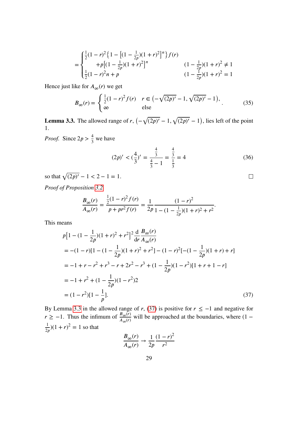$$
= \begin{cases} \frac{1}{2}(1-r)^2 \left\{ 1 - \left[ (1-\frac{1}{2p})(1+r)^2 \right]^n \right\} f(r) \\ + p \left[ (1-\frac{1}{2p})(1+r)^2 \right]^n & (1-\frac{1}{2p})(1+r)^2 \neq 1 \\ \frac{1}{2}(1-r)^2 n + p & (1-\frac{1}{2p})(1+r)^2 = 1 \end{cases}
$$

Hence just like for  $A_{\infty}(r)$  we get

<span id="page-30-3"></span>
$$
B_{\infty}(r) = \begin{cases} \frac{1}{2}(1-r)^{2} f(r) & r \in (-\sqrt{(2p)^{r}} - 1, \sqrt{(2p)^{r}} - 1), \\ \infty & \text{else} \end{cases}
$$
(35)

<span id="page-30-0"></span>**Lemma 3.3.** The allowed range of r,  $(-\sqrt{(2p)^{7}}-1, \sqrt{(2p)^{7}}-1)$ , lies left of the point 1.

*Proof.* Since  $2p > \frac{4}{3}$  we have

<span id="page-30-2"></span>
$$
(2p)' < \left(\frac{4}{3}\right)' = \frac{\frac{4}{3}}{\frac{4}{3} - 1} = \frac{\frac{4}{3}}{\frac{1}{3}} = 4\tag{36}
$$

<span id="page-30-1"></span> $\Box$ 

so that  $\sqrt{(2p)'} - 1 < 2 - 1 = 1$ .

*Proof of Proposition [3.2.](#page-28-1)*

$$
\frac{B_{\infty}(r)}{A_{\infty}(r)} = \frac{\frac{1}{2}(1-r)^2 f(r)}{p + pr^2 f(r)} = \frac{1}{2p} \frac{(1-r)^2}{1 - (1 - \frac{1}{2p})(1+r)^2 + r^2}.
$$

This means

$$
p[1 - (1 - \frac{1}{2p})(1+r)^2 + r^2]^2 \frac{d}{dr} \frac{B_{\infty}(r)}{A_{\infty}(r)}
$$
  
= -(1 - r)[1 - (1 - \frac{1}{2p})(1+r)^2 + r^2] - (1 - r)^2[-(1 - \frac{1}{2p})(1+r) + r]  
= -1 + r - r^2 + r^3 - r + 2r^2 - r^3 + (1 - \frac{1}{2p})(1 - r^2)[1 + r + 1 - r]  
= -1 + r^2 + (1 - \frac{1}{2p})(1 - r^2)2  
= (1 - r^2)[1 - \frac{1}{p}]. (37)

By Lemma [3.3](#page-30-0) in the allowed range of r, [\(37\)](#page-30-1) is positive for  $r \le -1$  and negative for  $r \ge -1$ . Thus the infimum of  $\frac{B_{\infty}(r)}{A_{\infty}(r)}$  will be approached at the boundaries, where  $(1 - \frac{1}{2p})(1 + r)^2 = 1$  so that

$$
\frac{B_{\infty}(r)}{A_{\infty}(r)} \to \frac{1}{2p} \frac{(1-r)^2}{r^2}
$$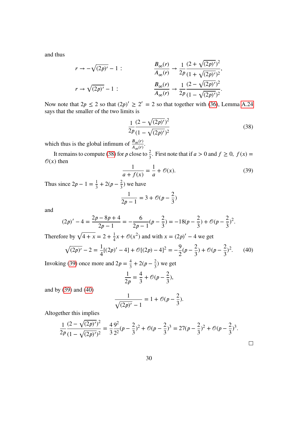and thus

$$
r \to -\sqrt{(2p)'} - 1: \qquad \frac{B_{\infty}(r)}{A_{\infty}(r)} \to \frac{1}{2p} \frac{(2 + \sqrt{(2p)'})^2}{(1 + \sqrt{(2p)'})^2},
$$

$$
r \to \sqrt{(2p)'} - 1: \qquad \frac{B_{\infty}(r)}{A_{\infty}(r)} \to \frac{1}{2p} \frac{(2 - \sqrt{(2p)'})^2}{(1 - \sqrt{(2p)'})^2}.
$$

Now note that  $2p \le 2$  so that  $(2p)' \ge 2' = 2$  so that together with [\(36\)](#page-30-2), Lemma [A.24](#page-86-0) says that the smaller of the two limits is

<span id="page-31-0"></span>
$$
\frac{1}{2p} \frac{(2 - \sqrt{(2p)')^2}}{(1 - \sqrt{(2p)')^2}}
$$
(38)

which thus is the global infimum of  $\frac{B_{\infty}(r)}{A_{\infty}(r)}$ .

It remains to compute [\(38\)](#page-31-0) for p close to  $\frac{2}{3}$ . First note that if  $a > 0$  and  $f \ge 0$ ,  $f(x) =$  $\mathcal{O}(x)$  then

<span id="page-31-1"></span>
$$
\frac{1}{a+f(x)} = \frac{1}{a} + \mathcal{O}(x). \tag{39}
$$

 $\Box$ 

Thus since  $2p - 1 = \frac{1}{3} + 2(p - \frac{2}{3})$  we have

$$
\frac{1}{2p-1} = 3 + \mathcal{O}(p - \frac{2}{3})
$$

and

$$
(2p)' - 4 = \frac{2p - 8p + 4}{2p - 1} = -\frac{6}{2p - 1}(p - \frac{2}{3}) = -18(p - \frac{2}{3}) + \mathcal{O}(p - \frac{2}{3})^2.
$$

Therefore by  $\sqrt{4 + x} = 2 + \frac{1}{4}x + \mathcal{O}(x^2)$  and with  $x = (2p)' - 4$  we get

<span id="page-31-2"></span>
$$
\sqrt{(2p)' - 2} = \frac{1}{4}[(2p)' - 4] + \mathcal{O}[(2p) - 4]^2 = -\frac{9}{2}(p - \frac{2}{3}) + \mathcal{O}(p - \frac{2}{3})^2. \tag{40}
$$

Invoking [\(39\)](#page-31-1) once more and  $2p = \frac{4}{3} + 2(p - \frac{2}{3})$  we get

$$
\frac{1}{2p} = \frac{4}{3} + \mathcal{O}(p - \frac{2}{3}),
$$

and by [\(39\)](#page-31-1) and [\(40\)](#page-31-2)

$$
\frac{1}{\sqrt{(2p)'}-1} = 1 + \mathcal{O}(p-\frac{2}{3}).
$$

Altogether this implies

$$
\frac{1}{2p}\frac{(2-\sqrt{(2p)')^2}}{(1-\sqrt{(2p)')^2}} = \frac{4}{3}\frac{9^2}{2^2}(p-\frac{2}{3})^2 + \mathcal{O}(p-\frac{2}{3})^3 = 27(p-\frac{2}{3})^2 + \mathcal{O}(p-\frac{2}{3})^3.
$$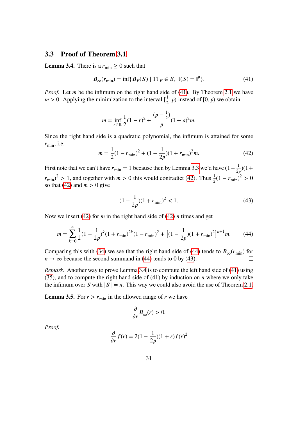### <span id="page-32-0"></span>**3.3 Proof of Theorem [3.1](#page-25-0)**

<span id="page-32-5"></span>**Lemma 3.4.** There is a  $r_{\text{min}} \geq 0$  such that

<span id="page-32-1"></span>
$$
B_{\infty}(r_{\min}) = \inf \{ B_E(S) \mid 11_E \in S, \, \mathbb{I}(S) = \mathbb{I}^p \}. \tag{41}
$$

*Proof.* Let  $m$  be the infimum on the right hand side of [\(41\)](#page-32-1). By Theorem [2.1](#page-9-0) we have  $m > 0$ . Applying the minimization to the interval  $\left[\frac{1}{2}\right]$  $(\frac{1}{2}, p)$  instead of [0, p) we obtain

$$
m = \inf_{r \in \mathbb{R}} \frac{1}{2}(1 - r)^2 + \frac{(p - \frac{1}{2})}{p}(1 + a)^2 m.
$$

Since the right hand side is a quadratic polynomial, the infimum is attained for some  $r_{\text{min}}$ , i.e.

<span id="page-32-2"></span>
$$
m = \frac{1}{2}(1 - r_{\min})^2 + (1 - \frac{1}{2p})(1 + r_{\min})^2 m.
$$
 (42)

First note that we can't have  $r_{\text{min}} = 1$  because then by Lemma [3.3](#page-30-0) we'd have  $(1 - \frac{1}{2p})(1 +$  $(r_{\text{min}})^2 > 1$ , and together with  $m > 0$  this would contradict [\(42\)](#page-32-2). Thus  $\frac{1}{2}(1 - r_{\text{min}})^2 > 0$ so that [\(42\)](#page-32-2) and  $m > 0$  give

<span id="page-32-4"></span>
$$
(1 - \frac{1}{2p})(1 + r_{\min})^2 < 1. \tag{43}
$$

Now we insert [\(42\)](#page-32-2) for  $m$  in the right hand side of (42)  $n$  times and get

<span id="page-32-3"></span>
$$
m = \sum_{k=0}^{n} \frac{1}{2} (1 - \frac{1}{2p})^{k} (1 + r_{\min})^{2k} (1 - r_{\min})^{2} + \left[ (1 - \frac{1}{2p}) (1 + r_{\min})^{2} \right]^{n+1} m.
$$
 (44)

Comparing this with [\(34\)](#page-29-0) we see that the right hand side of [\(44\)](#page-32-3) tends to  $B_{\infty}(r_{\min})$  for  $n \to \infty$  because the second summand in [\(44\)](#page-32-3) tends to 0 by [\(43\)](#page-32-4).  $\Box$ 

*Remark.* Another way to prove Lemma [3.4](#page-32-5) is to compute the left hand side of [\(41\)](#page-32-1) using [\(35\)](#page-30-3), and to compute the right hand side of [\(41\)](#page-32-1) by induction on  $n$  where we only take the infimum over S with  $|S| = n$ . This way we could also avoid the use of Theorem [2.1.](#page-9-0)

**Lemma 3.5.** For  $r > r_{\text{min}}$  in the allowed range of  $r$  we have

$$
\frac{\partial}{\partial r}B_{\infty}(r) > 0.
$$

*Proof.*

$$
\frac{\partial}{\partial r}f(r) = 2(1 - \frac{1}{2p})(1+r)f(r)^2
$$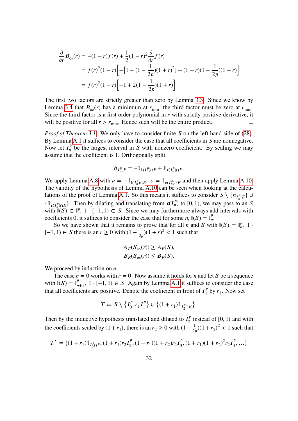$$
\frac{\partial}{\partial r} B_{\infty}(r) = -(1-r)f(r) + \frac{1}{2}(1-r)^2 \frac{\partial}{\partial r} f(r)
$$
  
=  $f(r)^2 (1-r) \Big[ -[1 - (1 - \frac{1}{2p})(1+r)^2] + (1-r)(1 - \frac{1}{2p})(1+r) \Big]$   
=  $f(r)^2 (1-r) \Big[ -1 + 2(1 - \frac{1}{2p})(1+r) \Big]$ 

The first two factors are strictly greater than zero by Lemma [3.3.](#page-30-0) Since we know by Lemma [3.4](#page-32-5) that  $B_{\infty}(r)$  has a minimum at  $r_{\min}$ , the third factor must be zero at  $r_{\min}$ . Since the third factor is a first order polynomial in  $r$  with strictly positive derivative, it will be positive for all  $r > r_{\text{min}}$ . Hence such will be the entire product.  $\Box$ 

*Proof of Theorem [3.1.](#page-25-0)* We only have to consider finite S on the left hand side of [\(28\)](#page-25-2). By Lemma [A.1](#page-68-2) it suffices to consider the case that all coefficients in  $S$  are nonnegative. Now let  $I_n^p$  be the largest interval in S with nonzero coefficient. By scaling we may assume that the coefficient is 1. Orthogonally split

$$
h_{I_n^p,E}=-\mathbb{1}_{\mathfrak{l}(I_n^p)\cap E}+\mathbb{1}_{\mathfrak{r}(I_n^p)\cap E}.
$$

We apply Lemma [A.8](#page-71-1) with  $u = -\mathbb{1}_{[(I_n^p) \cap E}, v = \mathbb{1}_{\mathfrak{r}(I_n^p) \cap E}$  and then apply Lemma [A.10.](#page-72-0) The validity of the hypothesis of Lemma [A.10](#page-72-0) can be seen when looking at the calcu-lations of the proof of Lemma [A.1.](#page-68-2) So this means it suffices to consider  $S \setminus \{h_{I_n^p,E}\}$  $\boldsymbol{n}$  $\{\mathbb{1}_{\mathfrak{r}(I_n^p)\cap E}\}\)$ . Then by dilating and translating from  $\mathfrak{r}(I_n^p)$  to [0, 1), we may pass to an S with  $\mathbb{I}(S) \subset \mathbb{I}^p$ ,  $1 \cdot [-1, 1) \in S$ . Since we may furthermore always add intervals with coefficients 0, it suffices to consider the case that for some *n*,  $\mathbb{I}(S) = \mathbb{I}_n^p$ .

So we have shown that it remains to prove that for all *n* and *S* with  $\mathbb{I}(S) = \mathbb{I}_n^p$ , 1 · [-1, 1) ∈ *S* there is an  $r \ge 0$  with  $(1 - \frac{1}{2p})(1 + r)^2 < 1$  such that

$$
A_E(S_{\infty}(r)) \ge A_E(S),
$$
  

$$
B_E(S_{\infty}(r)) \le B_E(S).
$$

We proceed by induction on  $n$ .

The case  $n = 0$  works with  $r = 0$ . Now assume it holds for *n* and let *S* be a sequence with  $\mathbb{I}(S) = \mathbb{I}_{n+1}^p$ ,  $1 \cdot [-1, 1) \in S$ . Again by Lemma [A.1](#page-68-2) it suffices to consider the case that all coefficients are positive. Denote the coefficient in front of  $I_1^p$  $\int_1^p$  by  $r_1$ . Now set

$$
T := S \setminus \left\{ I_0^p, r_1 I_1^p \right\} \cup \left\{ (1+r_1) \mathbb{1}_{I_2^p \cap E} \right\}.
$$

Then by the inductive hypothesis translated and dilated to  $I_2^p$  $\frac{p}{2}$  instead of [0, 1) and with the coefficients scaled by  $(1 + r_1)$ , there is an  $r_2 \ge 0$  with  $(1 - \frac{1}{2p})(1 + r_2)^2 < 1$  such that

$$
T' := \{ (1+r_1) \mathbb{1}_{I_2^p \cap E}, (1+r_1)r_2 I_2^p, (1+r_1)(1+r_2)r_2 I_3^p, (1+r_1)(1+r_2)^2 r_2 I_4^p, \dots \}
$$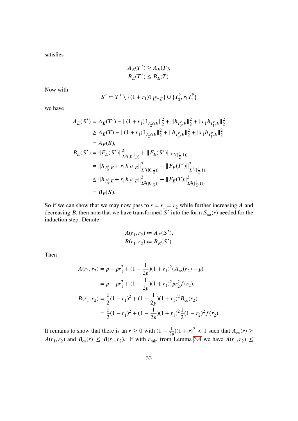satisfies

$$
A_E(T') \ge A_E(T),
$$
  

$$
B_E(T') \le B_E(T).
$$

Now with

$$
S' := T' \setminus \{ (1+r_1) \mathbb{1}_{I_2^p \cap E} \} \cup \{ I_0^p, r_1 I_1^p \}
$$

we have

$$
A_E(S') = A_E(T') - ||(1 + r_1)1_{I_2^p \cap E}||_2^2 + ||h_{I_0^p, E}||_2^2 + ||r_1 h_{I_1^p, E}||_2^2
$$
  
\n
$$
\geq A_E(T) - ||(1 + r_1)1_{I_2^p \cap E}||_2^2 + ||h_{I_0^p, E}||_2^2 + ||r_1 h_{I_1^p, E}||_2^2
$$
  
\n
$$
= A_E(S),
$$
  
\n
$$
B_E(S') = ||F_E(S')||_{L^2([0, \frac{1}{2}))}^2 + ||F_E(S')||_{L^2([\frac{1}{2}, 1))}
$$
  
\n
$$
= ||h_{I_0^p, E} + r_1 h_{I_1^p, E}||_{L^2([0, \frac{1}{2}))}^2 + ||F_E(T')||_{L^2([\frac{1}{2}, 1))}^2
$$
  
\n
$$
\leq ||h_{I_0^p, E} + r_1 h_{I_1^p, E}||_{L^2([0, \frac{1}{2}))}^2 + ||F_E(T)||_{L^2([\frac{1}{2}, 1))}^2
$$
  
\n
$$
= B_E(S).
$$

So if we can show that we may now pass to  $r = r_1 = r_2$  while further increasing A and decreasing B, then note that we have transformed S' into the form  $S_{\infty}(r)$  needed for the induction step. Denote

$$
A(r_1, r_2) := A_E(S'),
$$
  

$$
B(r_1, r_2) := B_E(S').
$$

Then

$$
A(r_1, r_2) = p + pr_1^2 + (1 - \frac{1}{2p})(1 + r_1)^2 (A_{\infty}(r_2) - p)
$$
  
=  $p + pr_1^2 + (1 - \frac{1}{2p})(1 + r_1)^2 pr_2^2 f(r_2),$   

$$
B(r_1, r_2) = \frac{1}{2}(1 - r_1)^2 + (1 - \frac{1}{2p})(1 + r_1)^2 B_{\infty}(r_2)
$$
  
=  $\frac{1}{2}(1 - r_1)^2 + (1 - \frac{1}{2p})(1 + r_1)^2 \frac{1}{2}(1 - r_2)^2 f(r_2).$ 

It remains to show that there is an  $r \ge 0$  with  $(1 - \frac{1}{2p})(1 + r)^2 < 1$  such that  $A_{\infty}(r) \ge$  $A(r_1, r_2)$  and  $B_{\infty}(r) \leq B(r_1, r_2)$ . If with  $r_{\min}$  from Lemma [3.4](#page-32-5) we have  $A(r_1, r_2) \leq$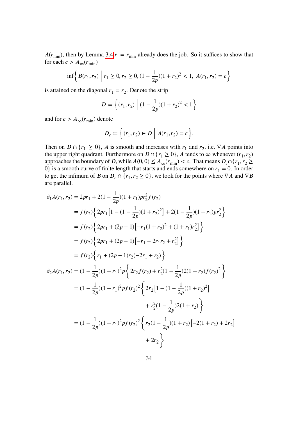$A(r_{\text{min}})$ , then by Lemma [3.4](#page-32-5)  $r = r_{\text{min}}$  already does the job. So it suffices to show that for each  $c > A_{\infty}(r_{\min})$ 

$$
\inf \left\{ B(r_1, r_2) \mid r_1 \ge 0, r_2 \ge 0, (1 - \frac{1}{2p})(1 + r_2)^2 < 1, A(r_1, r_2) = c \right\}
$$

is attained on the diagonal  $r_1 = r_2$ . Denote the strip

$$
D := \left\{ (r_1, r_2) \mid (1 - \frac{1}{2p})(1 + r_2)^2 < 1 \right\}
$$

and for  $c > A_{\infty}(r_{\min})$  denote

$$
D_c := \Big\{ (r_1, r_2) \in D \; \Big| \; A(r_1, r_2) = c \Big\}.
$$

Then on  $D \cap \{r_1 \ge 0\}$ , A is smooth and increases with  $r_1$  and  $r_2$ , i.e.  $\nabla A$  points into the upper right quadrant. Furthermore on  $D \cap \{r_1 \geq 0\}$ , A tends to  $\infty$  whenever  $(r_1, r_2)$ approaches the boundary of D, while  $A(0,0) \leq A_{\infty}(r_{\min}) < c$ . That means  $D_c \cap \{r_1, r_2 \geq 0\}$ 0} is a smooth curve of finite length that starts and ends somewhere on  $r_1 = 0$ . In order to get the infimum of B on  $D_c \cap \{r_1, r_2 \ge 0\}$ , we look for the points where  $\nabla A$  and  $\nabla B$ are parallel.

$$
\partial_1 A(r_1, r_2) = 2pr_1 + 2(1 - \frac{1}{2p})(1 + r_1)pr_2^2 f(r_2)
$$
  
\n
$$
= f(r_2)\Big\{2pr_1[1 - (1 - \frac{1}{2p})(1 + r_2)^2] + 2(1 - \frac{1}{2p})(1 + r_1)pr_2^2\Big\}
$$
  
\n
$$
= f(r_2)\Big\{2pr_1 + (2p - 1)[-r_1(1 + r_2)^2 + (1 + r_1)r_2^2]\Big\}
$$
  
\n
$$
= f(r_2)\Big\{2pr_1 + (2p - 1)[-r_1 - 2r_1r_2 + r_2^2]\Big\}
$$
  
\n
$$
= f(r_2)\Big\{r_1 + (2p - 1)r_2(-2r_1 + r_2)\Big\}
$$
  
\n
$$
\partial_2 A(r_1, r_2) = (1 - \frac{1}{2p})(1 + r_1)^2 p \Big\{2r_2 f(r_2) + r_2^2 (1 - \frac{1}{2p})2(1 + r_2)f(r_2)^2\Big\}
$$
  
\n
$$
= (1 - \frac{1}{2p})(1 + r_1)^2 p f(r_2)^2 \Big\{2r_2[1 - (1 - \frac{1}{2p})(1 + r_2)^2]
$$
  
\n
$$
+ r_2^2 (1 - \frac{1}{2p})2(1 + r_2)\Big\}
$$
  
\n
$$
= (1 - \frac{1}{2p})(1 + r_1)^2 p f(r_2)^2 \Big\{r_2 (1 - \frac{1}{2p})(1 + r_2)[-2(1 + r_2) + 2r_2]
$$
  
\n
$$
+ 2r_2\Big\}
$$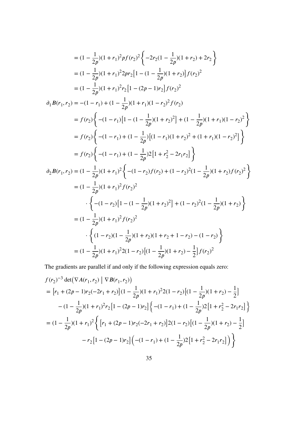$$
= (1 - \frac{1}{2p})(1 + r_1)^2 p f(r_2)^2 \left\{-2r_2(1 - \frac{1}{2p})(1 + r_2) + 2r_2\right\}
$$
  
\n
$$
= (1 - \frac{1}{2p})(1 + r_1)^2 2pr_2 [1 - (1 - \frac{1}{2p})(1 + r_2)] f(r_2)^2
$$
  
\n
$$
= (1 - \frac{1}{2p})(1 + r_1)^2 r_2 [1 - (2p - 1)r_2] f(r_2)^2
$$
  
\n
$$
\partial_1 B(r_1, r_2) = -(1 - r_1) + (1 - \frac{1}{2p})(1 + r_1)(1 - r_2)^2 f(r_2)
$$
  
\n
$$
= f(r_2) \left\{ -(1 - r_1)[1 - (1 - \frac{1}{2p})(1 + r_2)^2] + (1 - \frac{1}{2p})(1 + r_1)(1 - r_2)^2 \right\}
$$
  
\n
$$
= f(r_2) \left\{ -(1 - r_1) + (1 - \frac{1}{2p})(1 + r_2)^2 + (1 + r_1)(1 - r_2)^2 \right\}
$$
  
\n
$$
= f(r_2) \left\{ -(1 - r_1) + (1 - \frac{1}{2p})[1 + r_2^2 - 2r_1 r_2] \right\}
$$
  
\n
$$
\partial_2 B(r_1, r_2) = (1 - \frac{1}{2p})(1 + r_1)^2 \left\{ -(1 - r_2)f(r_2) + (1 - r_2)^2(1 - \frac{1}{2p})(1 + r_2)f(r_2)^2 \right\}
$$
  
\n
$$
= (1 - \frac{1}{2p})(1 + r_1)^2 f(r_2)^2
$$
  
\n
$$
\cdot \left\{ -(1 - r_2)[1 - (1 - \frac{1}{2p})(1 + r_2)^2] + (1 - r_2)^2(1 - \frac{1}{2p})(1 + r_2)^2 \right\}
$$
  
\n
$$
= (1 - \frac{1}{2p})(1 + r_1)^2 f(r_2)^2
$$
  
\n
$$
\cdot \left\{ (1 - r_2)(1 - \frac{1}{2p})(1 + r_2)(1 + r_2 + 1 - r_2) - (1 - r_2) \right\}
$$
  
\n

The gradients are parallel if and only if the following expression equals zero:

$$
f(r_2)^{-3} \det(\nabla A(r_1, r_2) | \nabla B(r_1, r_2))
$$
  
= 
$$
[r_1 + (2p - 1)r_2(-2r_1 + r_2)](1 - \frac{1}{2p})(1 + r_1)^2 2(1 - r_2)[(1 - \frac{1}{2p})(1 + r_2) - \frac{1}{2}]
$$

$$
- (1 - \frac{1}{2p})(1 + r_1)^2 r_2 [1 - (2p - 1)r_2] \Big\{ -(1 - r_1) + (1 - \frac{1}{2p})2 [1 + r_2^2 - 2r_1r_2] \Big\}
$$

$$
= (1 - \frac{1}{2p})(1 + r_1)^2 \Big\{ [r_1 + (2p - 1)r_2(-2r_1 + r_2)]2(1 - r_2)[(1 - \frac{1}{2p})(1 + r_2) - \frac{1}{2}]
$$

$$
- r_2 [1 - (2p - 1)r_2] \Big( -(1 - r_1) + (1 - \frac{1}{2p})2 [1 + r_2^2 - 2r_1r_2] \Big) \Big\}
$$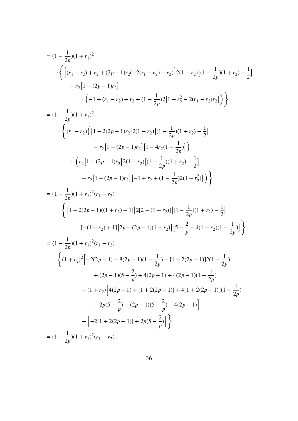$$
= (1 - \frac{1}{2p})(1 + r_1)^2
$$
  
\n
$$
\begin{aligned}\n&\cdot \left\{ \left[ (r_1 - r_2) + r_2 + (2p - 1)r_2(-2(r_1 - r_2) - r_2) \right] 2(1 - r_2) \left[ (1 - \frac{1}{2p})(1 + r_2) - \frac{1}{2} \right] \right. \\
&\quad \left. - r_2 \left[ 1 - (2p - 1)r_2 \right] \\
&\quad \cdot \left( -1 + (r_1 - r_2) + r_2 + (1 - \frac{1}{2p})2 \left[ 1 - r_2^2 - 2(r_1 - r_2)r_2 \right] \right) \right\} \\
&= (1 - \frac{1}{2p})(1 + r_1)^2 \\
&\quad \cdot \left\{ (r_1 - r_2) \left( \left[ 1 - 2(2p - 1)r_2 \right] 2(1 - r_2) \left[ (1 - \frac{1}{2p})(1 + r_2) - \frac{1}{2} \right] \right. \\
&\quad \left. - r_2 \left[ 1 - (2p - 1)r_2 \right] \left[ 1 - 4r_2(1 - \frac{1}{2p}) \right] \right) \\
&\quad + \left( r_2 \left[ 1 - (2p - 1)r_2 \right] 2(1 - r_2) \left[ (1 - \frac{1}{2p})(1 + r_2) - \frac{1}{2} \right] \right. \\
&\quad \left. - r_2 \left[ 1 - (2p - 1)r_2 \right] \left[ -1 + r_2 + (1 - \frac{1}{2p})2(1 - r_2^2) \right] \right) \right\} \\
&= (1 - \frac{1}{2p})(1 + r_1)^2(r_1 - r_2) \\
&\quad \cdot \left\{ \left[ 1 - 2(2p - 1)((1 + r_2) - 1)]2[2 - (1 + r_2)] \left[ (1 - \frac{1}{2p})(1 + r_2) - \frac{1}{2} \right] \right.\n\end{aligned}
$$

$$
[-(1 + r_2) + 1][2p - (2p - 1)(1 + r_2)][5 - \frac{2}{p} - 4(1 + r_2)(1 - \frac{1}{2p})]
$$
  
\n
$$
= (1 - \frac{1}{2p})(1 + r_1)^2(r_1 - r_2)
$$
  
\n
$$
\left\{ (1 + r_2)^2 \Big[ -2(2p - 1) - 8(2p - 1)(1 - \frac{1}{2p}) - [1 + 2(2p - 1)]2(1 - \frac{1}{2p}) + (2p - 1)(5 - \frac{2}{p}) + 4(2p - 1) + 4(2p - 1)(1 - \frac{1}{2p}) \Big] + (1 + r_2) \Big[ 4(2p - 1) + [1 + 2(2p - 1)] + 4[1 + 2(2p - 1)](1 - \frac{1}{2p}) \Big]
$$

$$
+(1+r_2)\left[4(2p-1)+[1+2(2p-1)]+4[1+2(2p-1)](1-\frac{1}{2p}-2p(5-\frac{2}{p})-(2p-1)(5-\frac{2}{p})-4(2p-1)\right]
$$

$$
+\left[-2[1+2(2p-1)]+2p(5-\frac{2}{p})\right]\}
$$

$$
=(1-\frac{1}{2p})(1+r_1)^2(r_1-r_2)
$$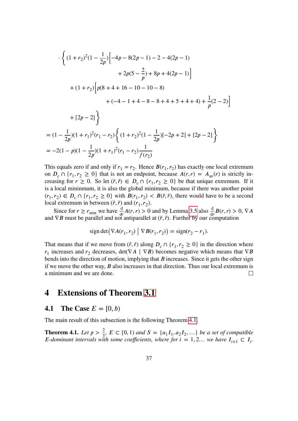$$
\begin{aligned}\n& \cdot \left\{ (1+r_2)^2 (1-\frac{1}{2p}) \Big[ -4p - 8(2p-1) - 2 - 4(2p-1) \Big] \\
&+ 2p(5-\frac{2}{p}) + 8p + 4(2p-1) \Big] \\
&+ (1+r_2) \Big[ p(8+4+16-10-10-8) \\
&+ (-4-1+4-8-8+4+5+4+4) + \frac{1}{p}(2-2) \Big] \\
&+ [2p-2] \right\} \\
&= (1-\frac{1}{2p})(1+r_1)^2 (r_1-r_2) \Big\{ (1+r_2)^2 (1-\frac{1}{2p}) [-2p+2] + [2p-2] \Big\} \\
&= -2(1-p)(1-\frac{1}{2p})(1+r_1)^2 (r_1-r_2) \frac{1}{f(r_2)}\n\end{aligned}
$$

This equals zero if and only if  $r_1 = r_2$ . Hence  $B(r_1, r_2)$  has exactly one local extremum on  $D_c \cap \{r_1, r_2 \ge 0\}$  that is not an endpoint, because  $A(r, r) = A_{\infty}(r)$  is strictly increasing for  $r \ge 0$ . So let  $(\tilde{r}, \tilde{r}) \in D_c \cap \{r_1, r_2 \ge 0\}$  be that unique extremum. If it is a local mininmum, it is also the global minimum, because if there was another point  $(r_1, r_2) \in D_c \cap \{r_1, r_2 \ge 0\}$  with  $B(r_1, r_2) < B(\tilde{r}, \tilde{r})$ , there would have to be a second local extremum in between  $(\tilde{r}, \tilde{r})$  and  $(r_1, r_2)$ .

Since for  $r \ge r_{\text{min}}$  we have  $\frac{d}{dr}A(r, r) > 0$  and by Lemma [3.5](#page-32-0) also  $\frac{d}{dr}B(r, r) > 0$ ,  $\nabla A$ and  $\nabla B$  must be parallel and not antiparallel at  $(\tilde{r}, \tilde{r})$ . Further by our computation

$$
sign det(\nabla A(r_1, r_2) | \nabla B(r_1, r_2)) = sign(r_2 - r_1).
$$

That means that if we move from  $(\tilde{r}, \tilde{r})$  along  $D_c \cap \{r_1, r_2 \ge 0\}$  in the direction where  $r_1$  increases and  $r_2$  decreases, det( $\nabla A \mid \nabla B$ ) becomes negative which means that  $\nabla B$ bends into the direction of motion, implying that  $B$  increases. Since it gets the other sign if we move the other way,  $B$  also increases in that direction. Thus our local extremum is a minimum and we are done.  $\Box$ 

### **4 Extensions of Theorem [3.1](#page-25-0)**

#### **4.1** The Case  $E = [0, b)$

The main result of this subsection is the following Theorem [4.1.](#page-38-0)

<span id="page-38-0"></span>**Theorem 4.1.** *Let*  $p > \frac{2}{3}$ ,  $E \subset [0, 1)$  *and*  $S = \{a_1I_1, a_2I_2, ...\}$  *be a set of compatible E*-dominant intervals with some coefficients, where for  $i = 1, 2...$  we have  $I_{i+1} \subset I_i$ .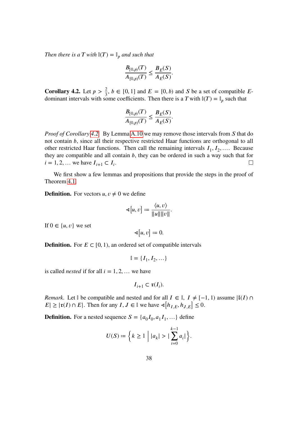*Then there is a T with*  $\mathbb{I}(T) = \mathbb{I}_p$  *and such that* 

$$
\frac{B_{[0,p)}(T)}{A_{[0,p)}(T)} \le \frac{B_E(S)}{A_E(S)}.
$$

<span id="page-39-0"></span>**Corollary 4.2.** Let  $p > \frac{2}{3}$ ,  $b \in [0, 1]$  and  $E = [0, b)$  and S be a set of compatible Edominant intervals with some coefficients. Then there is a T with  $\mathbb{I}(T) = \mathbb{I}_p$  such that

$$
\frac{B_{[0,p)}(T)}{A_{[0,p)}(T)} \le \frac{B_E(S)}{A_E(S)}.
$$

*Proof of Corollary* [4.2.](#page-39-0) By Lemma [A.10](#page-72-0) we may remove those intervals from S that do not contain  $b$ , since all their respective restricted Haar functions are orthogonal to all other restricted Haar functions. Then call the remaining intervals  $I_1, I_2, \ldots$  Because they are compatible and all contain  $b$ , they can be ordered in such a way such that for  $i = 1, 2, ...$  we have  $I_{i+1} \subset I_i$ .  $\Box$ 

We first show a few lemmas and propositions that provide the steps in the proof of Theorem [4.1.](#page-38-0)

**Definition.** For vectors  $u, v \neq 0$  we define

$$
\mathfrak{\lhd} [u, v] := \frac{\langle u, v \rangle}{\|u\| \|v\|}.
$$

If  $0 \in \{u, v\}$  we set

$$
\sphericalangle [u, v] \coloneqq 0.
$$

**Definition.** For  $E \subset [0, 1)$ , an ordered set of compatible intervals

$$
\mathbb{I} = \{I_1, I_2, \dots\}
$$

is called *nested* if for all  $i = 1, 2, ...$  we have

$$
I_{i+1} \subset \mathfrak{r}(I_i).
$$

*Remark.* Let  $\mathbb{I}$  be compatible and nested and for all  $I \in \mathbb{I}$ ,  $I \neq [-1, 1)$  assume  $\mathcal{I}(I) \cap$  $|E| \geq |\mathfrak{r}(I) \cap E|$ . Then for any  $I, J \in \mathbb{I}$  we have  $\mathcal{A}[h_{I,E}, h_{J,E}] \leq 0$ .

**Definition.** For a nested sequence  $S = \{a_0I_0, a_1I_1, ...\}$  define

$$
U(S) := \left\{ k \ge 1 \mid |a_k| > | \sum_{i=0}^{k-1} a_i| \right\}.
$$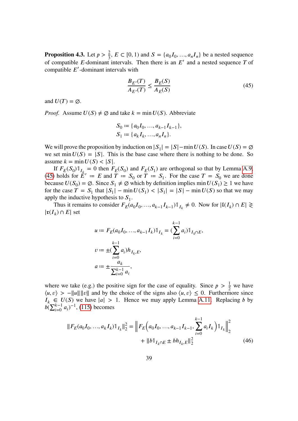<span id="page-40-2"></span>**Proposition 4.3.** Let  $p > \frac{2}{3}$ ,  $E \subset [0, 1)$  and  $S = \{a_0I_0, ..., a_nI_n\}$  be a nested sequence of compatible E-dominant intervals. Then there is an  $E'$  and a nested sequence T of compatible  $E'$ -dominant intervals with

<span id="page-40-0"></span>
$$
\frac{B_{E'}(T)}{A_{E'}(T)} \le \frac{B_E(S)}{A_E(S)}\tag{45}
$$

and  $U(T) = \emptyset$ .

*Proof.* Assume  $U(S) \neq \emptyset$  and take  $k = \min U(S)$ . Abbreviate

$$
S_0 := \{a_0I_0, ..., a_{k-1}I_{k-1}\},\,
$$
  

$$
S_1 := \{a_kI_k, ..., a_nI_n\}.
$$

We will prove the proposition by induction on  $|S_1| = |S| - \min U(S)$ . In case  $U(S) = \emptyset$ we set min  $U(S) = |S|$ . This is the base case where there is nothing to be done. So assume  $k = \min U(S) < |S|$ .

If  $F_E(S_0)1_{I_{k-1}} = 0$  then  $F_E(S_0)$  and  $F_E(S_1)$  are orthogonal so that by Lemma [A.9,](#page-71-0) [\(45\)](#page-40-0) holds for  $\hat{E}' = E$  and  $T = S_0$  or  $T = S_1$ . For the case  $T = S_0$  we are done because  $U(S_0) = \emptyset$ . Since  $S_1 \neq \emptyset$  which by definition implies min  $U(S_1) \geq 1$  we have for the case  $T = S_1$  that  $|S_1| - \min U(S_1) < |S_1| = |S| - \min U(S)$  so that we may apply the inductive hypothesis to  $S_1$ .

Thus it remains to consider  $F_E(a_0I_0, ..., a_{k-1}I_{k-1})\mathbb{1}_{I_k} \neq 0$ . Now for  $|\mathfrak{l}(I_k) \cap E| \geq 0$  $|\mathfrak{r}(I_k) \cap E|$  set

$$
u := F_E(a_0I_0, ..., a_{k-1}I_k) \mathbb{1}_{I_k} = (\sum_{i=0}^{k-1} a_i) \mathbb{1}_{I_k \cap E},
$$
  

$$
v := \pm (\sum_{i=0}^{k-1} a_i) h_{I_k, E},
$$
  

$$
a := \pm \frac{a_k}{\sum_{i=0}^{k-1} a_i},
$$

where we take (e.g.) the positive sign for the case of equality. Since  $p > \frac{1}{2}$  we have  $\langle u, v \rangle$  > - $||u|| ||v||$  and by the choice of the signs also  $\langle u, v \rangle \leq 0$ . Furthermore since  $I_k \in U(S)$  we have  $|a| > 1$ . Hence we may apply Lemma [A.11.](#page-72-1) Replacing b by  $b(\sum_{i=0}^{k-1} a_i)^{-1}$ , [\(115\)](#page-72-2) becomes

<span id="page-40-1"></span>
$$
||F_E(a_0I_0, ..., a_kI_k)\mathbb{1}_{I_k}||_2^2 = ||F_E(a_0I_0, ..., a_{k-1}I_{k-1}, \sum_{i=0}^{k-1} a_iI_k)\mathbb{1}_{I_k}||_2^2
$$
  
+ 
$$
||b\mathbb{1}_{I_k \cap E} \pm bh_{I_k, E}||_2^2
$$
 (46)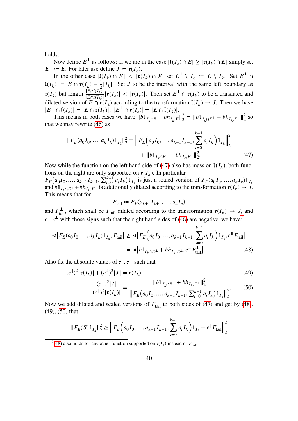holds.

Now define  $E^{\perp}$  as follows: If we are in the case  $|\mathfrak{l}(I_k) \cap E| \geq |\mathfrak{r}(I_k) \cap E|$  simply set  $E^{\perp}$  = E. For later use define  $J = \mathfrak{r}(I_k)$ .

In the other case  $|I(I_k) \cap E| < |\mathfrak{r}(I_k) \cap E|$  set  $E^{\perp} \setminus I_k := E \setminus I_k$ . Set  $E^{\perp} \cap$  $\mathfrak{l}(I_k) := E \cap \mathfrak{r}(I_k) - \frac{1}{2}|I_k|$ . Set *J* to be the interval with the same left boundary as 2  $\mathfrak{r}(I_k)$  but length  $\frac{|E \cap I(I_k)|}{|E \cap \mathfrak{r}(I_k)|}$  $\frac{|E \cap I(I_k)|}{|E \cap I(k)|} |\mathfrak{r}(I_k)| < |\mathfrak{r}(I_k)|$ . Then set  $E^{\perp} \cap \mathfrak{r}(I_k)$  to be a translated and dilated version of  $E \cap \mathfrak{r}(I_k)$  according to the transformation  $\mathfrak{l}(I_k) \to J$ . Then we have  $|E^{\perp} \cap \mathfrak{l}(I_k)| = |E \cap \mathfrak{r}(I_k)|, |E^{\perp} \cap \mathfrak{r}(I_k)| = |E \cap \mathfrak{l}(I_k)|.$ 

This means in both cases we have  $||b||_{I_k \cap E} \pm bh_{I_k, E}||_2^2$  $\frac{2}{2} = ||b \mathbb{1}_{I_k \cap E^{\perp}} + bh_{I_k, E^{\perp}}||_2^2$  $rac{2}{2}$  so that we may rewrite [\(46\)](#page-40-1) as

$$
||F_E(a_0I_0, ..., a_kI_k)\mathbb{1}_{I_k}||_2^2 = ||F_E(a_0I_0, ..., a_{k-1}I_{k-1}, \sum_{i=0}^{k-1} a_iI_k)\mathbb{1}_{I_k}||_2^2
$$
  
+ 
$$
||b\mathbb{1}_{I_k \cap E^{\perp}} + bh_{I_k, E^{\perp}}||_2^2.
$$
 (47)

Now while the function on the left hand side of [\(47\)](#page-41-0) also has mass on  $\mathfrak{l}(I_k)$ , both functions on the right are only supported on  $\mathfrak{r}(I_k)$ . In particular

 $F_E(a_0I_0, ..., a_{k-1}I_{k-1}, \sum_{i=0}^{k-1} a_iI_k) \mathbb{1}_{I_k}$  is just a scaled version of  $F_E(a_0I_0, ..., a_kI_k) \mathbb{1}_{I_k}$ and  $b \mathbb{1}_{I_k \cap E^{\perp}} + b h_{I_k, E^{\perp}}$  is additionally dilated according to the transformation  $\mathfrak{r}(I_k) \to J$ . This means that for

<span id="page-41-4"></span><span id="page-41-3"></span><span id="page-41-1"></span><span id="page-41-0"></span>
$$
F_{\text{tail}} := F_E(a_{k+1}I_{k+1},...,a_nI_n)
$$

and  $F_{\text{tail}}^{\perp}$ , which shall be  $F_{\text{tail}}$  dilated according to the transformation  $\mathfrak{r}(I_k) \to J$ , and  $c^{\parallel}, c^{\perp}$  with those signs such that the right hand sides of [\(48\)](#page-41-1) are negative, we have<sup>[7](#page-41-2)</sup>

$$
\begin{split} \mathcal{A}\big[F_{E}(a_{0}I_{0},...,a_{k}I_{k})\mathbb{1}_{I_{k}},F_{\text{tail}}\big] &\geq \mathcal{A}\big[F_{E}\big(a_{0}I_{0},...,a_{k-1}I_{k-1},\sum_{i=0}^{k-1}a_{i}I_{k}\big)\mathbb{1}_{I_{k}},c^{\parallel}F_{\text{tail}}\big] \\ &= \mathcal{A}\big[b\mathbb{1}_{I_{k}\cap E^{\perp}}+bh_{I_{k},E^{\perp}},c^{\perp}F_{\text{tail}}^{\perp}\big].\end{split} \tag{48}
$$

Also fix the absolute values of  $c^{\parallel}, c^{\perp}$  such that

$$
(c^{\parallel})^2 |\mathfrak{r}(I_k)| + (c^{\perp})^2 |J| = \mathfrak{r}(I_k),
$$
  
\n
$$
(c^{\perp})^2 |J| = \sqrt{|\mathfrak{r}(I_k)|} \sqrt{|\mathfrak{r}(I_k)|^2} + b h_{I_k, E^{\perp}}|_2^2
$$
\n(49)

$$
\frac{\overline{c^{(k)}}^{(k+1)}}{(c^{(k)})^2 |\mathfrak{r}(I_k)|} = \frac{1}{\|F_E(a_0 I_0, \dots, a_{k-1} I_{k-1}, \sum_{i=0}^{k-1} a_i I_k) \mathbb{1}_{I_k}\|_2^2}.\tag{50}
$$

Now we add dilated and scaled versions of  $F<sub>tail</sub>$  to both sides of [\(47\)](#page-41-0) and get by [\(48\)](#page-41-1), [\(49\)](#page-41-3), [\(50\)](#page-41-4) that

$$
||F_E(S)\mathbb{1}_{I_k}||_2^2 \ge ||F_E(a_0I_0, ..., a_{k-1}I_{k-1}, \sum_{i=0}^{k-1} a_iI_k) \mathbb{1}_{I_k} + c||F_{tail}||_2^2
$$

<span id="page-41-2"></span><sup>&</sup>lt;sup>7</sup>[\(48\)](#page-41-1) also holds for any other function supported on  $\mathfrak{r}(I_k)$  instead of  $F_{\text{tail}}$ .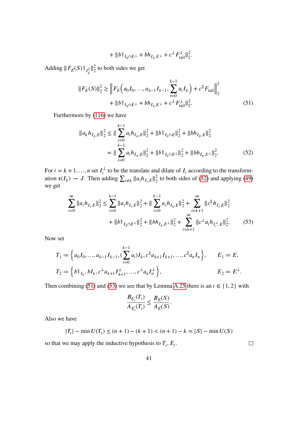<span id="page-42-1"></span><span id="page-42-0"></span>
$$
+ \|b\mathbb{1}_{I_k \cap E^{\perp}} + bh_{I_k, E^{\perp}} + c^{\perp} F_{\text{tail}}^{\perp} \|_2^2.
$$

Adding  $||F_E(S)1||_I^2$  $\frac{2}{2}$  to both sides we get

$$
||F_E(S)||_2^2 \ge ||F_E(a_0I_0, ..., a_{k-1}I_{k-1}, \sum_{i=0}^{k-1} a_iI_k) + c||F_{tail}||_2^2
$$
  
+  $||b||_{I_k \cap E^{\perp}} + bh_{I_k, E^{\perp}} + c^{\perp}F_{tail}^{\perp}||_2^2.$  (51)

Furthermore by [\(116\)](#page-72-3) we have

$$
||a_{k}h_{I_{k},E}||_{2}^{2} \le ||\sum_{i=0}^{k-1} a_{i}h_{I_{k},E}||_{2}^{2} + ||b||_{I_{k} \cap E}||_{2}^{2} + ||bh_{I_{k},E}||_{2}^{2}
$$
  

$$
= ||\sum_{i=0}^{k-1} a_{i}h_{I_{k},E}||_{2}^{2} + ||b||_{I_{k} \cap E^{\perp}}||_{2}^{2} + ||bh_{I_{k},E^{\perp}}||_{2}^{2}.
$$
 (52)

For  $i = k + 1, ..., n$  set  $I_i^{\perp}$  $t_i^{\perp}$  to be the translate and dilate of  $I_i$  according to the transformation  $\mathfrak{r}(I_k) \to J$ . Then adding  $\sum_{i \neq k} ||a_i h_{I_i, E}||_2^2$  $\frac{2}{2}$  to both sides of [\(52\)](#page-42-0) and applying [\(49\)](#page-41-3) we get

$$
\sum_{i=0}^{\infty} \|a_i h_{I_i, E}\|_2^2 \le \sum_{i=0}^{k-1} \|a_i h_{I_i, E}\|_2^2 + \|\sum_{i=0}^{k-1} a_i h_{I_k, E}\|_2^2 + \sum_{i=k+1}^{\infty} \|c \|h_{I_i, E}\|_2^2
$$
  
+ 
$$
\|b\|_{I_k \cap E^{\perp}}\|_2^2 + \|bh_{I_k, E^{\perp}}\|_2^2 + \sum_{i=k+1}^{\infty} \|c^{\perp}a_i h_{I_i^{\perp}, E}\|_2^2.
$$
 (53)

Now set

$$
T_1 := \left\{ a_0 I_0, \dots, a_{k-1} I_{k-1}, \left( \sum_{i=0}^{k-1} a_i \right) I_k, c^\parallel a_{k+1} I_{k+1}, \dots, c^\parallel a_n I_n \right\}, \qquad E_1 := E,
$$
  

$$
T_2 := \left\{ b^\parallel I_k, b^\parallel I_k, c^\perp a_{k+1} I_{k+1}^\perp, \dots, c^\perp a_n I_n^\perp \right\}, \qquad E_2 := E^\perp.
$$

Then combining [\(51\)](#page-42-1) and [\(53\)](#page-42-2) we see that by Lemma [A.25](#page-86-0) there is an  $i \in \{1, 2\}$  with

$$
\frac{B_{E_i}(T_i)}{A_{E_i}(T_i)} \le \frac{B_E(S)}{A_E(S)}.
$$

Also we have

$$
|T_i| - \min U(T_i) \le (n+1) - (k+1) < (n+1) - k = |S| - \min U(S)
$$

so that we may apply the inductive hypothesis to  $T_i$ ,  $E_i$ .

<span id="page-42-2"></span> $\hfill \square$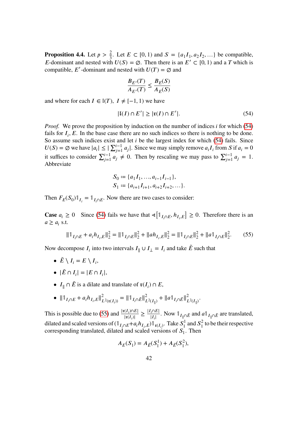<span id="page-43-2"></span>**Proposition 4.4.** Let  $p > \frac{2}{3}$ . Let  $E \subset [0, 1)$  and  $S = \{a_1I_1, a_2I_2, ...\}$  be compatible, E-dominant and nested with  $U(S) = \emptyset$ . Then there is an  $E' \subset [0, 1)$  and a T which is compatible, E'-dominant and nested with  $U(T) = \emptyset$  and

$$
\frac{B_{E'}(T)}{A_{E'}(T)} \le \frac{B_E(S)}{A_E(S)}
$$

and where for each  $I \in \mathbb{I}(T)$ ,  $I \neq [-1, 1)$  we have

<span id="page-43-0"></span>
$$
|\mathfrak{l}(I) \cap E'| \ge |\mathfrak{r}(I) \cap E'|.
$$
 (54)

*Proof.* We prove the proposition by induction on the number of indices *i* for which [\(54\)](#page-43-0) fails for  $I_i$ , E. In the base case there are no such indices so there is nothing to be done. So assume such indices exist and let  $i$  be the largest index for which [\(54\)](#page-43-0) fails. Since  $U(S) = \emptyset$  we have  $|a_i| \leq |\sum_{j=1}^{i-1} a_j|$ . Since we may simply remove  $a_i I_i$  from S if  $a_i = 0$ it suffices to consider  $\sum_{j=1}^{i-1} a_j \neq 0$ . Then by rescaling we may pass to  $\sum_{j=1}^{i-1} a_j = 1$ . Abbreviate

$$
S_0 := \{a_1 I_1, \dots, a_{i-1} I_{i-1}\},
$$
  

$$
S_1 := \{a_{i+1} I_{i+1}, a_{i+2} I_{i+2}, \dots\}.
$$

Then  $F_E(S_0) \mathbb{1}_{I_i} = \mathbb{1}_{I_i \cap E}$ . Now there are two cases to consider:

**Case**  $a_i \ge 0$  Since [\(54\)](#page-43-0) fails we have that  $\leq \lfloor \mathbb{1}_{I_i \cap E}, h_{I_i, E} \rfloor \ge 0$ . Therefore there is an  $a \ge a_i$  s.t.

<span id="page-43-1"></span>
$$
\|\mathbb{1}_{I_i \cap E} + a_i h_{I_i, E}\|_2^2 = \|\mathbb{1}_{I_i \cap E}\|_2^2 + \|ah_{I_i, E}\|_2^2 = \|\mathbb{1}_{I_i \cap E}\|_2^2 + \|a\mathbb{1}_{I_i \cap E}\|_2^2. \tag{55}
$$

Now decompose  $I_i$  into two intervals  $I_{\parallel} \cup I_{\perp} = I_i$  and take  $\tilde{E}$  such that

- $\tilde{E} \setminus I_i = E \setminus I_i$ ,
- $|\tilde{E} \cap I_i| = |E \cap I_i|,$
- $I_{\parallel} \cap \tilde{E}$  is a dilate and translate of  $\mathfrak{r}(I_i) \cap E$ ,
- $\|1_{I_i \cap E} + a_i h_{I_i, E}\|_L^2$  $\frac{2}{L^2(\mathfrak{r}(I_i))} = ||\mathbb{1}_{I_i \cap \tilde{E}}||_I^2$  $\frac{2}{L^2(I_{\parallel})} + ||a \mathbb{1}_{I_i \cap \tilde{E}}||_L^2$  $_{L^2(I_{\parallel})}^2$ .

This is possible due to [\(55\)](#page-43-1) and  $\frac{|\mathfrak{r}(I_i) \cap E|}{|\mathfrak{r}(I)|}$  $\frac{|I_i \cap E|}{|\mathfrak{r}(I_i)|} \geq \frac{|I_i \cap E|}{|I_i|}$  $\frac{I_{\text{max}}}{|I_i|}$ . Now  $\mathbb{1}_{I_{\parallel}\cap\tilde{E}}$  and  $a\mathbb{1}_{I_{\parallel}\cap\tilde{E}}$  are translated, dilated and scaled versions of  $(\mathbb{1}_{I_i \cap E} + a_i h_{I_i,E}) \mathbb{1}_{\mathfrak{r}(I_i)}$ . Take  $S_1^1$  $\int_1^1$  and  $S_1^2$  $\frac{1}{1}$  to be their respective corresponding translated, dilated and scaled versions of  $S_1$ . Then

$$
A_E(S_1) = A_{\tilde{E}}(S_1^1) + A_{\tilde{E}}(S_1^2),
$$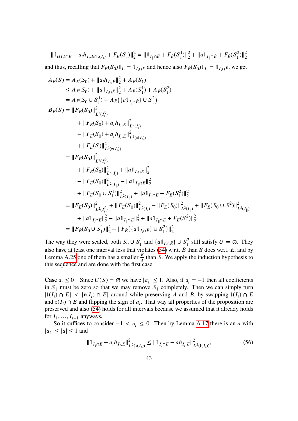$\|\mathbb{1}_{\mathfrak{x}(I_i)\cap E} + a_i h_{I_i, E\cap \mathfrak{x}(I_i)} + F_E(S_1)\|_2^2 = \|\mathbb{1}_{I_{\|\cap \tilde{E}}} + F_{\tilde{E}}(S_1^1)\|_2^2 + \|a\mathbb{1}_{I_{\|\cap \tilde{E}}} + F_{\tilde{E}}(S_1^2)\|_2^2$ and thus, recalling that  $F_E(S_0) \mathbb{1}_{I_i} = \mathbb{1}_{I_i \cap E}$  and hence also  $F_{\tilde{E}}(S_0) \mathbb{1}_{I_i} = \mathbb{1}_{I_i \cap \tilde{E}}$ , we get

$$
A_{E}(S) = A_{E}(S_{0}) + ||a_{i}h_{I_{i},E}||_{2}^{2} + A_{E}(S_{1})
$$
  
\n
$$
\leq A_{E}(S_{0}) + ||a_{1_{I_{i}\cap E}}||_{2}^{2} + A_{E}(S_{1}^{1}) + A_{E}(S_{1}^{2})
$$
  
\n
$$
= A_{E}(S_{0} \cup S_{1}^{1}) + A_{E}((a_{1_{I_{i}\cap E}}) \cup S_{1}^{2})
$$
  
\n
$$
B_{E}(S) = ||F_{E}(S_{0})||_{L^{2}(I_{i}^{c})}^{2}
$$
  
\n
$$
+ ||F_{E}(S_{0}) + a_{i}h_{I_{i},E}||_{L^{2}(I_{i})}^{2}
$$
  
\n
$$
- ||F_{E}(S_{0}) + a_{i}h_{I_{i},E}||_{L^{2}(\tau(I_{i}))}^{2}
$$
  
\n
$$
+ ||F_{E}(S)||_{L^{2}(\tau(I_{i}))}^{2}
$$
  
\n
$$
+ ||F_{E}(S)||_{L^{2}(\tau(I_{i}))}^{2}
$$
  
\n
$$
+ ||F_{E}(S_{0})||_{L^{2}(I_{i})}^{2} + ||a_{1_{I_{i}\cap E}}||_{2}^{2}
$$
  
\n
$$
- ||F_{E}(S_{0})||_{L^{2}(I_{i})}^{2} - ||a_{1_{I_{i}\cap E}}||_{2}^{2}
$$
  
\n
$$
+ ||F_{E}(S_{0} \cup S_{1}^{1})||_{L^{2}(I_{i})}^{2} + ||a_{1_{I_{i}\cap E}} + F_{E}(S_{1}^{2})||_{2}^{2}
$$
  
\n
$$
= ||F_{E}(S_{0})||_{L^{2}(I_{i}^{c})}^{2} + ||F_{E}(S_{0})||_{L^{2}(I_{i})}^{2} - ||F_{E}(S_{0})||_{L^{2}(I_{i})}^{2} + ||F_{E}(S_{0} \cup S_{1}^{2})||_{L^{2}(I_{i})}^{2}
$$
  
\n
$$
+ ||a_{1_{I_{i}\cap E}}||_{2}^{2} - ||a_{1_{I_{i}\cap E}}||_{2}^{2} + ||a_{1_{I_{i}\cap E}} + F_{E}(S_{1}^{2
$$

The way they were scaled, both  $S_0 \cup S_1^1$  and  $\{a \mathbb{1}_{I_i \cap \tilde{E}}\} \cup S_1^2$  still satisfy  $U = \emptyset$ . They also have at least one interval less that violates [\(54\)](#page-43-0) w.r.t.  $\tilde{E}$  than  $S$  does w.r.t.  $E$ , and by Lemma [A.25](#page-86-0) one of them has a smaller  $\frac{B}{A}$  than S. We apply the induction hypothesis to this sequence and are done with the first case.

**Case**  $a_i$  ≤ 0 Since  $U(S) = \emptyset$  we have  $|a_i|$  ≤ 1. Also, if  $a_i = -1$  then all coefficients in  $S_1$  must be zero so that we may remove  $S_1$  completely. Then we can simply turn  $|I(I_i) \cap E| < |I(I_i) \cap E|$  around while preserving A and B, by swapping  $I(I_i) \cap E$ and  $\mathfrak{r}(I_i) \cap E$  and flipping the sign of  $a_i$ . That way all properties of the proposition are preserved and also [\(54\)](#page-43-0) holds for all intervals because we assumed that it already holds for  $I_1, ..., I_{i-1}$  anyways.

So it suffices to consider  $-1 < a_i \leq 0$ . Then by Lemma [A.17](#page-79-0) there is an *a* with  $|a_i| \leq |a| \leq 1$  and

<span id="page-44-0"></span>
$$
\|1\|_{I_i \cap E} + a_i h_{I_i, E}\|_{L^2(\mathfrak{r}(I_i))}^2 \le \|1\|_{I_i \cap E} - a h_{I_i, E}\|_{L^2(\mathfrak{t}(I_i))}^2,\tag{56}
$$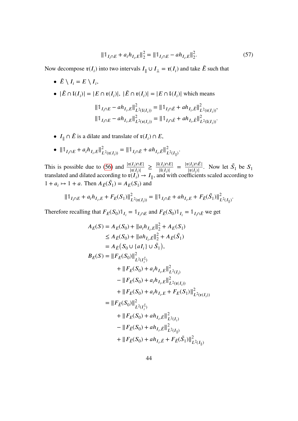$$
\|\mathbb{1}_{I_i \cap E} + a_i h_{I_i, E}\|_2^2 = \|\mathbb{1}_{I_i \cap E} - a h_{I_i, E}\|_2^2.
$$
 (57)

Now decompose  $\mathfrak{r}(I_i)$  into two intervals  $I_{\parallel} \cup I_{\perp} = \mathfrak{r}(I_i)$  and take  $\tilde{E}$  such that

- $\tilde{E} \setminus I_i = E \setminus I_i$ , •  $|\tilde{E} \cap \mathfrak{l}(I_i)| = |E \cap \mathfrak{r}(I_i)|, |\tilde{E} \cap \mathfrak{r}(I_i)| = |E \cap \mathfrak{l}(I_i)|$  which means  $\|\mathbb{1}_{I_i \cap E} - ah_{I_i,E}\|_{I_i}^2$  $\sum_{L^2(I(I_i))}^2 = ||\mathbb{1}_{I_i \cap \tilde{E}} + ah_{I_i, \tilde{E}}||_I^2$  $\frac{2}{L^2(\mathfrak{r}(I_i))}$  $\|\mathbb{1}_{I_i \cap E} - ah_{I_i,E}\|_{I_i}^2$  $\sum_{L^2(\mathfrak{r}(I_i))}^2 = ||\mathbb{1}_{I_i \cap \tilde{E}} + ah_{I_i, \tilde{E}}||_I^2$  $_{L^2(I(I_i))}^L$
- $I_{\parallel} \cap \tilde{E}$  is a dilate and translate of  $\mathfrak{r}(I_i) \cap E$ ,
- $\|1_{I_i \cap E} + a_i h_{I_i, E}\|_L^2$  $\sum_{L^2(\mathfrak{r}(I_i))}^2 = ||\mathbb{1}_{I_i \cap \tilde{E}} + ah_{I_i, \tilde{E}}||_I^2$  $_{L^{2}(I_{\parallel})}^{\prime}$ .

This is possible due to [\(56\)](#page-44-0) and  $\frac{|\mathfrak{r}(I_i) \cap E|}{|\mathfrak{r}(I)|}$  $\frac{|f(I_i) \cap E|}{|\mathfrak{r}(I_i)|} \geq \frac{|\mathfrak{l}(I_i) \cap E|}{|\mathfrak{l}(I_i)|}$  $\frac{|(I_i) \cap E|}{|{\mathfrak l}(I_i)|} = \frac{|{\mathfrak r}(I_i) \cap \tilde{E}|}{|{\mathfrak r}(I_i)|}$  $\frac{|\mathfrak{x}(I_i)\cap E|}{|\mathfrak{x}(I_i)|}$ . Now let  $\tilde{S}_1$  be  $S_1$ translated and dilated according to  $\mathfrak{r}(I_i) \to I_{\parallel}$ , and with coefficients scaled according to  $1 + a_i \mapsto 1 + a$ . Then  $A_{\tilde{E}}(\tilde{S}_1) = A_E(S_1)$  and

$$
\|\mathbb{1}_{I_i \cap E} + a_i h_{I_i, E} + F_E(S_1)\|_{L^2(\mathfrak{r}(I_i))}^2 = \|\mathbb{1}_{I_i \cap \tilde{E}} + a h_{I_i, E} + F_{\tilde{E}}(\tilde{S_1})\|_{L^2(I_{\parallel})}^2.
$$

Therefore recalling that  $F_E(S_0) \mathbb{1}_{I_i} = \mathbb{1}_{I_i \cap E}$  and  $F_{\tilde{E}}(S_0) \mathbb{1}_{I_i} = \mathbb{1}_{I_i \cap \tilde{E}}$  we get

$$
A_{E}(S) = A_{E}(S_{0}) + ||a_{i}h_{I_{i},E}||_{2}^{2} + A_{E}(S_{1})
$$
  
\n
$$
\leq A_{E}(S_{0}) + ||ah_{I_{i},E}||_{2}^{2} + A_{E}(S_{1})
$$
  
\n
$$
= A_{E}(S_{0} \cup \{aI_{i}\} \cup \tilde{S}_{1}),
$$
  
\n
$$
B_{E}(S) = ||F_{E}(S_{0})||_{L^{2}(I_{i}^{c})}^{2}
$$
  
\n
$$
+ ||F_{E}(S_{0}) + a_{i}h_{I_{i},E}||_{L^{2}(I_{i})}^{2}
$$
  
\n
$$
- ||F_{E}(S_{0}) + a_{i}h_{I_{i},E}||_{L^{2}(\mathfrak{x}(I_{i}))}^{2}
$$
  
\n
$$
+ ||F_{E}(S_{0}) + a_{i}h_{I_{i},E} + F_{E}(S_{1})||_{L^{2}(\mathfrak{x}(I_{i}))}^{2}
$$
  
\n
$$
= ||F_{E}(S_{0})||_{L^{2}(I_{i}^{c})}^{2}
$$
  
\n
$$
+ ||F_{E}(S_{0}) + ah_{I_{i},E}||_{L^{2}(I_{i})}^{2}
$$
  
\n
$$
- ||F_{E}(S_{0}) + ah_{I_{i},E}||_{L^{2}(I_{i})}^{2}
$$
  
\n
$$
+ ||F_{E}(S_{0}) + ah_{I_{i},E}||_{L^{2}(I_{i})}^{2}
$$
  
\n
$$
+ ||F_{E}(S_{0}) + ah_{I_{i},E} + F_{E}(\tilde{S}_{1})||_{L^{2}(I_{i})}^{2}
$$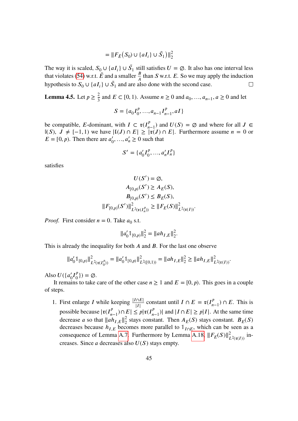$$
= || F_{\tilde{E}}(S_0) \cup \{aI_i\} \cup \tilde{S}_1 \rangle ||_2^2
$$

The way it is scaled,  $S_0 \cup \{aI_i\} \cup \tilde{S}_1$  still satisfies  $U = \emptyset$ . It also has one interval less that violates [\(54\)](#page-43-0) w.r.t.  $\tilde{E}$  and a smaller  $\frac{B}{A}$  than S w.r.t. E. So we may apply the induction hypothesis to  $S_0 \cup \{aI_i\} \cup \tilde{S}_1$  and are also done with the second case.  $\Box$ 

<span id="page-46-0"></span>**Lemma 4.5.** Let  $p \ge \frac{2}{3}$  and  $E \subset [0, 1)$ . Assume  $n \ge 0$  and  $a_0, ..., a_{n-1}, a \ge 0$  and let

$$
S = \{a_0 I_0^p, \dots, a_{n-1} I_{n-1}^p, aI\}
$$

be compatible, E-dominant, with  $I \subset \mathfrak{r}(I_{n-1}^p)$  and  $U(S) = \emptyset$  and where for all  $J \in$  $\mathbb{I}(S), J \neq [-1, 1)$  we have  $|\mathfrak{l}(J) \cap E| \geq |\mathfrak{r}(J) \cap E|$ . Furthermore assume  $n = 0$  or  $E = [0, p)$ . Then there are  $a'_0$  $a'_0, ..., a'_n \ge 0$  such that

$$
S' = \{a'_0I_0^p, ..., a'_nI_n^p\}
$$

satisfies

$$
U(S') = \emptyset,
$$
  
\n
$$
A_{[0,p)}(S') \ge A_E(S),
$$
  
\n
$$
B_{[0,p)}(S') \le B_E(S),
$$
  
\n
$$
||F_{[0,p)}(S')||_{L^2(\mathfrak{r}(I_n^p))}^2 \ge ||F_E(S)||_{L^2(\mathfrak{r}(I))}^2.
$$

*Proof.* First consider  $n = 0$ . Take  $a_0$  s.t.

$$
||a'_01_{[0,p)}||_2^2 = ||ah_{I,E}||_2^2.
$$

This is already the inequality for both  $A$  and  $B$ . For the last one observe

$$
||a'_01_{[0,p)}||^2_{L^2(\mathfrak{r}(I_0^p))} = ||a'_01_{[0,p)}||^2_{L^2([0,1))} = ||ah_{I,E}||^2_{2} \ge ||ah_{I,E}||^2_{L^2(\mathfrak{r}(I))}.
$$

Also  $U({a'_0}I_0^p)$  $\binom{p}{0}$ ) =  $\varnothing$ .

It remains to take care of the other case  $n \ge 1$  and  $E = [0, p)$ . This goes in a couple of steps.

1. First enlarge *I* while keeping  $\frac{|I \cap E|}{|I|}$  constant until  $I \cap E = \mathfrak{r}(I_{n-1}^p) \cap E$ . This is possible because  $|\mathfrak{r}(I_{n-1}^p) \cap E| \leq p |\mathfrak{r}(I_{n-1}^p)|$  and  $|I \cap E| \geq p |I|$ . At the same time decrease *a* so that  $||ah_{I,E}||_2^2$  $\frac{2}{2}$  stays constant. Then  $A_E(S)$  stays constant.  $B_E(S)$ decreases because  $h_{I,E}$  becomes more parallel to  $\mathbb{1}_{I\cap E}$ , which can be seen as a consequence of Lemma [A.7.](#page-71-1) Furthermore by Lemma [A.18,](#page-81-0)  $||F_E(S)||^2_{L^2(\mathfrak{r}(I))}$  increases. Since  $a$  decreases also  $U(S)$  stays empty.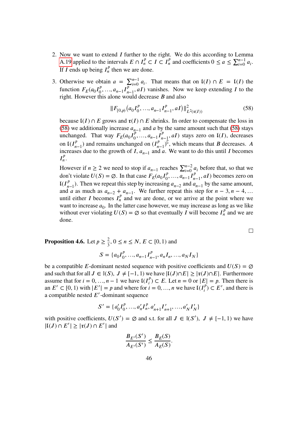- 2. Now we want to extend  $I$  further to the right. We do this according to Lemma [A.19](#page-81-1) applied to the intervals  $E \cap I_n^p \subset I \subset I_n^p$  and coefficients  $0 \le a \le \sum_{i=0}^{n-1} a_i$ . If *I* ends up being  $I_n^p$  $\frac{p}{n}$  then we are done.
- 3. Otherwise we obtain  $a = \sum_{i=0}^{n-1} a_i$ . That means that on  $\mathfrak{l}(I) \cap E = \mathfrak{l}(I)$  the function  $F_E(a_0 I_0^p)$  $\overline{a_0^p}, \ldots, a_{n-1} I_{n-1}^p, aI$  vanishes. Now we keep extending I to the right. However this alone would decrease  $B$  and also

<span id="page-47-0"></span>
$$
||F_{[0,p)}(a_0I_0^p, ..., a_{n-1}I_{n-1}^p, aI)||_{L^2(\mathfrak{r}(I))}^2
$$
\n(58)

because  $I(I) \cap E$  grows and  $\mathfrak{r}(I) \cap E$  shrinks. In order to compensate the loss in [\(58\)](#page-47-0) we additionally increase  $a_{n-1}$  and a by the same amount such that [\(58\)](#page-47-0) stays unchanged. That way  $F_E(a_0 I_0^p)$  $a_0^{\mu}$ , ...,  $a_{n-1}I_{n-1}^{\nu}$ , aI) stays zero on  $\mathfrak{l}(I)$ , decreases on  $I(I_{n-1}^p)$  and remains unchanged on  $(I_{n-1}^p)^{\tilde{C}}$ , which means that *B* decreases. A increases due to the growth of  $\overline{I}$ ,  $a_{n-1}$  and  $\overline{a}$ . We want to do this until  $\overline{I}$  becomes  $I_n^p$  $\frac{p}{n}$ .

However if  $n \ge 2$  we need to stop if  $a_{n-1}$  reaches  $\sum_{i=0}^{n-2} a_i$  before that, so that we don't violate  $U(S) = \emptyset$ . In that case  $F_E(a_0 I_0^p)$  $a_0^p, \ldots, a_{n-1}^p I_{n-1}^p, aI$  becomes zero on  $\mathfrak{I}(I_{n-1}^p)$ . Then we repeat this step by increasing  $a_{n-2}$  and  $a_{n-1}$  by the same amount, and *a* as much as  $a_{n-2} + a_{n-1}$ . We further repeat this step for  $n-3, n-4, ...$ until either I becomes  $I_n^p$  and we are done, or we arrive at the point where we want to increase  $a_0$ . In the latter case however, we may increase as long as we like without ever violating  $U(S) = \emptyset$  so that eventually I will become  $I_n^{\rho}$  and we are done.

 $\Box$ 

<span id="page-47-1"></span>**Proposition 4.6.** Let  $p \ge \frac{2}{3}$ ,  $0 \le n \le N$ ,  $E \subset [0, 1)$  and

$$
S = \{a_0 I_0^p, ..., a_{n-1} I_{n-1}^p, a_n I_n, ..., a_N I_N\}
$$

be a compatible E-dominant nested sequence with positive coefficients and  $U(S) = \emptyset$ and such that for all  $J \in \mathbb{I}(S), J \neq [-1, 1)$  we have  $|\mathfrak{l}(J) \cap E| \geq |\mathfrak{r}(J) \cap E|$ . Furthermore assume that for  $i = 0, ..., n - 1$  we have  $I(I_i^p) \subset E$ . Let  $n = 0$  or  $|E| = p$ . Then there is an  $E' \subset [0, 1)$  with  $|E'| = p$  and where for  $i = 0, ..., n$  we have  $\mathfrak{l}(I_i^p) \subset E'$ , and there is a compatible nested  $E'$ -dominant sequence

$$
S' = \{a'_0I_0^p, ..., a'_nI_n^p, a'_{n+1}I'_{n+1}, ..., a'_N I'_N\}
$$

with positive coefficients,  $U(S') = \emptyset$  and s.t. for all  $J \in \mathbb{I}(S')$ ,  $J \neq [-1, 1)$  we have  $|{\mathfrak l}(J) \cap E'| \geq |{\mathfrak r}(J) \cap E'|$  and

$$
\frac{B_{E'}(S')}{A_{E'}(S')} \leq \frac{B_{E}(S)}{A_{E}(S)}.
$$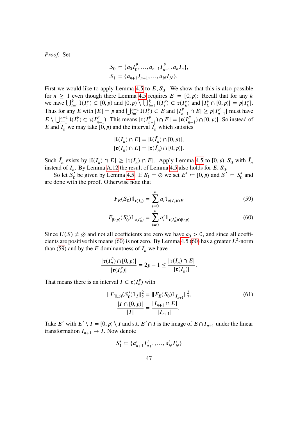*Proof.* Set

$$
S_0 := \{a_0 I_0^p, ..., a_{n-1} I_{n-1}^p, a_n I_n\},
$$
  

$$
S_1 := \{a_{n+1} I_{n+1}, ..., a_N I_N\}.
$$

First we would like to apply Lemma [4.5](#page-46-0) to  $E, S_0$ . We show that this is also possible for  $n \geq 1$  even though there Lemma [4.5](#page-46-0) requires  $E = [0, p)$ : Recall that for any k we have  $\bigcup_{i=1}^{k} I(I_i^p) \subset [0, p)$  and  $[0, p) \setminus \bigcup_{i=1}^{k} I(I_i^p) \subset \mathfrak{r}(I_k^p)$  and  $|I_k^p \cap [0, p)| = p|I_k^p|$ . Thus for any E with  $|E| = p$  and  $\bigcup_{i=1}^{n-1} I(I_i^p) \subset E$  and  $|I_{n-1}^p \cap E| \ge p |I_{n-1}^p|$  must have  $E \setminus \bigcup_{i=1}^{n-1} I(I_i^p) \subset \mathfrak{r}(I_{n-1}^p)$ . This means  $|\mathfrak{r}(I_{n-1}^p) \cap E| = |\mathfrak{r}(I_{n-1}^p) \cap [0, p)|$ . So instead of E and  $I_n$  we may take [0, p) and the interval  $\tilde{I}_n$  which satisfies

$$
|\mathfrak{l}(I_n) \cap E| = |\mathfrak{l}(\tilde{I}_n) \cap [0, p)|,
$$
  

$$
|\mathfrak{r}(I_n) \cap E| = |\mathfrak{r}(\tilde{I}_n) \cap [0, p)|.
$$

Such  $\tilde{I}_n$  exists by  $|I(I_n) \cap E| \geq |I(I_n) \cap E|$ . Apply Lemma [4.5](#page-46-0) to  $[0, p)$ ,  $S_0$  with  $\tilde{I}_n$ instead of  $I_n$ . By Lemma [A.12](#page-73-0) the result of Lemma [4.5](#page-46-0) also holds for  $E$ ,  $S_0$ .

So let  $S'_0$ be given by Lemma [4.5.](#page-46-0) If  $S_1 = \emptyset$  we set  $E' := [0, p)$  and  $S' := S'_0$  and are done with the proof. Otherwise note that

<span id="page-48-1"></span><span id="page-48-0"></span>
$$
F_E(S_0) \mathbb{1}_{\mathfrak{r}(I_n)} = \sum_{i=0}^n a_i \mathbb{1}_{\mathfrak{r}(I_n) \cap E}
$$
 (59)

$$
F_{[0,p)}(S_0') \mathbb{1}_{\mathfrak{r}(I_n^p)} = \sum_{i=0}^n a_i' \mathbb{1}_{\mathfrak{r}(I_n^p) \cap [0,p)}
$$
(60)

Since  $U(S) \neq \emptyset$  and not all coefficients are zero we have  $a_0 > 0$ , and since all coeffi-cients are positive this means [\(60\)](#page-48-0) is not zero. By Lemma [4.5](#page-46-0) (60) has a greater  $L^2$ -norm than [\(59\)](#page-48-1) and by the E-dominantness of  $I_n$  we have

$$
\frac{|\mathfrak{r}(I_n^p) \cap [0, p)|}{|\mathfrak{r}(I_n^p)|} = 2p - 1 \le \frac{|\mathfrak{r}(I_n) \cap E|}{|\mathfrak{r}(I_n)|}.
$$

That means there is an interval  $I \subset \mathfrak{r}(I_n^p)$  with

<span id="page-48-2"></span>
$$
||F_{[0,p)}(S'_0)1_I||_2^2 = ||F_E(S_0)1_{I_{n+1}}||_2^2,
$$
  
\n
$$
\frac{|I \cap [0,p)|}{|I|} = \frac{|I_{n+1} \cap E|}{|I_{n+1}|}.
$$
\n(61)

Take E' with  $E' \setminus I = [0, p) \setminus I$  and s.t.  $E' \cap I$  is the image of  $E \cap I_{n+1}$  under the linear transformation  $I_{n+1} \rightarrow I$ . Now denote

$$
S_1' := \{a'_{n+1}I'_{n+1},...,a'_{N}I'_{N}\}\
$$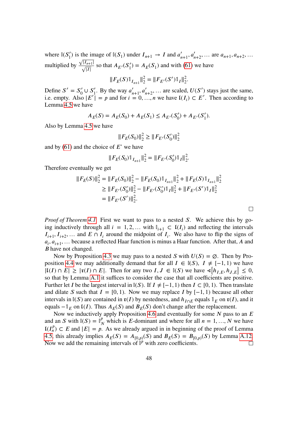where  $\mathbb{I}(S'_1)$  is the image of  $\mathbb{I}(S_1)$  under  $I_{n+1} \to I$  and  $a'_{n+1}, a'_{n+2}, \dots$  are  $a_{n+1}, a_{n+2}, \dots$ multiplied by  $\frac{\sqrt{|I_{n+1}|}}{\sqrt{|I|}}$  so that  $A_{E'}(S'_1) = A_E(S_1)$  and with [\(61\)](#page-48-2) we have

$$
||F_E(S)\mathbb{1}_{I_{n+1}}||_2^2 = ||F_{E'}(S')\mathbb{1}_I||_2^2.
$$

Define  $S' = S'_0 \cup S'_1$ . By the way  $a'_{n+1}, a'_{n+2}, \dots$  are scaled,  $U(S')$  stays just the same, i.e. empty. Also  $|E'| = p$  and for  $i = 0, ..., n$  we have  $\mathfrak{l}(I_i) \subset E'$ . Then according to Lemma [4.5](#page-46-0) we have

$$
A_E(S) = A_E(S_0) + A_E(S_1) \le A_{E'}(S'_0) + A_{E'}(S'_1).
$$

Also by Lemma [4.5](#page-46-0) we have

$$
||F_E(S_0)||_2^2 \ge ||F_{E'}(S_0')||_2^2
$$

and by  $(61)$  and the choice of  $E'$  we have

$$
||F_E(S_0)\mathbb{1}_{I_{n+1}}||_2^2 = ||F_{E'}(S_0')\mathbb{1}_I||_2^2.
$$

Therefore eventually we get

$$
||F_E(S)||_2^2 = ||F_E(S_0)||_2^2 - ||F_E(S_0)1_{I_{n+1}}||_2^2 + ||F_E(S)1_{I_{n+1}}||_2^2
$$
  
\n
$$
\geq ||F_{E'}(S'_0)||_2^2 - ||F_{E'}(S'_0)1_I||_2^2 + ||F_{E'}(S')1_I||_2^2
$$
  
\n
$$
= ||F_{E'}(S')||_2^2.
$$

 $\Box$ 

*Proof of Theorem [4.1.](#page-38-0)* First we want to pass to a nested S. We achieve this by going inductively through all  $i = 1, 2, ...$  with  $\mathbb{I}_{i+1} \subset \mathfrak{t}(I_i)$  and reflecting the intervals  $I_{i+1}, I_{i+2},...$  and  $E \cap I_i$  around the midpoint of  $I_i$ . We also have to flip the signs of  $a_i, a_{i+1}, \ldots$  because a reflected Haar function is minus a Haar function. After that, A and *B* have not changed.

Now by Proposition [4.3](#page-40-2) we may pass to a nested S with  $U(S) = \emptyset$ . Then by Pro-position [4.4](#page-43-2) we may additionally demand that for all  $I \in \mathbb{I}(S)$ ,  $I \neq [-1, 1)$  we have  $|{\rm I}(I) \cap E| \geq |{\rm r}(I) \cap E|$ . Then for any two  $I, J \in {\rm I}(S)$  we have  $\triangleleft[h_{I,E}, h_{J,E}] \leq 0$ , so that by Lemma [A.1](#page-68-0) it suffices to consider the case that all coefficients are positive. Further let *I* be the largest interval in  $\mathbb{I}(S)$ . If  $I \neq [-1, 1)$  then  $I \subset [0, 1)$ . Then translate and dilate S such that  $I = [0, 1)$ . Now we may replace I by  $[-1, 1)$  because all other intervals in  $\mathbb{I}(S)$  are contained in  $\mathfrak{r}(I)$  by nestedness, and  $h_{I \cap E}$  equals  $\mathbb{I}_E$  on  $\mathfrak{r}(I)$ , and it equals  $-\mathbb{1}_E$  on  $\mathfrak{l}(I)$ . Thus  $A_E(S)$  and  $B_E(S)$  don't change after the replacement.

Now we inductively apply Proposition [4.6](#page-47-1) and eventually for some  $N$  pass to an  $E$ and an S with  $\mathbb{I}(S) = \mathbb{I}_{N}^{p}$  which is E-dominant and where for all  $n = 1, ..., N$  we have  $\mathfrak{I}(I_n^p)$  ⊂ E and  $|E| = p$ . As we already argued in in beginning of the proof of Lemma [4.5,](#page-46-0) this already implies  $A_E(S) = A_{[0,p)}(S)$  and  $B_E(S) = B_{[0,p)}(S)$  by Lemma [A.12.](#page-73-0) Now we add the remaining intervals of  $\hat{\mathbb{I}}^p$  with zero coefficients.  $\Box$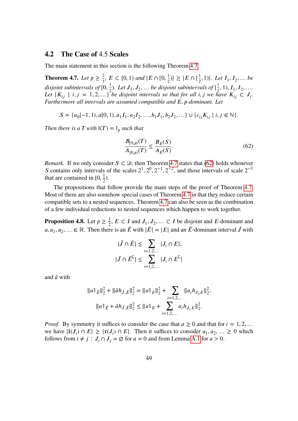### **4.2 The Case of** 4.5 **Scales**

The main statement in this section is the following Theorem [4.7.](#page-50-0)

<span id="page-50-0"></span>**Theorem 4.7.** *Let*  $p \geq \frac{2}{3}$ ,  $E \subset [0, 1)$  *and*  $|E \cap [0, \frac{1}{2})| \geq |E \cap [\frac{1}{2}, 1)|$ . *Let*  $I_1, I_2, ...$  *be disjoint subintervals of*  $[0, \frac{1}{2})$ *. Let*  $J_1, J_2, ...$  *be disjoint subintervals of*  $[\frac{1}{2}]$  $\frac{1}{2}$ , 1),  $I_1$ ,  $I_2$ , .... Let  $\{K_{ij} \mid i,j = 1,2,...\}$  *be disjoint intervals so that for all i, j we have*  $K_{ij} \subset J_i$ . *Furthermore all intervals are assumed compatible and* E, p-dominant. Let

$$
S = \{a_0[-1, 1), a[0, 1), a_1I_1, a_2I_2, ..., b_1J_1, b_2J_2, ...\} \cup \{c_{ij}K_{ij} \mid i, j \in \mathbb{N}\}.
$$

*Then there is a T with*  $\mathbb{I}(T) = \mathbb{I}_p$  such that

<span id="page-50-1"></span>
$$
\frac{B_{[0,p)}(T)}{A_{[0,p)}(T)} \le \frac{B_E(S)}{A_E(S)}.\tag{62}
$$

*Remark.* If we only consider  $S \subset \mathcal{D}$ , then Theorem [4.7](#page-50-0) states that [\(62\)](#page-50-1) holds whenever S contains only intervals of the scales  $2^1$ ,  $2^0$ ,  $2^{-1}$ ,  $2^{-2}$ , and those intervals of scale  $2^{-3}$ that are contained in  $[0, \frac{1}{2})$ .

The propositions that follow provide the main steps of the proof of Theorem [4.7.](#page-50-0) Most of them are also somehow special cases of Theorem [4.7](#page-50-0) in that they reduce certain compatible sets to a nested sequences. Theorem [4.7](#page-50-0) can also be seen as the combination of a few individual reductions to nested sequences which happen to work together.

<span id="page-50-2"></span>**Proposition 4.8.** Let  $p \ge \frac{1}{2}$ ,  $E \subset I$  and  $J_1, J_2, \dots \subset I$  be disjoint and E-dominant and  $a, a_1, a_2, \dots \in \mathbb{R}$ . Then there is an  $\tilde{E}$  with  $|\tilde{E}| = |E|$  and an  $\tilde{E}$ -dominant interval  $\tilde{J}$  with

$$
|\tilde{J} \cap \tilde{E}| \le \sum_{i=1,2,\dots} |J_i \cap E|,
$$
  

$$
|\tilde{J} \cap \tilde{E}^{\mathbb{C}}| \le \sum_{i=1,2,\dots} |J_i \cap E^{\mathbb{C}}|
$$

and  $\tilde{a}$  with

$$
||a||_{\tilde{E}}||_2^2 + ||\tilde{a}h_{\tilde{J},\tilde{E}}||_2^2 = ||a||_E||_2^2 + \sum_{i=1,2,\dots} ||a_i h_{J_i,E}||_2^2,
$$
  

$$
||a||_{\tilde{E}} + \tilde{a}h_{\tilde{J},\tilde{E}}||_2^2 \le ||a||_E + \sum_{i=1,2,\dots} a_i h_{J_i,E}||_2^2.
$$

*Proof.* By symmetry it suffices to consider the case that  $a \ge 0$  and that for  $i = 1, 2, ...$ we have  $|I(J_i) \cap E| \geq |I(J_i) \cap E|$ . Then it suffices to consider  $a_1, a_2, ... \geq 0$  which follows from  $i \neq j$ :  $J_i \cap J_j = \emptyset$  for  $a = 0$  and from Lemma [A.1](#page-68-0) for  $a > 0$ .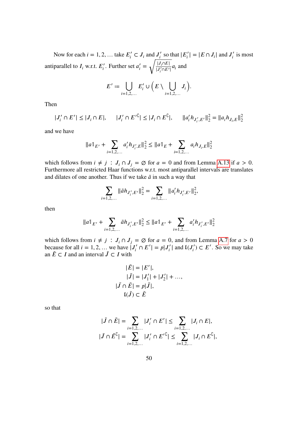Now for each  $i = 1, 2, ...$  take  $E'_i \subset J_i$  and  $J'_i$  $\sum_{i}^{\prime}$  so that  $|E'_{i}| = |E \cap J_{i}|$  and  $J'_{i}$  $i'$  is most antiparallel to  $I_i$  w.r.t.  $E'_i$ '' Further set  $a'_i = \sqrt{\frac{|J_i \cap E|}{|J'_i \cap E'}}$  $\frac{\partial_i \Pi}{\partial_i \cap E'} a_i$  and

$$
E' := \bigcup_{i=1,2,\dots} E'_i \cup \left( E \setminus \bigcup_{i=1,2,\dots} J_i \right).
$$

Then

$$
|J'_i \cap E' | \le |J_i \cap E|, \qquad |J'_i \cap E'^{\complement}| \le |J_i \cap E^{\complement}|, \qquad ||a'_i h_{J'_i, E'}||_2^2 = ||a_i h_{J_i, E}||_2^2
$$

and we have

$$
||a||_{E'} + \sum_{i=1,2,...} a'_i h_{J'_i,E}||_2^2 \le ||a||_E + \sum_{i=1,2,...} a_i h_{J_i,E}||_2^2
$$

which follows from  $i \neq j$ :  $J_i \cap J_j = \emptyset$  for  $a = 0$  and from Lemma [A.13](#page-73-1) if  $a > 0$ . Furthermore all restricted Haar functions w.r.t. most antiparallel intervals are translates and dilates of one another. Thus if we take  $\tilde{a}$  in such a way that

$$
\sum_{i=1,2,\dots} \|\tilde{a}h_{J'_i,E'}\|_2^2 = \sum_{i=1,2,\dots} \|a'_i h_{J'_i,E'}\|_2^2,
$$

then

$$
||a||_{E'} + \sum_{i=1,2,...} \tilde{a}h_{J'_i,E'}||_2^2 \le ||a||_{E'} + \sum_{i=1,2,...} a'_i h_{J'_i,E'}||_2^2
$$

which follows from  $i \neq j$ :  $J_i \cap J_j = \emptyset$  for  $a = 0$ , and from Lemma [A.7](#page-71-1) for  $a > 0$ because for all  $i = 1, 2, ...$  we have  $|J'_i \cap E'| = p|J'_i|$  and  $\mathfrak{l}(J'_i) \subset E'$ . So we may take an  $\tilde{E} \subset I$  and an interval  $\tilde{J} \subset I$  with

$$
|\tilde{E}| = |E'|,
$$
  
\n
$$
|\tilde{J}| = |J'_1| + |J'_2| + ...,
$$
  
\n
$$
|\tilde{J} \cap \tilde{E}| = p|\tilde{J}|,
$$
  
\n
$$
\tilde{L}(\tilde{J}) \subset \tilde{E}
$$

so that

$$
|\tilde{J} \cap \tilde{E}| = \sum_{i=1,2,...} |J'_i \cap E'| \le \sum_{i=1,2,...} |J_i \cap E|,
$$
  

$$
|\tilde{J} \cap \tilde{E}^{\mathbb{C}}| = \sum_{i=1,2,...} |J'_i \cap E'^{\mathbb{C}}| \le \sum_{i=1,2,...} |J_i \cap E^{\mathbb{C}}|,
$$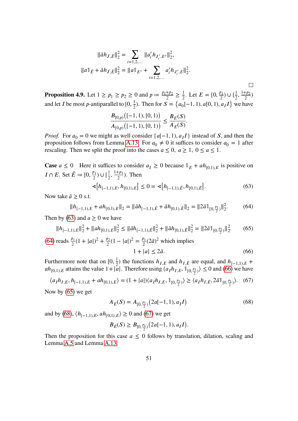$$
\|\tilde{a}h_{\tilde{J},\tilde{E}}\|_{2}^{2} = \sum_{i=1,2,...} \|a'_{i}h_{J'_{i},E'}\|_{2}^{2},
$$
  

$$
\|a\|_{\tilde{E}} + \tilde{a}h_{\tilde{J},\tilde{E}}\|_{2}^{2} = \|a\|_{E'} + \sum_{i=1,2,...} a'_{i}h_{J'_{i},E}\|_{2}^{2}.
$$

<span id="page-52-6"></span>**Proposition 4.9.** Let  $1 \ge p_1 \ge p_2 \ge 0$  and  $p := \frac{p_1 + p_2}{2}$  $rac{+p_2}{2} \geq \frac{1}{2}$  $\frac{1}{2}$ . Let  $E = [0, \frac{p_1}{2}) \cup [\frac{1}{2}, \frac{1+p_2}{2}]$  $\frac{r p_2}{2})$ and let *I* be most *p*-antiparallel to  $[0, \frac{1}{2})$ . Then for  $S = \{a_0[-1, 1), a[0, 1), a_I I\}$  we have

$$
\frac{B_{[0,p)}([ -1, 1), [0, 1))}{A_{[0,p)}([ -1, 1), [0, 1))} \leq \frac{B_E(S)}{A_E(S)}.
$$

*Proof.* For  $a_0 = 0$  we might as well consider  $\{a[-1, 1), a_I I\}$  instead of S, and then the proposition follows from Lemma [A.13.](#page-73-1) For  $a_0 \neq 0$  it suffices to consider  $a_0 = 1$  after rescaling. Then we split the proof into the cases  $a \le 0$ ,  $a \ge 1$ ,  $0 \le a \le 1$ .

**Case**  $a \le 0$  Here it suffices to consider  $a_I \ge 0$  because  $\mathbb{1}_E + ah_{[0,1),E}$  is positive on I  $\cap$  E. Set  $\tilde{E} := [0, \frac{p_1}{2}]$  $\frac{p_1}{2}) \cup [\frac{1}{2}, \frac{1+p_1}{2}]$  $\frac{r p_1}{2}$ ). Then

<span id="page-52-0"></span>
$$
\mathcal{A}[h_{[-1,1),E}, h_{[0,1),E}] \le 0 = \mathcal{A}[h_{[-1,1),E}, h_{[0,1),E}]. \tag{63}
$$

Now take  $\tilde{a} \geq 0$  s.t.

<span id="page-52-1"></span>
$$
||h_{[-1,1),E} + ah_{[0,1),E}||_2 = ||\tilde{a}h_{[-1,1),\tilde{E}} + \tilde{a}h_{[0,1),\tilde{E}}||_2 = ||2\tilde{a}1_{[0,\frac{p_1}{2})}||_2^2.
$$
 (64)

Then by [\(63\)](#page-52-0) and  $a \ge 0$  we have

<span id="page-52-3"></span>
$$
||h_{[-1,1),E}||_2^2 + ||ah_{[0,1),E}||_2^2 \le ||\tilde{a}h_{[-1,1),\tilde{E}}||_2^2 + ||\tilde{a}h_{[0,1),\tilde{E}}||_2^2 = ||2\tilde{a}1_{[0,\frac{p_1}{2})}||_2^2. \tag{65}
$$

(64) reads 
$$
\frac{p_1}{2}(1+|a|)^2 + \frac{p_2}{2}(1-|a|)^2 = \frac{p_1}{2}(2\tilde{a})^2
$$
 which implies  
  $1+|a| \le 2\tilde{a}.$  (66)

Furthermore note that on  $[0, \frac{1}{2})$  the functions  $h_{I,E}$  and  $h_{I,E}$  are equal, and  $h_{[-1,1],E}$  +  $ah_{[0,1),E}$  attains the value  $1+|a|$ . Therefore using  $\langle a_I h_{I,E}, \mathbb{1}_{[0,\frac{p_1}{2})}\rangle \leq 0$  and [\(66\)](#page-52-2) we have

<span id="page-52-5"></span>
$$
\langle a_I h_{I,E}, h_{[-1,1),E} + ah_{[0,1),E} \rangle = (1+|a|) \langle a_I h_{I,E}, \mathbb{1}_{[0,\frac{p_1}{2})} \rangle \ge \langle a_I h_{I,\tilde{E}}, 2\tilde{a} \mathbb{1}_{[0,\frac{p_1}{2})} \rangle. \tag{67}
$$

Now by [\(65\)](#page-52-3) we get

<span id="page-52-4"></span><span id="page-52-2"></span>
$$
A_E(S) = A_{[0,\frac{p_1}{2})}(2a[-1,1), a_I I)
$$
\n(68)

and by [\(68\)](#page-52-4),  $\langle h_{[-1,1)}, h_{[-1,1]}, h_{[-1,1]}\rangle \ge 0$  and [\(67\)](#page-52-5) we get

$$
B_E(S) \ge B_{[0,\frac{p_1}{2})} (2a[-1,1), a_II).
$$

Then the proposition for this case  $a \leq 0$  follows by translation, dilation, scaling and Lemma [A.5](#page-70-0) and Lemma [A.13.](#page-73-1)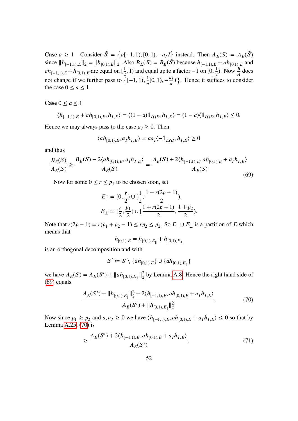**Case**  $a \ge 1$  Consider  $\tilde{S} = \{a[-1, 1), [0, 1), -a_I I\}$  instead. Then  $A_E(S) = A_E(\tilde{S})$ since  $||h_{[-1,1),E}||_2 = ||h_{[0,1),E}||_2$ . Also  $B_E(S) = B_E(\tilde{S})$  because  $h_{[-1,1),E} + ah_{[0,1),E}$  and  $ah_{[-1,1),E} + h_{[0,1),E}$  are equal on  $[\frac{1}{2}]$  $\frac{1}{2}$ , 1) and equal up to a factor –1 on [0,  $\frac{1}{2}$ ). Now  $\frac{B}{A}$  does not change if we further pass to  $\{[-1, 1), \frac{1}{a}[0, 1), -\frac{a_I}{a}I\}$ . Hence it suffices to consider the case  $0 \le a \le 1$ .

**Case**  $0 \le a \le 1$ 

$$
\langle h_{[-1,1),E} + ah_{[0,1),E}, h_{I,E} \rangle = \langle (1-a) \mathbb{1}_{I \cap E}, h_{I,E} \rangle = (1-a) \langle \mathbb{1}_{I \cap E}, h_{I,E} \rangle \le 0.
$$

Hence we may always pass to the case  $a_I \geq 0$ . Then

$$
\langle ah_{[0,1),E}, a_I h_{I,E} \rangle = aa_I \langle -\mathbb{1}_{E \cap I}, h_{I,E} \rangle \ge 0
$$

and thus

<span id="page-53-0"></span>
$$
\frac{B_E(S)}{A_E(S)} \ge \frac{B_E(S) - 2\langle ah_{[0,1),E}, a_I h_{I,E}\rangle}{A_E(S)} = \frac{A_E(S) + 2\langle h_{[-1,1),E}, ah_{[0,1),E} + a_I h_{I,E}\rangle}{A_E(S)}
$$
(69)

Now for some  $0 \le r \le p_1$  to be chosen soon, set

$$
E_{\parallel} := [0, \frac{r}{2}) \cup [\frac{1}{2}, \frac{1 + r(2p - 1)}{2}),
$$
  

$$
E_{\perp} := [\frac{r}{2}, \frac{p_1}{2}) \cup [\frac{1 + r(2p - 1)}{2}, \frac{1 + p_2}{2}).
$$

Note that  $r(2p - 1) = r(p_1 + p_2 - 1) \le rp_2 \le p_2$ . So  $E_{\parallel} \cup E_{\perp}$  is a partition of E which means that

$$
h_{[0,1),E} = h_{[0,1),E_{\parallel}} + h_{[0,1),E_{\perp}}
$$

is an orthogonal decomposition and with

<span id="page-53-2"></span><span id="page-53-1"></span>
$$
S':=S\setminus \{ah_{[0,1),E}\}\cup\{ah_{[0,1),E_{\parallel}}\}
$$

we have  $A_E(S) = A_E(S') + ||ah_{[0,1),E_{\perp}}||_2^2$  $\frac{2}{2}$  by Lemma [A.8.](#page-71-2) Hence the right hand side of [\(69\)](#page-53-0) equals

$$
\frac{A_E(S') + ||h_{[0,1),E_{\parallel}}||_2^2 + 2\langle h_{[-1,1),E}, ah_{[0,1),E} + a_I h_{I,E}\rangle}{A_E(S') + ||h_{[0,1),E_{\parallel}}||_2^2}.
$$
\n(70)

Now since  $p_1 \ge p_2$  and  $a, a_I \ge 0$  we have  $\langle h_{[-1,1),E}, ah_{[0,1),E} + a_I h_{I,E} \rangle \le 0$  so that by Lemma [A.25,](#page-86-0) [\(70\)](#page-53-1) is

$$
\geq \frac{A_E(S') + 2\langle h_{[-1,1),E}, ah_{[0,1),E} + a_I h_{I,E}\rangle}{A_E(S')}.\tag{71}
$$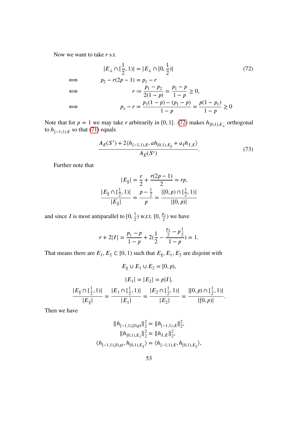Now we want to take  $r$  s.t.

$$
|E_{\perp} \cap [\frac{1}{2}, 1)| = |E_{\perp} \cap [0, \frac{1}{2})|
$$
(72)  

$$
\Leftrightarrow p_2 - r(2p - 1) = p_1 - r
$$
  

$$
\Leftrightarrow r := \frac{p_1 - p_2}{2(1 - p)} = \frac{p_1 - p}{1 - p} \ge 0,
$$
  

$$
\Leftrightarrow p_1 - r = \frac{p_1(1 - p) - (p_1 - p)}{1 - p} = \frac{p(1 - p_1)}{1 - p} \ge 0
$$

Note that for  $p = 1$  we may take *r* arbitrarily in [0, 1]. [\(72\)](#page-54-0) makes  $h_{[0,1),E_{\perp}}$  orthogonal to  $h_{[-1,1),E}$  so that [\(71\)](#page-53-2) equals

<span id="page-54-1"></span><span id="page-54-0"></span>
$$
\frac{A_E(S') + 2\langle h_{[-1,1),E}, ah_{[0,1),E_{\parallel}} + a_I h_{I,E}\rangle}{A_E(S')}.
$$
\n(73)

Further note that

$$
|E_{\parallel}| = \frac{r}{2} + \frac{r(2p - 1)}{2} = rp,
$$
  

$$
\frac{|E_{\parallel} \cap [\frac{1}{2}, 1)|}{|E_{\parallel}|} = \frac{p - \frac{1}{2}}{p} = \frac{|[0, p) \cap [\frac{1}{2}, 1]|}{|[0, p)|}
$$

and since *I* is most antiparallel to  $[0, \frac{1}{2})$  w.r.t.  $[0, \frac{p_1}{2})$  we have

$$
r + 2|I| = \frac{p_1 - p}{1 - p} + 2(\frac{1}{2} - \frac{\frac{p_1}{2} - p\frac{1}{2}}{1 - p}) = 1.
$$

That means there are  $E_1, E_2 \subset [0, 1)$  such that  $E_{\parallel}, E_1, E_2$  are disjoint with

$$
E_{\parallel} \cup E_1 \cup E_2 = [0, p),
$$
  
\n
$$
|E_1| = |E_2| = p|I|,
$$
  
\n
$$
\frac{|E_{\parallel} \cap [\frac{1}{2}, 1)|}{|E_{\parallel}|} = \frac{|E_1 \cap [\frac{1}{2}, 1)|}{|E_1|} = \frac{|E_2 \cap [\frac{1}{2}, 1)|}{|E_2|} = \frac{|[0, p) \cap [\frac{1}{2}, 1)|}{|[0, p)|}.
$$

Then we have

$$
||h_{[-1,1),(0,p)}||_2^2 = ||h_{[-1,1),E}||_2^2,
$$
  
\n
$$
||h_{[0,1),E_1}||_2^2 = ||h_{I,E}||_2^2,
$$
  
\n
$$
\langle h_{[-1,1),(0,p)}, h_{[0,1),E}||_2 \rangle = \langle h_{[-1,1),E}, h_{[0,1),E}||_2 \rangle,
$$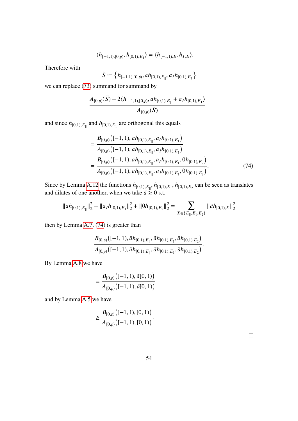$$
\langle h_{[-1,1),(0,p)}, h_{[0,1),E_1} \rangle = \langle h_{[-1,1),E}, h_{I,E} \rangle.
$$

Therefore with

$$
\tilde{S} \coloneqq \left\{h_{[-1,1),[0,p)},ah_{[0,1),E_{\parallel}},a_Ih_{[0,1),E_1}\right\}
$$

we can replace [\(73\)](#page-54-1) summand for summand by

$$
\frac{A_{[0,p)}(\tilde{S})+2\langle h_{[-1,1),(0,p)},ah_{[0,1),E_{\parallel}}+a_Ih_{[0,1),E_1}\rangle}{A_{[0,p)}(\tilde{S})}
$$

and since  $h_{[0,1),E_{\parallel}}$  and  $h_{[0,1),E_1}$  are orthogonal this equals

<span id="page-55-0"></span>
$$
= \frac{B_{[0,p)}([ -1, 1), ah_{[0,1),E_{\parallel}}, a_I h_{[0,1),E_1})}{A_{[0,p)}([ -1, 1), ah_{[0,1),E_{\parallel}}, a_I h_{[0,1),E_1})}
$$
  

$$
= \frac{B_{[0,p)}([ -1, 1), ah_{[0,1),E_{\parallel}}, a_I h_{[0,1),E_1}, 0 h_{[0,1),E_2})}{A_{[0,p)}([ -1, 1), ah_{[0,1),E_{\parallel}}, a_I h_{[0,1),E_1}, 0 h_{[0,1),E_2})}.
$$
(74)

Since by Lemma [A.12](#page-73-0) the functions  $h_{[0,1),E_{\parallel}}, h_{[0,1),E_1}, h_{[0,1),E_2}$  can be seen as translates and dilates of one another, when we take  $\tilde{a} \geq 0$  s.t.

$$
\|ah_{[0,1),E_{\parallel}}\|_2^2+\|a_Ih_{[0,1),E_1}\|_2^2+\|0h_{[0,1),E_2}\|_2^2=\sum_{X\in\{E_{\parallel},E_1,E_2\}}\|\tilde{a}h_{[0,1),X}\|_2^2
$$

then by Lemma [A.7,](#page-71-1) [\(74\)](#page-55-0) is greater than

$$
\frac{B_{[0,p)}([ -1, 1), \tilde{a}h_{[0,1),E_{\parallel}}, \tilde{a}h_{[0,1),E_{1}}, \tilde{a}h_{[0,1),E_{2}})}{A_{[0,p)}([ -1, 1), \tilde{a}h_{[0,1),E_{\parallel}}, \tilde{a}h_{[0,1),E_{1}}, \tilde{a}h_{[0,1),E_{2}})}.
$$

By Lemma [A.8](#page-71-2) we have

$$
= \frac{B_{[0,p)}([ -1, 1), \tilde{a}[0, 1))}{A_{[0,p)}([ -1, 1), \tilde{a}[0, 1))}
$$

and by Lemma [A.5](#page-70-0) we have

$$
\geq \frac{B_{[0,p)}\big([-1,1),[0,1)\big)}{A_{[0,p)}\big([-1,1),[0,1)\big)}.
$$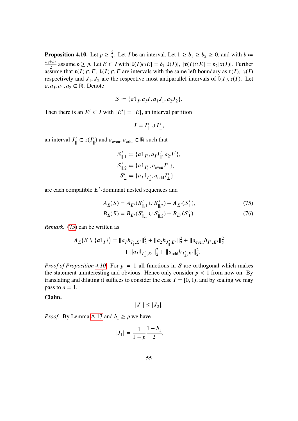<span id="page-56-1"></span>**Proposition 4.10.** Let  $p \ge \frac{2}{3}$ . Let *I* be an interval, Let  $1 \ge b_1 \ge b_2 \ge 0$ , and with  $b =$  $\frac{b_1+b_2}{2}$  assume  $b \ge p$ . Let  $E \subset I$  with  $|{\mathfrak{l}}(I) \cap E| = b_1 |{\mathfrak{l}}(I)|$ ,  $|{\mathfrak{r}}(I) \cap E| = b_2 |{\mathfrak{r}}(I)|$ . Further assume that  $\mathfrak{r}(I) \cap E$ ,  $\mathfrak{l}(I) \cap E$  are intervals with the same left boundary as  $\mathfrak{r}(I)$ ,  $\mathfrak{r}(I)$ respectively and  $J_1, J_2$  are the respective most antiparallel intervals of  $\mathfrak{l}(I), \mathfrak{r}(I)$ . Let  $a, a<sub>I</sub>, a<sub>1</sub>, a<sub>2</sub> \in \mathbb{R}$ . Denote

$$
S := \{a1_I, a_II, a_1J_1, a_2J_2\}.
$$

Then there is an  $E' \subset I$  with  $|E'| = |E|$ , an interval partition

<span id="page-56-0"></span>
$$
I = I'_{\parallel} \cup I'_{\perp},
$$

an interval  $J'_{\parallel}$  $\mathcal{L}_{\parallel}$   $\subset$   $\mathfrak{r}(I_{\parallel}')$  and  $a_{\text{even}}$ ,  $a_{\text{odd}} \in \mathbb{R}$  such that

<span id="page-56-2"></span>
$$
S'_{\parallel,1} := \{ a \mathbb{1}_{I'_{\parallel}}, a_I I'_{\parallel}, a_2 J'_{\parallel} \},
$$
  
\n
$$
S'_{\parallel,2} := \{ a \mathbb{1}_{I'_{\perp}}, a_{\text{even}} I'_{\perp} \},
$$
  
\n
$$
S'_{\perp} := \{ a_I \mathbb{1}_{I'_{\perp}}, a_{\text{odd}} I'_{\perp} \}
$$

are each compatible  $E'$ -dominant nested sequences and

$$
A_E(S) = A_{E'}(S'_{\parallel,1} \cup S'_{\parallel,2}) + A_{E'}(S'_{\perp}),
$$
\n(75)

$$
B_E(S) = B_{E'}(S'_{\parallel,1} \cup S'_{\parallel,2}) + B_{E'}(S'_{\perp}).
$$
\n(76)

*Remark.* [\(75\)](#page-56-0) can be written as

$$
A_E(S \setminus \{a\mathbb{1}_I\}) = ||a_I h_{I'_\parallel, E'}||_2^2 + ||a_2 h_{J'_\parallel, E'}||_2^2 + ||a_{\text{even}} h_{I'_\perp, E'}||_2^2
$$
  
+ 
$$
||a_I \mathbb{1}_{I'_\perp, E'}||_2^2 + ||a_{\text{odd}} h_{I'_\perp, E'}||_2^2.
$$

*Proof of Proposition [4.10.](#page-56-1)* For  $p = 1$  all functions in S are orthogonal which makes the statement uninteresting and obvious. Hence only consider  $p < 1$  from now on. By translating and dilating it suffices to consider the case  $I = [0, 1)$ , and by scaling we may pass to  $a = 1$ .

**Claim.**

$$
|J_1| \le |J_2|.
$$

*Proof.* By Lemma [A.13](#page-73-1) and  $b_1 \geq p$  we have

$$
|J_1| = \frac{1}{1-p} \frac{1-b_1}{2},
$$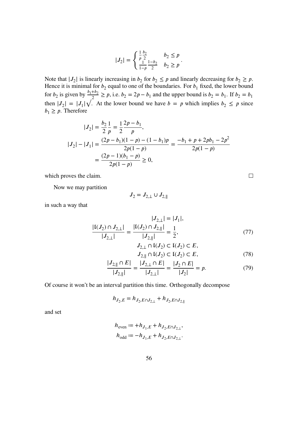$$
|J_2| = \begin{cases} \frac{1}{p} \frac{b_2}{2} & b_2 \le p \\ \frac{1}{1-p} \frac{1-b_2}{2} & b_2 \ge p \end{cases}.
$$

Note that  $|J_2|$  is linearly increasing in  $b_2$  for  $b_2 \leq p$  and linearly decreasing for  $b_2 \geq p$ . Hence it is minimal for  $b_2$  equal to one of the boundaries. For  $b_1$  fixed, the lower bound for  $b_2$  is given by  $\frac{b_1+b_2}{2} \ge p$ , i.e.  $b_2 = 2p - b_1$  and the upper bound is  $b_2 = b_1$ . If  $b_2 = b_1$ then  $|J_2| = |J_1|\sqrt{2}$ . At the lower bound we have  $b = p$  which implies  $b_2 \leq p$  since  $b_1 \geq p$ . Therefore

$$
|J_2| = \frac{b_2}{2} \frac{1}{p} = \frac{1}{2} \frac{2p - b_1}{p},
$$
  
\n
$$
|J_2| - |J_1| = \frac{(2p - b_1)(1 - p) - (1 - b_1)p}{2p(1 - p)} = \frac{-b_1 + p + 2pb_1 - 2p^2}{2p(1 - p)}
$$
  
\n
$$
= \frac{(2p - 1)(b_1 - p)}{2p(1 - p)} \ge 0,
$$

which proves the claim.

Now we may partition

$$
J_2=J_{2,\perp}\cup J_{2,\parallel}
$$

in such a way that

$$
\frac{|I(J_2) \cap J_{2,\perp}|}{|J_{2,\perp}|} = \frac{|I(J_2) \cap J_{2,\parallel}|}{|J_{2,\parallel}|} = \frac{1}{2},\tag{77}
$$

$$
J_{2,\perp} \cap I(J_2) \subset I(J_2) \subset E,
$$
  
\n
$$
J_{2,\parallel} \cap I(J_2) \subset I(J_2) \subset E,
$$
\n(78)

$$
\frac{|J_{2, \parallel} \cap E|}{|J_{2, \parallel}|} = \frac{|J_{2, \perp} \cap E|}{|J_{2, \perp}|} = \frac{|J_2 \cap E|}{|J_2|} = p. \tag{79}
$$

Of course it won't be an interval partition this time. Orthogonally decompose

$$
h_{J_2,E} = h_{J_2,E \cap J_{2,\perp}} + h_{J_2,E \cap J_{2,\parallel}}
$$

and set

$$
\begin{aligned} h_{\text{even}} &:= +h_{J_1,E} + h_{J_2,E \cap J_{2,\perp}}, \\ h_{\text{odd}} &:= -h_{J_1,E} + h_{J_2,E \cap J_{2,\perp}}. \end{aligned}
$$

<span id="page-57-2"></span><span id="page-57-1"></span><span id="page-57-0"></span> $\Box$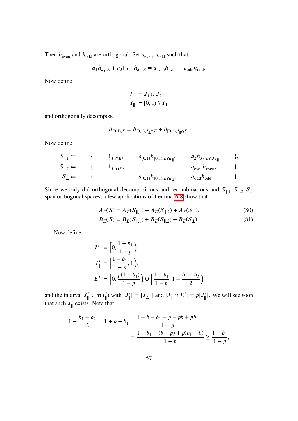Then  $h_{\text{even}}$  and  $h_{\text{odd}}$  are orthogonal. Set  $a_{\text{even}}$ ,  $a_{\text{odd}}$  such that

$$
a_1 h_{J_1, E} + a_2 \mathbb{1}_{J_{2, \perp}} h_{J_2, E} = a_{\text{even}} h_{\text{even}} + a_{\text{odd}} h_{\text{odd}}.
$$

Now define

$$
I_{\perp} \coloneqq J_1 \cup J_{2,\perp}
$$
  

$$
I_{\parallel} \coloneqq [0,1) \setminus I_{\perp}
$$

and orthogonally decompose

$$
h_{[0,1),E} = h_{[0,1),I_{\perp} \cap E} + h_{[0,1),I_{\parallel} \cap E}.
$$

Now define

$$
S_{\parallel,1} := \{ \begin{array}{ccc} 1_{I_{\parallel} \cap E}, & a_{[0,1)} h_{[0,1),E \cap I_{\parallel}}, & a_2 h_{J_2,E \cap J_{2,\parallel}} \end{array} \},
$$
  
\n
$$
S_{\parallel,2} := \{ \begin{array}{ccc} 1_{I_{\perp} \cap E}, & a_{[0,1)} h_{[0,1),E \cap I_{\perp}}, & a_2 h_{J_2,E \cap J_{2,\parallel}} \end{array} \},
$$
  
\n
$$
S_{\perp} := \{ \begin{array}{ccc} a_{[0,1)} h_{[0,1),E \cap I_{\perp}}, & a_{\text{odd}} h_{\text{odd}} \end{array} \}
$$

Since we only did orthogonal decompositions and recombinations and  $S_{\parallel,1}$ ,  $S_{\parallel,2}$ ,  $S_{\perp}$ span orthogonal spaces, a few applications of Lemma [A.8](#page-71-2) show that

<span id="page-58-0"></span>
$$
A_E(S) = A_E(S_{\parallel,1}) + A_E(S_{\parallel,2}) + A_E(S_{\perp}),
$$
\n(80)

<span id="page-58-1"></span>
$$
B_E(S) = B_E(S_{\parallel,1}) + B_E(S_{\parallel,2}) + B_E(S_{\perp}).
$$
\n(81)

Now define

$$
I'_{\perp} := \left[0, \frac{1 - b_1}{1 - p}\right),
$$
  
\n
$$
I'_{\parallel} := \left[\frac{1 - b_1}{1 - p}, 1\right),
$$
  
\n
$$
E' := \left[0, \frac{p(1 - b_1)}{1 - p}\right) \cup \left[\frac{1 - b_1}{1 - p}, 1 - \frac{b_1 - b_2}{2}\right)
$$

and the interval  $J'_{\parallel}$  $|J'_{\parallel}| = |J_{2,\parallel}|$  and  $|J'_{\parallel} \cap E'| = p|J'_{\parallel}|$ . We will see soon that such  $J'_{\parallel}$ ∥ exists. Note that

$$
1 - \frac{b_1 - b_2}{2} = 1 + b - b_1 = \frac{1 + b - b_1 - p - pb + pb_1}{1 - p}
$$
  
= 
$$
\frac{1 - b_1 + (b - p) + p(b_1 - b)}{1 - p} \ge \frac{1 - b_1}{1 - p},
$$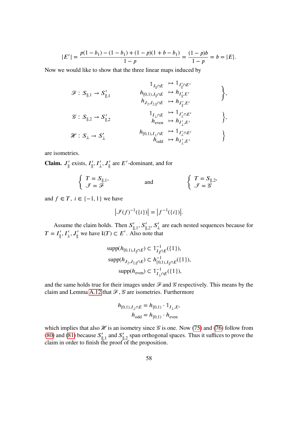$$
|E'| = \frac{p(1-b_1) - (1-b_1) + (1-p)(1+b-b_1)}{1-p} = \frac{(1-p)b}{1-p} = b = |E|.
$$

Now we would like to show that the three linear maps induced by

$$
\begin{array}{ccc}\n\mathcal{F}: S_{\parallel,1} \rightarrow S_{\parallel,1}^{\prime} & & h_{[0,1),I_{\parallel}\cap E} \rightarrow \mathbb{1}_{I_{\parallel}^{\prime}\cap E^{\prime}} \\
& h_{J_{2},J_{2,\parallel}\cap E} \rightarrow h_{J_{\parallel}^{\prime},E^{\prime}} \\
\mathcal{F}: S_{\parallel,2} \rightarrow S_{\parallel,2}^{\prime} & & h_{[0,1),I_{\perp}\cap E} \rightarrow \mathbb{1}_{I_{\perp}^{\prime}\cap E^{\prime}} \\
\mathcal{F}: S_{\perp} \rightarrow S_{\perp}^{\prime} & & h_{[0,1),I_{\perp}\cap E} \rightarrow \mathbb{1}_{I_{\perp}^{\prime}\cap E^{\prime}} \\
& h_{\text{total}} \rightarrow h_{I_{\perp}^{\prime},E^{\prime}} \rightarrow h_{I_{\perp}^{\prime},E^{\prime}}\n\end{array}\n\bigg\},
$$

are isometries.

Claim.  $J'_{\parallel}$  $\int_{\parallel}$  exists,  $I_{\parallel}$  $\int_{\parallel}^{'}$ ,  $I'_{\perp}$ ,  $J'_{\parallel}$  are  $E'$ -dominant, and for

$$
\begin{cases}\nT = S_{\parallel,1}, \\
\mathcal{J} = \mathcal{F}\n\end{cases}\n\qquad \text{and} \qquad\n\begin{cases}\nT = S_{\parallel,2}, \\
\mathcal{J} = \mathcal{G}\n\end{cases}
$$

and  $f \in T$ ,  $i \in \{-1, 1\}$  we have

$$
\left| \mathcal{F}(f)^{-1}(\{i\}) \right| = \left| f^{-1}(\{i\}) \right|.
$$

Assume the claim holds. Then  $S'_{\parallel,1}$ ,  $S'_{\parallel,2}$ ,  $S'_{\perp}$  are each nested sequences because for  $T = I_{\parallel}', I_{\perp}', J_{\parallel}'$  we have  $\mathfrak{l}(T) \subset E'$ . Also note that

$$
\text{supp}(h_{[0,1),I_{\parallel}\cap E}) \subset \mathbb{1}_{I_{\parallel}\cap E}^{-1}(\{1\}),
$$
  
\n
$$
\text{supp}(h_{J_2,J_{2,\parallel}\cap E}) \subset h_{[0,1),I_{\parallel}\cap E}^{-1}(\{1\}),
$$
  
\n
$$
\text{supp}(h_{\text{even}}) \subset \mathbb{1}_{I_{\perp}\cap E}^{-1}(\{1\}),
$$

and the same holds true for their images under  $\mathcal F$  and  $\mathcal G$  respectively. This means by the claim and Lemma [A.12](#page-73-0) that  $\mathcal{F}, \mathcal{G}$  are isometries. Furthermore

$$
h_{[0,1),I_{\perp} \cap E} = h_{[0,1)} \cdot \mathbb{1}_{I_{\perp},E},
$$

$$
h_{\text{odd}} = h_{[0,1)} \cdot h_{\text{even}}
$$

which implies that also  $\mathcal X$  is an isometry since  $\mathcal G$  is one. Now [\(75\)](#page-56-0) and [\(76\)](#page-56-2) follow from [\(80\)](#page-58-0) and [\(81\)](#page-58-1) because  $S'_{\parallel,1}$  and  $S'_{\parallel,2}$  span orthogonal spaces. Thus it suffices to prove the claim in order to finish the proof of the proposition.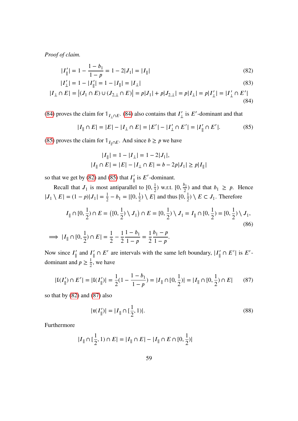*Proof of claim.*

$$
|I_{\parallel}'| = 1 - \frac{1 - b_1}{1 - p} = 1 - 2|J_1| = |I_{\parallel}|
$$
\n(82)

$$
|I'_{\perp}| = 1 - |I'_{\parallel}| = 1 - |I_{\parallel}| = |I_{\perp}| \tag{83}
$$

$$
|I_{\perp} \cap E| = |(J_1 \cap E) \cup (J_{2,\perp} \cap E)| = p|J_1| + p|J_{2,\perp}| = p|I_{\perp}| = p|I_{\perp}'| = |I_{\perp}' \cap E'|
$$
\n(84)

[\(84\)](#page-60-0) proves the claim for  $\mathbb{1}_{I_{\perp} \cap E}$ . [\(84\)](#page-60-0) also contains that  $I'_{\perp}$  $\frac{1}{\sqrt{2}}$  is E'-dominant and that

<span id="page-60-1"></span>
$$
|I_{\parallel} \cap E| = |E| - |I_{\perp} \cap E| = |E'| - |I'_{\perp} \cap E'| = |I'_{\parallel} \cap E'|.
$$
 (85)

[\(85\)](#page-60-1) proves the claim for  $\mathbb{I}_{I_{\parallel} \cap E}$ . And since  $b \geq p$  we have

<span id="page-60-5"></span><span id="page-60-2"></span><span id="page-60-0"></span>
$$
|I_{\parallel}| = 1 - |I_{\perp}| = 1 - 2|J_1|,
$$
  

$$
|I_{\parallel} \cap E| = |E| - |I_{\perp} \cap E| = b - 2p|J_1| \ge p|I_{\parallel}|
$$

so that we get by [\(82\)](#page-60-2) and [\(85\)](#page-60-1) that  $I'_{\parallel}$  $\int_{\parallel}$  is E'-dominant.

Recall that  $J_1$  is most antiparallel to  $[0, \frac{1}{2})$  w.r.t.  $[0, \frac{b_1}{2})$  and that  $b_1 \geq p$ . Hence  $|J_1 \setminus E| = (1-p)|J_1| = \frac{1}{2} - b_1 = |[0, \frac{1}{2}) \setminus E|$  and thus  $[0, \frac{1}{2}) \setminus E \subset J_1$ . Therefore

$$
I_{\parallel} \cap [0, \frac{1}{2}) \cap E = ([0, \frac{1}{2}) \setminus J_1) \cap E = [0, \frac{1}{2}) \setminus J_1 = I_{\parallel} \cap [0, \frac{1}{2}) = [0, \frac{1}{2}) \setminus J_1,
$$
\n(86)

$$
\implies |I_{\parallel} \cap [0, \frac{1}{2}) \cap E| = \frac{1}{2} - \frac{1}{2} \frac{1 - b_1}{1 - p} = \frac{1}{2} \frac{b_1 - p}{1 - p}.
$$

Now since  $I'_{\parallel}$  $\int_{\parallel}$  and  $I_{\parallel}'$  $\vert \vert \cap E' \vert$  are intervals with the same left boundary,  $\vert I'_{\vert \vert} \cap E' \vert$  is  $E'$ dominant and  $p \geq \frac{1}{2}$ , we have

$$
|\mathfrak{l}(I'_{\parallel}) \cap E'| = |\mathfrak{l}(I'_{\parallel})| = \frac{1}{2}(1 - \frac{1 - b_1}{1 - p}) = |I_{\parallel} \cap [0, \frac{1}{2})| = |I_{\parallel} \cap [0, \frac{1}{2}) \cap E|
$$
 (87)

so that by [\(82\)](#page-60-2) and [\(87\)](#page-60-3) also

<span id="page-60-4"></span><span id="page-60-3"></span>
$$
|\mathfrak{r}(I'_{\parallel})| = |I_{\parallel} \cap [\frac{1}{2}, 1)|. \tag{88}
$$

Furthermore

$$
|I_{\parallel} \cap [\frac{1}{2}, 1) \cap E| = |I_{\parallel} \cap E| - |I_{\parallel} \cap E \cap [0, \frac{1}{2})|
$$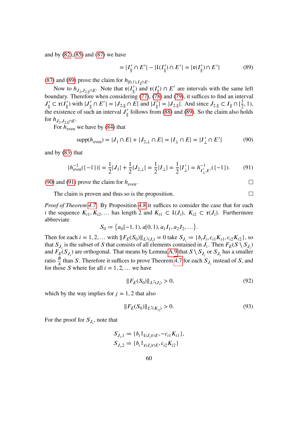and by [\(82\)](#page-60-2),[\(85\)](#page-60-1) and [\(87\)](#page-60-3) we have

$$
= |I'_{\parallel} \cap E'| - |I(I'_{\parallel}) \cap E'| = |\mathfrak{r}(I'_{\parallel}) \cap E'| \tag{89}
$$

[\(87\)](#page-60-3) and [\(89\)](#page-61-0) prove the claim for  $h_{[0,1),I_{\parallel} \cap E}$ .

Now to  $h_{J_2, J_{2, \|} \cap E}$ . Note that  $\mathfrak{r}(I_{\|}')$  and  $\mathfrak{r}(I_{\|}') \cap E'$  are intervals with the same left boundary. Therefore when considering [\(77\)](#page-57-0), [\(78\)](#page-57-1) and [\(79\)](#page-57-2), it suffices to find an interval  $J'_\parallel$  $|J'_{\parallel} \subset \mathfrak{r}(I'_{\parallel})$  with  $|J'_{\parallel} \cap E'| = |J_{2, \parallel} \cap E|$  and  $|J'_{\parallel}| = |J_{2, \parallel}|$ . And since  $J_{2, \parallel} \subset I_{\parallel} \cap [\frac{1}{2}, 1)$ , the existence of such an interval  $J'_{\parallel}$  $\frac{7}{\parallel}$  follows from [\(88\)](#page-60-4) and [\(89\)](#page-61-0). So the claim also holds for  $h_{J_2,J_{2,\parallel}\cap E}$ .

For  $h_{\text{even}}$  we have by [\(84\)](#page-60-0) that

<span id="page-61-1"></span>
$$
supp(h_{even}) = |J_1 \cap E| + |J_{2,\perp} \cap E| = |I_\perp \cap E| = |I'_\perp \cap E'| \tag{90}
$$

and by [\(83\)](#page-60-5) that

<span id="page-61-2"></span>
$$
|h_{\text{even}}^{-1}(\{-1\})| = \frac{1}{2}|J_1| + \frac{1}{2}|J_{2,\perp}| = \frac{1}{2}|I_{\perp}| = \frac{1}{2}|I'_{\perp}| = h_{I'_{\perp},E'}^{-1}(\{-1\}).\tag{91}
$$

[\(90\)](#page-61-1) and [\(91\)](#page-61-2) prove the claim for  $h_{\text{even}}$ .

The claim is proven and thus so is the proposition.

*Proof of Theorem [4.7.](#page-50-0)* By Proposition [4.8](#page-50-2) it suffices to consider the case that for each *i* the sequence  $K_{i1}, K_{i2},...$  has length 2 and  $K_{i1} \subset \mathfrak{l}(J_i)$ ,  $K_{i2} \subset \mathfrak{r}(J_i)$ . Furthermore abbreviate

$$
S_0 \coloneqq \left\{ a_0[-1,1), a[0,1), a_1 I_1, a_2 I_2, \dots \right\}.
$$

Then for each  $i = 1, 2, ...$  with  $||F_E(S_0)||_{L^2(J_i)} = 0$  take  $S_{J_i} := \{b_i J_i, c_{i1} K_{i1}, c_{i2} K_{i2}\}\)$ , so that  $S_{J_i}$  is the subset of S that consists of all elements contained in  $J_i$ . Then  $F_E(S \setminus S_{J_i})$ and  $F_E(S_{J_i})$  are orthogonal. That means by Lemma [A.9](#page-71-0) that  $S \setminus S_{J_i}$  or  $S_{J_i}$  has a smaller ratio  $\frac{B}{A}$  than S. Therefore it suffices to prove Theorem [4.7](#page-50-0) for each  $S_{J_i}$  instead of S, and for those S where for all  $i = 1, 2, ...$  we have

$$
||F_E(S_0)||_{L^2(J_i)} > 0,
$$
\n(92)

which by the way implies for  $j = 1, 2$  that also

$$
||F_E(S_0)||_{L^2(K_{ij})} > 0.
$$
\n(93)

For the proof for  $S_{J_i}$ , note that

$$
S_{J_i,1} := \{ b_i \mathbb{1}_{\mathbb{I}(J_i) \cap E}, -c_{i1} K_{i1} \},
$$
  

$$
S_{J_i,2} := \{ b_i \mathbb{1}_{\mathfrak{r}(J_i) \cap E}, c_{i2} K_{i2} \}
$$

<span id="page-61-0"></span> $\Box$ 

<span id="page-61-4"></span><span id="page-61-3"></span> $\Box$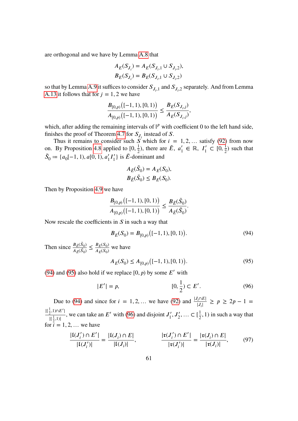are orthogonal and we have by Lemma [A.8](#page-71-2) that

$$
A_E(S_{J_i}) = A_E(S_{J_i,1} \cup S_{J_i,2}),
$$
  

$$
B_E(S_{J_i}) = B_E(S_{J_i,1} \cup S_{J_i,2})
$$

so that by Lemma [A.9](#page-71-0) it suffices to consider  $S_{J_i,1}$  and  $S_{J_i,2}$  separately. And from Lemma [A.13](#page-73-1) it follows that for  $j = 1, 2$  we have

$$
\frac{B_{[0,p)}\big([-1,1),[0,1)\big)}{A_{[0,p)}\big([-1,1),[0,1)\big)} \leq \frac{B_E(S_{J_i,j})}{A_E(S_{J_i,j})},
$$

which, after adding the remaining intervals of  $\mathbb{I}^p$  with coefficient 0 to the left hand side, finishes the proof of Theorem [4.7](#page-50-0) for  $S_{J_i}$  instead of S.

Thus it remains to consider such S which for  $i = 1, 2, ...$  satisfy [\(92\)](#page-61-3) from now on. By Proposition [4.8](#page-50-2) applied to  $[0, \frac{1}{2})$ , there are  $\tilde{E}$ ,  $a'_1$  $I'_1 \in \mathbb{R}, I'_1 \subset [0, \frac{1}{2})$  such that  $\tilde{S}_0 := \{a_0[-1, 1), a[0, 1), a'_1 I'_1\}$  $\binom{1}{1}$  is  $\tilde{E}$ -dominant and

<span id="page-62-0"></span>
$$
A_{\tilde{E}}(\tilde{S}_0) = A_E(S_0),
$$
  

$$
B_{\tilde{E}}(\tilde{S}_0) \le B_E(S_0).
$$

Then by Proposition [4.9](#page-52-6) we have

$$
\frac{B_{[0,p)}\big([-1,1), [0,1)\big)}{A_{[0,p)}\big([-1,1), [0,1)\big)} \leq \frac{B_{\tilde{E}}(\tilde{S}_0)}{A_{\tilde{E}}(\tilde{S}_0)}.
$$

Now rescale the coefficients in  $S$  in such a way that

$$
B_E(S_0) = B_{[0,p)}\big([-1,1), [0,1)\big). \tag{94}
$$

Then since  $\frac{B_{\tilde{E}}(\tilde{S}_0)}{4\pi(\tilde{S}_0)}$  $\frac{B_{\tilde{E}}(S_0)}{A_{\tilde{E}}(\tilde{S}_0)} \leq \frac{B_{E}(S_0)}{A_{E}(S_0)}$  $\frac{B_E(S_0)}{A_E(S_0)}$  we have

<span id="page-62-3"></span><span id="page-62-2"></span><span id="page-62-1"></span>
$$
A_E(S_0) \le A_{[0,p)}\big([-1,1), [0,1)\big). \tag{95}
$$

[\(94\)](#page-62-0) and [\(95\)](#page-62-1) also hold if we replace  $[0, p)$  by some  $E'$  with

$$
|E'| = p,\t\t[0, \frac{1}{2}) \subset E'.
$$
\t(96)

Due to [\(94\)](#page-62-0) and since for  $i = 1, 2, ...$  we have [\(92\)](#page-61-3) and  $\frac{|J_i \cap E|}{|J_i|} \ge p \ge 2p - 1 =$  $\frac{|[\frac{1}{2},1)\cap E'|}{|E|}$  $\frac{[E_1,1][E_1]}{[[\frac{1}{2},1][\frac{1}{2}]}$ , we can take an E' with [\(96\)](#page-62-2) and disjoint  $J'_1$  $I'_1, J'_2, ... \subset [\frac{1}{2}, 1)$  in such a way that for  $i = 1, 2, \dots$  we have

$$
\frac{|\mathfrak{l}(J_i') \cap E'|}{|\mathfrak{l}(J_i')|} = \frac{|\mathfrak{l}(J_i) \cap E|}{|\mathfrak{l}(J_i)|}, \qquad \frac{|\mathfrak{r}(J_i') \cap E'|}{|\mathfrak{r}(J_i')|} = \frac{|\mathfrak{r}(J_i) \cap E|}{|\mathfrak{r}(J_i)|}, \qquad (97)
$$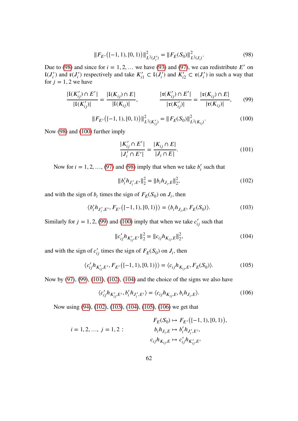<span id="page-63-0"></span>
$$
||F_{E'}([ -1, 1), [0, 1))||^2_{L^2(J_i')} = ||F_E(S_0)||^2_{L^2(J_i)}.
$$
\n(98)

Due to [\(98\)](#page-63-0) and since for  $i = 1, 2, ...$  we have [\(93\)](#page-61-4) and [\(97\)](#page-62-3), we can redistribute E' on  $\mathfrak{t}(J_i')$  and  $\mathfrak{r}(J_i')$  respectively and take  $K_{i1}' \subset \mathfrak{t}(J_i')$  and  $K_{i2}' \subset \mathfrak{r}(J_i')$  in such a way that for  $j = 1, 2$  we have

$$
\frac{|\mathfrak{l}(K'_{ij}) \cap E'|}{|\mathfrak{l}(K'_{ij})|} = \frac{|\mathfrak{l}(K_{ij}) \cap E|}{|\mathfrak{l}(K_{ij})|}, \qquad \frac{|\mathfrak{r}(K'_{ij}) \cap E'|}{|\mathfrak{r}(K'_{ij})|} = \frac{|\mathfrak{r}(K_{ij}) \cap E|}{|\mathfrak{r}(K_{ij})|}, \qquad (99)
$$

<span id="page-63-1"></span>
$$
||F_{E'}([ -1, 1), [0, 1))||_{L^{2}(K'_{ij})}^{2} = ||F_{E}(S_{0})||_{L^{2}(K_{ij})}^{2}.
$$
\n(100)

Now [\(98\)](#page-63-0) and [\(100\)](#page-63-1) further imply

<span id="page-63-3"></span><span id="page-63-2"></span>
$$
\frac{|K'_{ij} \cap E'|}{|J'_i \cap E'|} = \frac{|K_{ij} \cap E|}{|J_i \cap E|}.
$$
\n(101)

Now for  $i = 1, 2, ..., (97)$  $i = 1, 2, ..., (97)$  and [\(98\)](#page-63-0) imply that when we take  $b_i'$  $s_i$  such that

<span id="page-63-4"></span>
$$
||b_i' h_{J_i',E'}||_2^2 = ||b_i h_{J_i,E}||_2^2,
$$
\n(102)

and with the sign of  $b_i$  times the sign of  $F_E(S_0)$  on  $J_i$ , then

<span id="page-63-6"></span>
$$
\langle b_i' h_{J_i',E'}, F_{E'}([ -1, 1), [0, 1) \rangle \rangle = \langle b_i h_{J_i, E}, F_E(S_0) \rangle.
$$
 (103)

Similarly for  $j = 1, 2, (99)$  $j = 1, 2, (99)$  and [\(100\)](#page-63-1) imply that when we take  $c'_{ij}$  such that

<span id="page-63-5"></span>
$$
||c'_{ij}h_{K'_{ij},E'}||_2^2 = ||c_{ij}h_{K_{ij},E}||_2^2,
$$
\n(104)

and with the sign of  $c'_{ij}$  times the sign of  $F_E(S_0)$  on  $J_i$ , then

<span id="page-63-7"></span>
$$
\langle c'_{ij} h_{K'_{ij}, E'}, F_{E'}([-1, 1), [0, 1)] \rangle = \langle c_{ij} h_{K_{ij}, E}, F_E(S_0) \rangle.
$$
 (105)

Now by [\(97\)](#page-62-3), [\(99\)](#page-63-2), [\(101\)](#page-63-3), [\(102\)](#page-63-4), [\(104\)](#page-63-5) and the choice of the signs we also have

<span id="page-63-8"></span>
$$
\langle c'_{ij}h_{K'_{ij},E'}, b'_{i}h_{J'_{i},E'} \rangle = \langle c_{ij}h_{K_{ij},E}, b_{i}h_{J_{i},E} \rangle. \tag{106}
$$

Now using [\(94\)](#page-62-0), [\(102\)](#page-63-4), [\(103\)](#page-63-6), [\(104\)](#page-63-5), [\(105\)](#page-63-7), [\(106\)](#page-63-8) we get that

$$
F_E(S_0) \mapsto F_{E'}([-1, 1), [0, 1)),
$$
  

$$
i = 1, 2, ..., j = 1, 2:
$$

$$
b_i h_{J_i, E} \mapsto b'_i h_{J'_i, E'},
$$

$$
c_{ij} h_{K_{ij}, E} \mapsto c'_{ij} h_{K'_{ij}, E'}
$$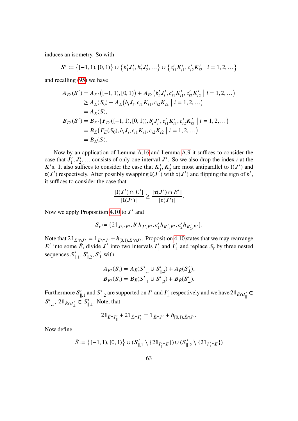induces an isometry. So with

$$
S' := \{ [-1, 1), [0, 1) \} \cup \{ b'_1 J'_1, b'_2 J'_2, \dots \} \cup \{ c'_{i1} K'_{i1}, c'_{i2} K'_{i2} \mid i = 1, 2, \dots \}
$$

and recalling [\(95\)](#page-62-1) we have

$$
A_{E'}(S') = A_{E'}([ -1, 1), [0, 1]) + A_{E'}(b'_i J'_i, c'_{i1} K'_{i1}, c'_{i2} K'_{i2} | i = 1, 2, ...)
$$
  
\n
$$
\geq A_E(S_0) + A_E(b_i J_i, c_{i1} K_{i1}, c_{i2} K_{i2} | i = 1, 2, ...)
$$
  
\n
$$
= A_E(S),
$$
  
\n
$$
B_{E'}(S') = B_{E'}(F_{E'}([-1, 1), [0, 1)), b'_i J'_i, c'_{i1} K'_{i1}, c'_{i2} K'_{i2} | i = 1, 2, ...)
$$
  
\n
$$
= B_E(F_E(S_0), b_i J_i, c_{i1} K_{i1}, c_{i2} K_{i2} | i = 1, 2, ...)
$$
  
\n
$$
= B_E(S).
$$

Now by an application of Lemma [A.16](#page-77-0) and Lemma [A.9](#page-71-0) it suffices to consider the case that  $J_1'$  $I_1, I_2', \ldots$  consists of only one interval J'. So we also drop the index *i* at the K's. It also suffices to consider the case that  $K_1'$  $\mathcal{I}'_1, K'_2$  are most antiparallel to  $\mathfrak{t}(J')$  and  $\mathfrak{r}(J')$  respectively. After possibly swapping  $\mathfrak{l}(J')$  with  $\mathfrak{r}(J')$  and flipping the sign of b', it suffices to consider the case that

$$
\frac{|\mathrm{I}(J')\cap E'|}{|\mathrm{I}(J')|}\geq \frac{|\mathrm{r}(J')\cap E'|}{|\mathrm{r}(J')|}.
$$

Now we apply Proposition [4.10](#page-56-1) to  $J'$  and

$$
S_{\rm r} := \{2\mathbb{1}_{J'\cap E'}, b'h_{J',E'}, c'_1h_{K'_1,E'}, c'_2h_{K'_2,E'}\}.
$$

Note that  $2\mathbb{1}_{E'\cap J'} = \mathbb{1}_{E'\cap J'} + h_{[0,1),E'\cap J'}$ . Proposition [4.10](#page-56-1) states that we may rearrange E' into some  $\tilde{E}$ , divide J' into two intervals  $I'_{\parallel}$  $\int_{\parallel}$  and  $I'_{\perp}$  $\frac{1}{\mu}$  and replace  $S_r$  by three nested sequences  $S'_{\parallel,1}$ ,  $S'_{\parallel,2}$ ,  $S'_{\perp}$  with

$$
A_{E'}(S_r) = A_{\tilde{E}}(S'_{\parallel,1} \cup S'_{\parallel,2}) + A_{\tilde{E}}(S'_{\perp}),
$$
  

$$
B_{E'}(S_r) = B_{\tilde{E}}(S'_{\parallel,1} \cup S'_{\parallel,2}) + B_{\tilde{E}}(S'_{\perp}).
$$

Furthermore  $S'_{\parallel,1}$  and  $S'_{\parallel,2}$  are supported on  $I'_{\parallel}$  $\int_{\parallel}$  and  $I'_{\perp}$  $\int_{\perp}$  respectively and we have 21  $_{\tilde{E} \cap I_{\parallel}'} \in$  $S'_{\parallel,1}$ ,  $2\mathbb{1}_{\tilde{E}\cap I'_{\perp}} \in S'_{\parallel,1}$ . Note, that

$$
2\mathbb{1}_{\tilde{E}\cap I_{\parallel}'} + 2\mathbb{1}_{\tilde{E}\cap I_{\perp}'} = \mathbb{1}_{\tilde{E}\cap J'} + h_{[0,1),\tilde{E}\cap J'}.
$$

Now define

$$
\tilde{S} := \left\{ [-1, 1), [0, 1) \right\} \cup (S'_{\parallel, 1} \setminus \{ 21_{I'_{\parallel} \cap \tilde{E}} \}) \cup (S'_{\parallel, 2} \setminus \{ 21_{I'_{\perp} \cap \tilde{E}} \})
$$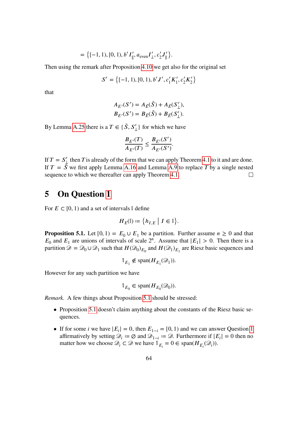$$
= \{ [-1, 1), [0, 1), b'I'_{\parallel}, a_{\text{even}} I'_{\perp}, c'_2 J'_{\parallel} \}.
$$

Then using the remark after Proposition [4.10](#page-56-1) we get also for the original set

$$
S' = \{ [-1, 1), [0, 1), b' J', c'_1 K'_1, c'_2 K'_2 \}
$$

that

$$
A_{E'}(S') = A_{\tilde{E}}(\tilde{S}) + A_{\tilde{E}}(S'_{\perp}),
$$
  

$$
B_{E'}(S') = B_{\tilde{E}}(\tilde{S}) + B_{\tilde{E}}(S'_{\perp}).
$$

By Lemma [A.25](#page-86-0) there is a  $T \in \{ \tilde{S}, S' \}$  $\langle \rangle$  for which we have

$$
\frac{B_{E'}(T)}{A_{E'}(T)} \le \frac{B_{E'}(S')}{A_{E'}(S')}.
$$

If  $T = S'_{\perp}$  then T is already of the form that we can apply Theorem [4.1](#page-38-0) to it and are done. If  $T = \tilde{S}$  we first apply Lemma [A.16](#page-77-0) and Lemma [A.9](#page-71-0) to replace T by a single nested sequence to which we thereafter can apply Theorem [4.1.](#page-38-0)  $\Box$ 

## **5 On Question [1](#page-6-0)**

For  $E \subset [0, 1)$  and a set of intervals I define

$$
H_E(\mathbb{I}) \coloneqq \big\{ h_{I,E} \bigm| I \in \mathbb{I} \big\}.
$$

<span id="page-65-0"></span>**Proposition 5.1.** Let  $[0, 1) = E_0 \cup E_1$  be a partition. Further assume  $n \ge 0$  and that  $E_0$  and  $E_1$  are unions of intervals of scale  $2^n$ . Assume that  $|E_1| > 0$ . Then there is a partition  $\mathcal{D} = \mathcal{D}_0 \cup \mathcal{D}_1$  such that  $H(\mathcal{D}_0)_{E_0}$  and  $H(\mathcal{D}_1)_{E_1}$  are Riesz basic sequences and

$$
\mathbb{1}_{E_1} \notin \text{span}(H_{E_1}(\mathcal{D}_1)).
$$

However for any such partition we have

$$
\mathbb{1}_{E_0} \in \text{span}(H_{E_0}(\mathcal{D}_0)).
$$

*Remark.* A few things about Proposition [5.1](#page-65-0) should be stressed:

- Proposition [5.1](#page-65-0) doesn't claim anything about the constants of the Riesz basic sequences.
- If for some *i* we have  $|E_i| = 0$ , then  $E_{1-i} = [0, 1)$  $E_{1-i} = [0, 1)$  $E_{1-i} = [0, 1)$  and we can answer Question 1 affirmatively by setting  $\mathcal{D}_i := \emptyset$  and  $\mathcal{D}_{1-i} := \emptyset$ . Furthermore if  $|E_i| = 0$  then no matter how we choose  $\mathcal{D}_i \subset \mathcal{D}$  we have  $\mathbb{1}_{E_i} = 0 \in \text{span}(H_{E_i}(\mathcal{D}_i)).$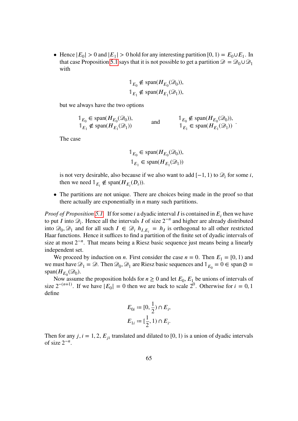• Hence  $|E_0| > 0$  and  $|E_1| > 0$  hold for any interesting partition  $[0, 1) = E_0 \cup E_1$ . In that case Proposition [5.1](#page-65-0) says that it is not possible to get a partition  $\mathcal{D} = \mathcal{D}_0 \cup \mathcal{D}_1$ with

$$
\mathbb{1}_{E_0} \notin \text{span}(H_{E_0}(\mathcal{D}_0)),
$$
  

$$
\mathbb{1}_{E_1} \notin \text{span}(H_{E_1}(\mathcal{D}_1)),
$$

but we always have the two options

 $\mathbb{1}_{E_0} \in \text{span}(H_{E_0}(\mathcal{D}_0)),$  $1_{E_1} \notin \text{span}(H_{E_1}(\mathcal{D}_1))$ (and  $\begin{aligned} 1_{E_0} \notin \text{span}(H_{E_0}(\mathcal{D}_0)), \\ 0 & 1_{E_1} \in \text{span}(H_{E_1}(\mathcal{D}_1)) \end{aligned}$  $1_{E_1} \in \text{span}(H_{E_1}(\mathcal{D}_1))$ .

The case

$$
\mathbb{1}_{E_0} \in \text{span}(H_{E_0}(\mathcal{D}_0)),
$$
  

$$
\mathbb{1}_{E_1} \in \text{span}(H_{E_1}(\mathcal{D}_1))
$$

is not very desirable, also because if we also want to add  $[-1, 1)$  to  $\mathcal{D}_i$  for some *i*, then we need  $\mathbb{1}_{E_i} \notin \text{span}(H_{E_i}(D_i)).$ 

• The partitions are not unique. There are choices being made in the proof so that there actually are exponentially in  $n$  many such partitions.

*Proof of Proposition* [5.1.](#page-65-0) If for some *i* a dyadic interval *I* is contained in  $E_i$  then we have to put *I* into  $\mathcal{D}_i$ . Hence all the intervals *I* of size  $2^{-n}$  and higher are already distributed into  $\mathcal{D}_0$ ,  $\mathcal{D}_1$  and for all such  $I \in \mathcal{D}_i$   $h_{I,E_i} = h_I$  is orthogonal to all other restricted Haar functions. Hence it suffices to find a partition of the finite set of dyadic intervals of size at most  $2^{-n}$ . That means being a Riesz basic sequence just means being a linearly independent set.

We proceed by induction on *n*. First consider the case  $n = 0$ . Then  $E_1 = [0, 1)$  and we must have  $\mathcal{D}_1 = \mathcal{D}$ . Then  $\mathcal{D}_0$ ,  $\mathcal{D}_1$  are Riesz basic sequences and  $\mathbb{1}_{E_0} = 0 \in \text{span}\,\mathcal{D} =$ span $(H_{E_0}(\mathcal{D}_0)).$ 

Now assume the proposition holds for  $n \geq 0$  and let  $E_0$ ,  $E_1$  be unions of intervals of size  $2^{-(n+1)}$ . If we have  $|E_0| = 0$  then we are back to scale  $2^0$ . Otherwise for  $i = 0, 1$ define

$$
E_{0i} := [0, \frac{1}{2}) \cap E_i,
$$
  

$$
E_{1i} := [\frac{1}{2}, 1) \cap E_i.
$$

Then for any j,  $i = 1, 2, E_{ii}$  translated and dilated to [0, 1) is a union of dyadic intervals of size  $2^{-n}$ .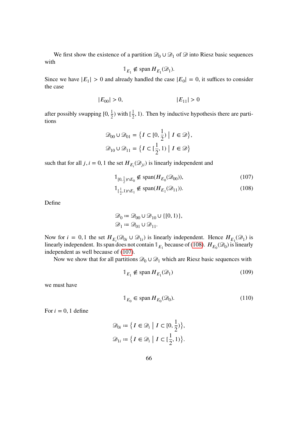We first show the existence of a partition  $\mathcal{D}_0 \cup \mathcal{D}_1$  of  $\mathcal{D}$  into Riesz basic sequences with

$$
\mathbb{1}_{E_1} \notin \text{span}\, H_{E_1}(\mathcal{D}_1).
$$

Since we have  $|E_1| > 0$  and already handled the case  $|E_0| = 0$ , it suffices to consider the case

$$
|E_{00}| > 0, \t\t |E_{11}| > 0
$$

after possibly swapping  $[0, \frac{1}{2})$  with  $[\frac{1}{2}]$  $\frac{1}{2}$ , 1). Then by inductive hypothesis there are partitions

$$
\mathcal{D}_{00} \cup \mathcal{D}_{01} = \{ I \subset [0, \frac{1}{2}) \mid I \in \mathcal{D} \},\
$$
  

$$
\mathcal{D}_{10} \cup \mathcal{D}_{11} = \{ I \subset [\frac{1}{2}, 1) \mid I \in \mathcal{D} \}
$$

such that for all  $j, i = 0, 1$  the set  $H_{E_i}(\mathcal{D}_{ji})$  is linearly independent and

<span id="page-67-1"></span>
$$
\mathbb{1}_{[0,\frac{1}{2}) \cap E_0} \notin \text{span}(H_{E_0}(\mathcal{D}_{00})),\tag{107}
$$

<span id="page-67-0"></span>
$$
\mathbb{1}_{[\frac{1}{2},1)\cap E_1} \notin \text{span}(H_{E_1}(\mathcal{D}_{11})).
$$
 (108)

Define

$$
\mathcal{D}_0 := \mathcal{D}_{00} \cup \mathcal{D}_{10} \cup \{ [0, 1) \},
$$
  

$$
\mathcal{D}_1 := \mathcal{D}_{01} \cup \mathcal{D}_{11}.
$$

Now for  $i = 0, 1$  the set  $H_{E_i}(\mathcal{D}_{0i} \cup \mathcal{D}_{1i})$  is linearly independent. Hence  $H_{E_1}(\mathcal{D}_1)$  is linearly independent. Its span does not contain  $\mathbb{1}_{E_1}$  because of [\(108\)](#page-67-0).  $H_{E_0}(\mathcal{D}_0)$  is linearly independent as well because of [\(107\)](#page-67-1).

Now we show that for all partitions  $\mathcal{D}_0 \cup \mathcal{D}_1$  which are Riesz basic sequences with

<span id="page-67-2"></span>
$$
\mathbb{1}_{E_1} \notin \text{span}\, H_{E_1}(\mathcal{D}_1) \tag{109}
$$

we must have

<span id="page-67-3"></span>
$$
\mathbb{1}_{E_0} \in \text{span}\, H_{E_0}(\mathcal{D}_0). \tag{110}
$$

For  $i = 0, 1$  define

$$
\mathcal{D}_{0i} := \left\{ I \in \mathcal{D}_i \mid I \subset [0, \frac{1}{2}) \right\},\
$$
  

$$
\mathcal{D}_{1i} := \left\{ I \in \mathcal{D}_i \mid I \subset [\frac{1}{2}, 1) \right\}.
$$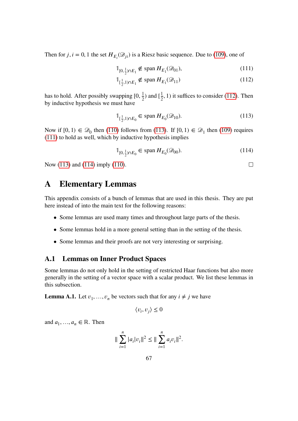Then for *j*, *i* = 0, 1 the set  $H_{E_i}(\mathcal{D}_{ji})$  is a Riesz basic sequence. Due to [\(109\)](#page-67-2), one of

$$
\mathbb{1}_{[0,\frac{1}{2}) \cap E_1} \notin \text{span}\, H_{E_1}(\mathcal{D}_{01}),\tag{111}
$$

$$
\mathbb{1}_{\left[\frac{1}{2},1\right]\cap E_1} \notin \text{span}\, H_{E_1}(\mathcal{D}_{11})\tag{112}
$$

has to hold. After possibly swapping  $[0, \frac{1}{2})$  and  $[\frac{1}{2}]$  $\frac{1}{2}$ , 1) it suffices to consider [\(112\)](#page-68-1). Then by inductive hypothesis we must have

<span id="page-68-2"></span>
$$
\mathbb{1}_{[\frac{1}{2},1)\cap E_0} \in \text{span}\, H_{E_0}(\mathcal{D}_{10}).\tag{113}
$$

Now if  $[0, 1) \in \mathcal{D}_0$  then [\(110\)](#page-67-3) follows from [\(113\)](#page-68-2). If  $[0, 1) \in \mathcal{D}_1$  then [\(109\)](#page-67-2) requires [\(111\)](#page-68-3) to hold as well, which by inductive hypothesis implies

<span id="page-68-4"></span>
$$
\mathbb{1}_{[0,\frac{1}{2}) \cap E_0} \in \text{span}\, H_{E_0}(\mathcal{D}_{00}).\tag{114}
$$

<span id="page-68-3"></span><span id="page-68-1"></span> $\Box$ 

Now [\(113\)](#page-68-2) and [\(114\)](#page-68-4) imply [\(110\)](#page-67-3).

# **A Elementary Lemmas**

This appendix consists of a bunch of lemmas that are used in this thesis. They are put here instead of into the main text for the following reasons:

- Some lemmas are used many times and throughout large parts of the thesis.
- Some lemmas hold in a more general setting than in the setting of the thesis.
- Some lemmas and their proofs are not very interesting or surprising.

### **A.1 Lemmas on Inner Product Spaces**

Some lemmas do not only hold in the setting of restricted Haar functions but also more generally in the setting of a vector space with a scalar product. We list these lemmas in this subsection.

<span id="page-68-0"></span>**Lemma A.1.** Let  $v_1, ..., v_n$  be vectors such that for any  $i \neq j$  we have

$$
\langle v_i, v_j \rangle \le 0
$$

and  $a_1, ..., a_n \in \mathbb{R}$ . Then

$$
\|\sum_{i=1}^n |a_i|v_i\|^2 \le \|\sum_{i=1}^n a_i v_i\|^2.
$$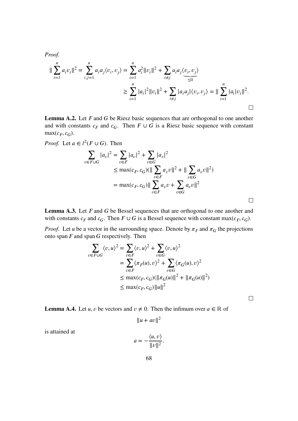*Proof.*

$$
\|\sum_{i=1}^{n} a_i v_i\|^2 = \sum_{i,j=1}^{n} a_i a_j \langle v_i, v_j \rangle = \sum_{i=1}^{n} a_i^2 \|v_i\|^2 + \sum_{i \neq j} a_i a_j \langle v_i, v_j \rangle
$$
  

$$
\geq \sum_{i=1}^{n} |a_i|^2 \|v_i\|^2 + \sum_{i \neq j} |a_i a_j| \langle v_i, v_j \rangle = \|\sum_{i=1}^{n} |a_i| v_i\|^2.
$$

**Lemma A.2.** Let  $F$  and  $G$  be Riesz basic sequences that are orthogonal to one another and with constants  $c_F$  and  $c_G$ . Then  $F \cup G$  is a Riesz basic sequence with constant  $max(c_F, c_G)$ .

*Proof.* Let 
$$
a \in l^2(F \cup G)
$$
. Then  
\n
$$
\sum_{v \in F \cup G} |a_v|^2 = \sum_{v \in F} |a_v|^2 + \sum_{v \in G} |a_v|^2
$$
\n
$$
\leq \max(c_F, c_G)(\|\sum_{v \in F} a_v v\|^2 + \|\sum_{v \in G} a_v v\|^2)
$$
\n
$$
= \max(c_F, c_G)\|\sum_{v \in F} a_v v + \sum_{v \in G} a_v v\|^2
$$

**Lemma A.3.** Let  $F$  and  $G$  be Bessel sequences that are orthogonal to one another and with constants  $c_F$  and  $c_G$ . Then  $F \cup G$  is a Bessel sequence with constant max $(c_F, c_G)$ .

*Proof.* Let *u* be a vector in the surrounding space. Denote by  $\pi_F$  and  $\pi_G$  the projections onto span  $F$  and span  $G$  respectively. Then

$$
\sum_{v \in F \cup G} \langle v, u \rangle^2 = \sum_{v \in F} \langle v, u \rangle^2 + \sum_{v \in G} \langle v, u \rangle^2
$$
  
= 
$$
\sum_{v \in F} \langle \pi_F(u), v \rangle^2 + \sum_{v \in G} \langle \pi_G(u), v \rangle^2
$$
  
\$\leq\$ max $(c_F, c_G)$ ( $||\pi_G(u)||^2 + ||\pi_G(u)||^2)$   
\$\leq\$ max $(c_F, c_G)$ || $u||^2$ 

 $\Box$ 

 $\Box$ 

**Lemma A.4.** Let *u*, *v* be vectors and  $v \neq 0$ . Then the infimum over  $a \in \mathbb{R}$  of

 $||u + av||^2$ 

is attained at

$$
a = -\frac{\langle u, v \rangle}{\|v\|^2}.
$$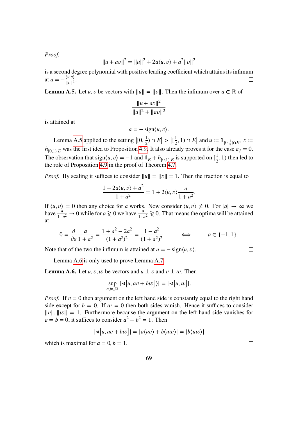*Proof.*

$$
||u + av||2 = ||u||2 + 2a\langle u, v \rangle + a2 ||v||2
$$

is a second degree polynomial with positive leading coefficient which attains its infimum at  $a = -\frac{\langle u, v \rangle}{\|v\|^2}$  $\Box$  $\frac{\langle u, v \rangle}{\|v\|^2}$ .

<span id="page-70-0"></span>**Lemma A.5.** Let *u*, *v* be vectors with  $||u|| = ||v||$ . Then the infimum over  $a \in \mathbb{R}$  of

$$
\frac{\|u + av\|^2}{\|u\|^2 + \|av\|^2}
$$

is attained at

$$
a=-\operatorname{sign}\langle u,v\rangle.
$$

Lemma [A.5](#page-70-0) applied to the setting  $|(0, \frac{1}{2}) \cap E| > |[\frac{1}{2}]$  $\frac{1}{2}$ , 1)  $\cap$  E and  $u := \mathbb{1}_{[0, \frac{1}{2}) \cap E}$ ,  $v :=$  $h_{[0,1),E}$  was the first idea to Proposition [4.9.](#page-52-6) It also already proves it for the case  $a_I = 0$ . The observation that sign $\langle u, v \rangle = -1$  and  $\mathbb{1}_E + h_{[0,1),E}$  is supported on  $\left[\frac{1}{2}\right]$  $\frac{1}{2}$ , 1) then led to the role of Proposition [4.9](#page-52-6) in the proof of Theorem [4.7.](#page-50-0)

*Proof.* By scaling it suffices to consider  $||u|| = ||v|| = 1$ . Then the fraction is equal to

$$
\frac{1+2a\langle u,v\rangle+a^2}{1+a^2}=1+2\langle u,v\rangle\frac{a}{1+a^2}.
$$

If  $\langle u, v \rangle = 0$  then any choice for a works. Now consider  $\langle u, v \rangle \neq 0$ . For  $|a| \to \infty$  we have  $\frac{a}{1+a^2} \to 0$  while for  $a \ge 0$  we have  $\frac{a}{1+a^2} \ge 0$ . That means the optima will be attained at

$$
0 = \frac{\partial}{\partial a} \frac{a}{1 + a^2} = \frac{1 + a^2 - 2a^2}{(1 + a^2)^2} = \frac{1 - a^2}{(1 + a^2)^2} \qquad \Longleftrightarrow \qquad a \in \{-1, 1\}.
$$

Note that of the two the infimum is attained at  $a = -\text{sign}\langle u, v \rangle$ .

Lemma [A.6](#page-70-1) is only used to prove Lemma [A.7.](#page-71-1)

<span id="page-70-1"></span>**Lemma A.6.** Let u, v, w be vectors and  $u \perp v$  and  $v \perp w$ . Then

$$
\sup_{a,b\in\mathbb{R}}|\mathbf{a}[u,av+bw]\rangle|=|\mathbf{a}[u,w]|.
$$

*Proof.* If  $v = 0$  then argument on the left hand side is constantly equal to the right hand side except for  $b = 0$ . If  $w = 0$  then both sides vanish. Hence it suffices to consider  $||v||$ ,  $||w|| = 1$ . Furthermore because the argument on the left hand side vanishes for  $a = b = 0$ , it suffices to consider  $a^2 + b^2 = 1$ . Then

$$
|\mathcal{A}[u, av + bw]| = |a\langle uv \rangle + b\langle uw \rangle| = |b\langle uw \rangle|
$$

which is maximal for  $a = 0, b = 1$ .

 $\Box$ 

 $\Box$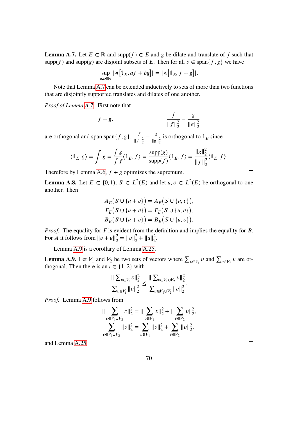<span id="page-71-1"></span>**Lemma A.7.** Let  $E \subset \mathbb{R}$  and supp $(f) \subset E$  and g be dilate and translate of f such that supp(f) and supp(g) are disjoint subsets of E. Then for all  $v \in \text{span}{f, g}$  we have

$$
\sup_{a,b\in\mathbb{R}}|\mathbf{A}[\mathbb{1}_E,af+bg]|=|\mathbf{A}[\mathbb{1}_E,f+g]|.
$$

Note that Lemma [A.7](#page-71-1) can be extended inductively to sets of more than two functions that are disjointly supported translates and dilates of one another.

*Proof of Lemma [A.7.](#page-71-1)* First note that

$$
f+g
$$
, 
$$
\frac{f}{\|f\|_2^2} - \frac{g}{\|g\|_2^2}
$$

are orthogonal and span span $\{f, g\}$ .  $\frac{f}{\|\cdot\| f}$  $|| f ||_2^2$  $-\frac{g}{\ln |q|}$  $\frac{g}{\|g\|_2^2}$  is orthogonal to  $\mathbb{1}_E$  since

$$
\langle \mathbb{1}_E, g \rangle = \int g = \frac{\int g}{\int f} \langle \mathbb{1}_E, f \rangle = \frac{\text{supp}(g)}{\text{supp}(f)} \langle \mathbb{1}_E, f \rangle = \frac{\|g\|_2^2}{\|f\|_2^2} \langle \mathbb{1}_E, f \rangle.
$$

Therefore by Lemma [A.6,](#page-70-1)  $f + g$  optimizes the supremum.

<span id="page-71-2"></span>**Lemma A.8.** Let  $E \subset [0, 1)$ ,  $S \subset L^2(E)$  and let  $u, v \in L^2(E)$  be orthogonal to one another. Then

$$
A_E(S \cup \{u + v\}) = A_E(S \cup \{u, v\}),
$$
  
\n
$$
F_E(S \cup \{u + v\}) = F_E(S \cup \{u, v\}),
$$
  
\n
$$
B_E(S \cup \{u + v\}) = B_E(S \cup \{u, v\}).
$$

*Proof.* The equality for  $F$  is evident from the definition and implies the equality for  $B$ . For *A* it follows from  $||v + u||_2^2 = ||v||_2^2 + ||u||_2^2$ .  $\Box$ 

Lemma [A.9](#page-71-0) is a corollary of Lemma [A.25.](#page-86-0)

<span id="page-71-0"></span>**Lemma A.9.** Let  $V_1$  and  $V_2$  be two sets of vectors where  $\sum_{v \in V_1} v$  and  $\sum_{v \in V_2} v$  are orthogonal. Then there is an  $i \in \{1, 2\}$  with

$$
\frac{\|\sum_{v\in V_i} v\|_2^2}{\sum_{v\in V_i} \|v\|_2^2} \le \frac{\|\sum_{v\in V_1 \cup V_2} v\|_2^2}{\sum_{v\in V_1 \cup V_2} \|v\|_2^2}.
$$

*Proof.* Lemma [A.9](#page-71-0) follows from

$$
\|\sum_{v\in V_1\cup V_2} v\|_2^2 = \|\sum_{v\in V_1} v\|_2^2 + \|\sum_{v\in V_2} v\|_2^2,
$$
  

$$
\sum_{v\in V_1\cup V_2} \|v\|_2^2 = \sum_{v\in V_1} \|v\|_2^2 + \sum_{v\in V_2} \|v\|_2^2,
$$

and Lemma [A.25.](#page-86-0)

 $\Box$ 

 $\Box$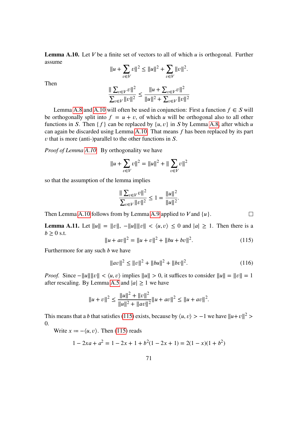<span id="page-72-0"></span>**Lemma A.10.** Let  $V$  be a finite set of vectors to all of which  $u$  is orthogonal. Further assume

$$
||u + \sum_{v \in V} v||^2 \le ||u||^2 + \sum_{v \in V} ||v||^2.
$$

Then

$$
\frac{\|\sum_{v\in V}v\|^2}{\sum_{v\in V}||v||^2} \le \frac{\|u + \sum_{v\in V}v\|^2}{\|u\|^2 + \sum_{v\in V}v\|^2}
$$

Lemma [A.8](#page-71-0) and [A.10](#page-72-0) will often be used in conjunction: First a function  $f \in S$  will be orthogonally split into  $f = u + v$ , of which u will be orthogonal also to all other functions in S. Then  $\{f\}$  can be replaced by  $\{u, v\}$  in S by Lemma [A.8,](#page-71-0) after which u can again be discarded using Lemma [A.10.](#page-72-0) That means  $f$  has been replaced by its part  *that is more (anti-)parallel to the other functions in*  $*S*$ *.* 

*Proof of Lemma [A.10.](#page-72-0)* By orthogonality we have

$$
||u + \sum_{v \in V} v||^2 = ||u||^2 + ||\sum_{v \in V} v||^2
$$

so that the assumption of the lemma implies

$$
\frac{\|\sum_{v\in V}v\|^2}{\sum_{v\in V}||v||^2} \le 1 = \frac{\|u\|^2}{\|u\|^2}.
$$

Then Lemma [A.10](#page-72-0) follows from by Lemma [A.9](#page-71-1) applied to  $V$  and  $\{u\}$ .

**Lemma A.11.** Let  $||u|| = ||v||$ ,  $-||u|| ||v|| < \langle u, v \rangle \leq 0$  and  $|a| \geq 1$ . Then there is a  $b \geq 0$  s.t.

<span id="page-72-1"></span>
$$
||u + av||2 = ||u + v||2 + ||bu + bv||2.
$$
 (115)

 $\Box$ 

Furthermore for any such  $b$  we have

$$
||av||2 \le ||v||2 + ||bu||2 + ||bv||2.
$$
 (116)

*Proof.* Since  $-\|u\| \|v\| < \langle u, v \rangle$  implies  $\|u\| > 0$ , it suffices to consider  $\|u\| = \|v\| = 1$ after rescaling. By Lemma [A.5](#page-70-0) and  $|a| \ge 1$  we have

$$
||u + v||2 \le \frac{||u||2 + ||v||2}{||u||2 + ||av||2} ||u + av||2 \le ||u + av||2.
$$

This means that a *b* that satisfies [\(115\)](#page-72-1) exists, because by  $\langle u, v \rangle > -1$  we have  $||u + v||^2$ 0.

Write  $x = -\langle u, v \rangle$ . Then [\(115\)](#page-72-1) reads

$$
1 - 2xa + a^2 = 1 - 2x + 1 + b^2(1 - 2x + 1) = 2(1 - x)(1 + b^2)
$$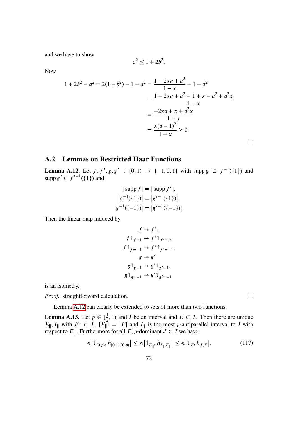and we have to show

Now

$$
1 + 2b2 - a2 = 2(1 + b2) - 1 - a2 = \frac{1 - 2xa + a2}{1 - x} - 1 - a2
$$
  
= 
$$
\frac{1 - 2xa + a2 - 1 + x - a2 + a2x}{1 - x}
$$
  
= 
$$
\frac{-2xa + x + a2x}{1 - x}
$$
  
= 
$$
\frac{x(a - 1)2}{1 - x} \ge 0.
$$

 $a^2 \leq 1 + 2b^2$ .

### **A.2 Lemmas on Restricted Haar Functions**

<span id="page-73-0"></span>**Lemma A.12.** Let  $f, f', g, g'$  :  $[0, 1) \rightarrow \{-1, 0, 1\}$  with supp  $g \subset f^{-1}(\{1\})$  and supp  $g' \subset f'^{-1}(\{1\})$  and

$$
|\sup f| = |\sup f'|,
$$
  
\n
$$
|g^{-1}(\{1\})| = |g'^{-1}(\{1\})|,
$$
  
\n
$$
|g^{-1}(\{-1\})| = |g'^{-1}(\{-1\})|.
$$

Then the linear map induced by

$$
f \mapsto f',
$$
  
\n
$$
f \mathbb{1}_{f=1} \mapsto f' \mathbb{1}_{f'=1},
$$
  
\n
$$
f \mathbb{1}_{f=-1} \mapsto f' \mathbb{1}_{f'=-1},
$$
  
\n
$$
g \mapsto g'
$$
  
\n
$$
g \mathbb{1}_{g=1} \mapsto g' \mathbb{1}_{g'=1},
$$
  
\n
$$
g \mathbb{1}_{g=-1} \mapsto g' \mathbb{1}_{g'=-1}
$$

is an isometry.

*Proof.* straightforward calculation.

Lemma [A.12](#page-73-0) can clearly be extended to sets of more than two functions.

<span id="page-73-1"></span>**Lemma A.13.** Let  $p \in [\frac{1}{2}, 1)$  and I be an interval and  $E \subset I$ . Then there are unique  $E_{\parallel}$ ,  $I_{\parallel}$  with  $E_{\parallel} \subset I$ ,  $|E_{\parallel}| = |E|$  and  $I_{\parallel}$  is the most *p*-antiparallel interval to *I* with respect to  $E_{\parallel}$ . Furthermore for all E, p-dominant  $J \subset I$  we have

<span id="page-73-2"></span>
$$
\mathbf{A}[\mathbb{1}_{[0,p)}, h_{[0,1),[0,p)}] \le \mathbf{A}[\mathbb{1}_{E_{\parallel}}, h_{I_{\parallel},E_{\parallel}}] \le \mathbf{A}[\mathbb{1}_E, h_{J,E}].
$$
 (117)

 $\Box$ 

 $\hfill \square$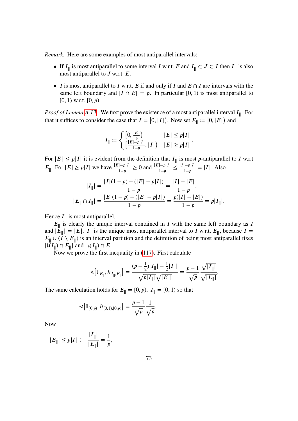*Remark.* Here are some examples of most antiparallel intervals:

- If  $I_{\parallel}$  is most antiparallel to some interval I w.r.t. E and  $I_{\parallel} \subset J \subset I$  then  $I_{\parallel}$  is also most antiparallel to  $J$  w.r.t.  $E$ .
- I is most antiparallel to I w.r.t. E if and only if I and  $E \cap I$  are intervals with the same left boundary and  $|I \cap E| = p$ . In particular [0, 1) is most antiparallel to  $[0, 1)$  w.r.t.  $[0, p)$ .

*Proof of Lemma [A.13.](#page-73-1)* We first prove the existence of a most antiparallel interval I<sub>||</sub>. For that it suffices to consider the case that  $I = [0, |I|)$ . Now set  $E_{\parallel} := [0, |E|)$  and

$$
I_{\parallel} \coloneqq \left\{ \begin{aligned} &\left[0,\frac{|E|}{p}\right) & |E| \leq p|I| \\ &\left[\frac{|E| - p|I|}{1-p}, |I|\right) & |E| \geq p|I| \end{aligned} \right. .
$$

For  $|E| \leq p|I|$  it is evident from the definition that  $I_{\parallel}$  is most p-antiparallel to I w.r.t  $E_{\parallel}$ . For  $|E| \ge p|I|$  we have  $\frac{|E|-p|I|}{1-p} \ge 0$  and  $\frac{|E|-p|I|}{1-p} \le \frac{|I|-p|I|}{1-p} = |I|$ . Also

$$
|I_{\parallel}| = \frac{|I|(1-p) - (|E| - p|I|)}{1-p} = \frac{|I| - |E|}{1-p},
$$
  

$$
|E_{\parallel} \cap I_{\parallel}| = \frac{|E|(1-p) - (|E| - p|I|)}{1-p} = \frac{p(|I| - |E|)}{1-p} = p|I_{\parallel}|.
$$

Hence  $I_{\parallel}$  is most antiparallel.

 $E_{\parallel}$  is clearly the unique interval contained in *I* with the same left boundary as *I* and  $|E_{\parallel}| = |E|$ .  $I_{\parallel}$  is the unique most antiparallel interval to I w.r.t.  $E_{\parallel}$ , because I =  $E_{\parallel} \cup (I \setminus E_{\parallel})$  is an interval partition and the definition of being most antiparallel fixes  $|\mathfrak{l}(I_{\parallel}) \cap E_{\parallel}|$  and  $|\mathfrak{r}(I_{\parallel}) \cap E|$ .

Now we prove the first inequality in [\(117\)](#page-73-2). First calculate

$$
\mathcal{A}\left[\mathbb{1}_{E_{\parallel}}, h_{I_{\parallel},E_{\parallel}}\right] = \frac{(p - \frac{1}{2})|I_{\parallel}| - \frac{1}{2}|I_{\parallel}|}{\sqrt{p|I_{\parallel}|}\sqrt{|E_{\parallel}|}} = \frac{p - 1}{\sqrt{p}} \frac{\sqrt{|I_{\parallel}|}}{\sqrt{|E_{\parallel}|}}.
$$

The same calculation holds for  $E_{\parallel} = [0, p)$ ,  $I_{\parallel} = [0, 1)$  so that

$$
\mathcal{A}\big[\mathbb{1}_{[0,p)}, h_{[0,1),[0,p)}\big] = \frac{p-1}{\sqrt{p}} \frac{1}{\sqrt{p}}.
$$

Now

$$
|E_{\parallel}| \le p|I| \, : \, \frac{|I_{\parallel}|}{|E_{\parallel}|} = \frac{1}{p},
$$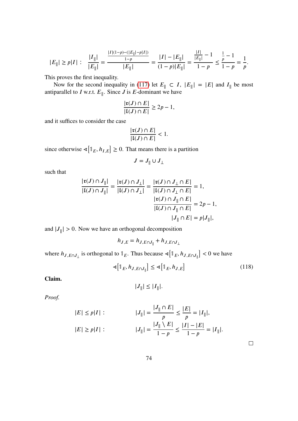$$
|E_{\parallel}| \ge p|I| \; : \quad \frac{|I_{\parallel}|}{|E_{\parallel}|} = \frac{\frac{|I|(1-p)-(|E_{\parallel}|-p|I|)}{1-p}}{|E_{\parallel}|} = \frac{|I|-|E_{\parallel}|}{(1-p)|E_{\parallel}|} = \frac{\frac{|I|}{|E_{\parallel}|}-1}{1-p} \le \frac{\frac{1}{p}-1}{1-p} = \frac{1}{p}.
$$

This proves the first inequality.

Now for the second inequality in [\(117\)](#page-73-2) let  $E_{\parallel} \subset I$ ,  $|E_{\parallel}| = |E|$  and  $I_{\parallel}$  be most antiparallel to *I* w.r.t.  $E_{\parallel}$ . Since *J* is *E*-dominant we have

$$
\frac{|\mathfrak{r}(J) \cap E|}{|\mathfrak{l}(J) \cap E|} \ge 2p - 1,
$$

and it suffices to consider the case

$$
\frac{|\mathfrak{x}(J)\cap E|}{|\mathfrak{l}(J)\cap E|}<1.
$$

since otherwise  $\triangleleft[\mathbb{1}_E, h_{I,E}] \geq 0$ . That means there is a partition

$$
J = J_{\parallel} \cup J_{\perp}
$$

such that

$$
\frac{|\mathfrak{r}(J) \cap J_{\parallel}|}{|\mathfrak{l}(J) \cap J_{\parallel}|} = \frac{|\mathfrak{r}(J) \cap J_{\perp}|}{|\mathfrak{l}(J) \cap J_{\perp}|} = \frac{|\mathfrak{r}(J) \cap J_{\perp} \cap E|}{|\mathfrak{l}(J) \cap J_{\perp} \cap E|} = 1,
$$
  

$$
\frac{|\mathfrak{r}(J) \cap J_{\parallel} \cap E|}{|\mathfrak{l}(J) \cap J_{\parallel} \cap E|} = 2p - 1,
$$
  

$$
|J_{\parallel} \cap E| = p|J_{\parallel}|,
$$

and  $|J_{\parallel}| > 0$ . Now we have an orthogonal decomposition

$$
h_{J,E} = h_{J,E \cap J_{\parallel}} + h_{J,E \cap J_{\perp}}
$$

where  $h_{J,E\cap J_\perp}$  is orthogonal to  $\mathbb{1}_E$ . Thus because  $\leq \left[\mathbb{1}_E, h_{J,E\cap J_\parallel}\right] < 0$  we have

<span id="page-75-0"></span>
$$
\mathbf{A}\left[\mathbb{1}_E, h_{J,E \cap J_{\parallel}}\right] \le \mathbf{A}\left[\mathbb{1}_E, h_{J,E}\right] \tag{118}
$$

 $\Box$ 

**Claim.**

$$
|J_{\parallel}| \leq |I_{\parallel}|.
$$

*Proof.*

$$
|E| \le p|I| : |J_{\parallel}| = \frac{|J_{\parallel} \cap E|}{p} \le \frac{|E|}{p} = |I_{\parallel}|,
$$
  

$$
|E| \ge p|I| : |J_{\parallel}| = \frac{|J_{\parallel} \setminus E|}{1 - p} \le \frac{|I| - |E|}{1 - p} = |I_{\parallel}|.
$$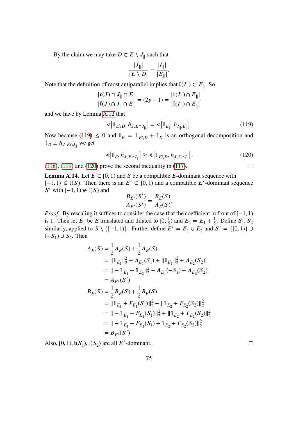By the claim we may take  $D \subset E \setminus J_{\parallel}$  such that

$$
\frac{|J_{\parallel}|}{|E \setminus D|} = \frac{|I_{\parallel}|}{|E_{\parallel}|}.
$$

Note that the definition of most antiparallel implies that  $\mathfrak{l}(I_{\parallel}) \subset E_{\parallel}$ . So

$$
\frac{|\mathfrak{r}(J) \cap J_{\parallel} \cap E|}{|\mathfrak{l}(J) \cap J_{\parallel} \cap E|} = (2p - 1) = \frac{|\mathfrak{r}(I_{\parallel}) \cap E_{\parallel}|}{|\mathfrak{l}(I_{\parallel}) \cap E_{\parallel}|}
$$

and we have by Lemma [A.12](#page-73-0) that

<span id="page-76-0"></span>
$$
\mathbf{A}\left[\mathbb{1}_{E\setminus D}, h_{J, E\cap J_{\parallel}}\right] = \mathbf{A}\left[\mathbb{1}_{E_{\parallel}}, h_{I_{\parallel}, E_{\parallel}}\right].\tag{119}
$$

Now because [\(119\)](#page-76-0)  $\leq$  0 and  $\mathbb{1}_E = \mathbb{1}_{E \setminus D} + \mathbb{1}_D$  is an orthogonal decomposition and  $\mathbb{1}_D \perp h_{J,E \cap J_{\parallel}}$  we get

<span id="page-76-1"></span>
$$
\mathbf{A}[\mathbb{1}_E, h_{J, E \cap J_{\parallel}}] \ge \mathbf{A}[\mathbb{1}_{E \setminus D}, h_{J, E \cap J_{\parallel}}]. \tag{120}
$$

 $(118)$ ,  $(119)$  and  $(120)$  prove the second inequality in  $(117)$ .

<span id="page-76-2"></span>**Lemma A.14.** Let  $E \subset [0, 1)$  and S be a compatible E-dominant sequence with [-1, 1) ∈  $\mathbb{I}(S)$ . Then there is an  $E' \subset [0, 1)$  and a compatible E'-dominant sequence S' with  $[-1, 1) \notin \mathbb{I}(S)$  and

$$
\frac{B_{E'}(S')}{A_{E'}(S')} = \frac{B_{E}(S)}{A_{E}(S)}.
$$

*Proof.* By rescaling it suffices to consider the case that the coefficient in front of [−1, 1) is 1. Then let  $E_1$  be E translated and dilated to  $[0, \frac{1}{2})$  and  $E_2 = E_1 + \frac{1}{2}$  $\frac{1}{2}$ . Define  $S_1, S_2$ similarly, applied to  $S \setminus \{[-1, 1)\}\$ . Further define  $\tilde{E}' = E_1 \cup E_2$  and  $S' = \{[0, 1)\} \cup$  $(-S_1) \cup S_2$ . Then

$$
A_E(S) = \frac{1}{2} A_E(S) + \frac{1}{2} A_E(S)
$$
  
\n
$$
= ||1_{E_1}||_2^2 + A_{E_1}(S_1) + ||1_{E_1}||_2^2 + A_{E_2}(S_2)
$$
  
\n
$$
= ||-1_{E_1} + 1_{E_2}||_2^2 + A_{E_1}(-S_1) + A_{E_2}(S_2)
$$
  
\n
$$
= A_{E'}(S')
$$
  
\n
$$
B_E(S) = \frac{1}{2} B_E(S) + \frac{1}{2} B_E(S)
$$
  
\n
$$
= ||1_{E_1} + F_{E_1}(S_1)||_2^2 + ||1_{E_2} + F_{E_2}(S_2)||_2^2
$$
  
\n
$$
= ||-1_{E_1} - F_{E_1}(S_1)||_2^2 + ||1_{E_2} + F_{E_2}(S_2)||_2^2
$$
  
\n
$$
= ||-1_{E_1} - F_{E_1}(S_1) + 1_{E_2} + F_{E_2}(S_2)||_2^2
$$
  
\n
$$
= B_{E'}(S')
$$

Also,  $[0, 1)$ ,  $\mathbb{I}(S_1)$ ,  $\mathbb{I}(S_2)$  are all E'-dominant.

 $\Box$ 

 $\Box$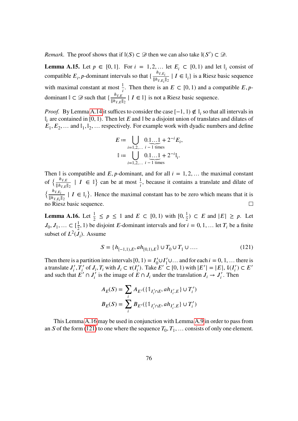*Remark.* The proof shows that if  $\mathbb{I}(S) \subset \mathcal{D}$  then we can also take  $\mathbb{I}(S') \subset \mathcal{D}$ .

**Lemma A.15.** Let  $p \in [0, 1]$ . For  $i = 1, 2, \ldots$  let  $E_i \subset [0, 1)$  and let  $\mathbb{I}_i$  consist of compatible  $E_i$ , *p*-dominant intervals so that  $\{\frac{h_{I,E_i}}{\|h_{I,E_i}\|}$  $\frac{m_{i, E_i}}{\|h_{I, E_i}\|_2}$  |  $I \in \mathbb{I}_i$ } is a Riesz basic sequence with maximal constant at most  $\frac{1}{i}$ . Then there is an  $E \subset [0, 1)$  and a compatible  $E$ , pdominant  $\mathbb{I} \subset \mathcal{D}$  such that  $\{\frac{h_{I,E}}{\|\mathbf{h}_{E,E}\|}\}$  $\frac{H_{I,E}}{\|h_{I,E}\|_2}$  |  $I \in \mathbb{I}$  is not a Riesz basic sequence.

*Proof.* By Lemma [A.14](#page-76-2) it suffices to consider the case  $[-1, 1) \notin I_i$  so that all intervals in  $\mathbb{I}_i$  are contained in [0, 1). Then let E and  $\mathbb{I}$  be a disjoint union of translates and dilates of  $E_1, E_2, \ldots$  and  $\mathbb{I}_1, \mathbb{I}_2, \ldots$  respectively. For example work with dyadic numbers and define

$$
E := \bigcup_{i=1,2,...} 0.\underbrace{1...1}_{i-1 \text{ times}} + 2^{-i}E_i,
$$

$$
\mathbb{I} := \bigcup_{i=1,2,...} 0.\underbrace{1...1}_{i-1 \text{ times}} + 2^{-i}\mathbb{I}_i.
$$

Then I is compatible and E, p-dominant, and for all  $i = 1, 2, ...$  the maximal constant of  $\left\{\frac{h_{I,E}}{\|h_{I,E}\|}\right\}$  $\frac{h_{I,E}}{\|h_{I,E}\|_2}$  |  $I \in \mathbb{I}$ } can be at most  $\frac{1}{i}$ , because it contains a translate and dilate of  $h_{I,E_i}$  $\frac{m_{i,E_i}}{||h_{I,E_i}||_2}$  |  $I \in \mathbb{I}_i$ . Hence the maximal constant has to be zero which means that it is  $\{$ no Riesz basic sequence.  $\Box$ 

<span id="page-77-0"></span>**Lemma A.16.** Let  $\frac{1}{2} \leq p \leq 1$  and  $E \subset [0, 1)$  with  $[0, \frac{1}{2}) \subset E$  and  $|E| \geq p$ . Let  $J_0, J_1, \ldots \subset \left[\frac{1}{2}, 1\right]$  be disjoint *E*-dominant intervals and for  $i = 0, 1, \ldots$  let  $T_i$  be a finite subset of  $L^2(J_i)$ . Assume

<span id="page-77-1"></span>
$$
S = \{h_{[-1,1),E}, ah_{[0,1),E}\} \cup T_0 \cup T_1 \cup \dots
$$
\n(121)

Then there is a partition into intervals  $[0, 1) = I'_0 \cup I'_1 \cup ...$  and for each  $i = 0, 1, ...$  there is a translate  $J_i'$  $\mathcal{I}'_i$ ,  $T'_i$  of  $J_i$ ,  $T_i$  with  $J_i \subset \mathfrak{r}(I'_i)$ . Take  $E' \subset [0, 1)$  with  $|E'| = |E|$ ,  $\mathfrak{t}(I'_i) \subset E'$ and such that  $E' \cap J'_i$  is the image of  $E \cap J_i$  under the translation  $J_i \to J'_i$ . Then

$$
A_E(S) = \sum_i A_{E'}(\{\mathbb{1}_{I'_i \cap E}, ah_{I'_i, E}\} \cup T'_i)
$$
  

$$
B_E(S) = \sum_i B_{E'}(\{\mathbb{1}_{I'_i \cap E}, ah_{I'_i, E}\} \cup T'_i)
$$

This Lemma [A.16](#page-77-0) may be used in conjunction with Lemma [A.9](#page-71-1) in order to pass from an S of the form [\(121\)](#page-77-1) to one where the sequence  $T_0, T_1, \ldots$  consists of only one element.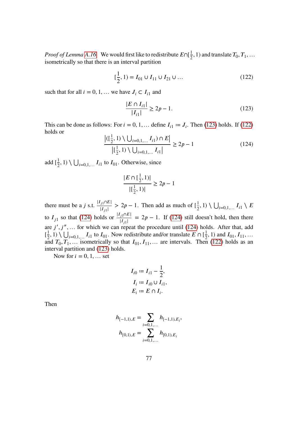*Proof of Lemma [A.16.](#page-77-0)* We would first like to redistribute  $E \cap [\frac{1}{2}, 1)$  and translate  $T_0, T_1, ...$ isometrically so that there is an interval partition

<span id="page-78-1"></span>
$$
[\frac{1}{2}, 1) = I_{01} \cup I_{11} \cup I_{21} \cup \dots \tag{122}
$$

such that for all  $i = 0, 1, ...$  we have  $J_i \subset I_{i1}$  and

<span id="page-78-0"></span>
$$
\frac{|E \cap I_{i1}|}{|I_{i1}|} \ge 2p - 1.
$$
 (123)

This can be done as follows: For  $i = 0, 1, \dots$  define  $I_{i1} := J_i$ . Then [\(123\)](#page-78-0) holds. If [\(122\)](#page-78-1) holds or

<span id="page-78-2"></span>
$$
\frac{\left| ( \lfloor \frac{1}{2}, 1 ) \setminus \bigcup_{i=0,1,...} I_{i1} ) \cap E \right|}{\left| ( \frac{1}{2}, 1 ) \setminus \bigcup_{i=0,1,...} I_{i1} \right|} \ge 2p - 1 \tag{124}
$$

add  $\left[\frac{1}{2}\right]$  $(\frac{1}{2}, 1) \setminus \bigcup_{i=0,1,...} I_{i1}$  to  $I_{01}$ . Otherwise, since

$$
\frac{|E \cap [\frac{1}{2}, 1)|}{|[\frac{1}{2}, 1)|} \ge 2p - 1
$$

there must be a *j* s.t.  $\frac{|I_{j1} \cap E|}{|I_{j1}|}$  $\frac{|j_1 \cap E|}{|I_{j_1}|} > 2p - 1$ . Then add as much of  $\left[\frac{1}{2}\right]$  $(\frac{1}{2}, 1) \setminus \bigcup_{i=0,1,...} I_{i1} \setminus E$ to  $I_{j1}$  so that [\(124\)](#page-78-2) holds or  $\frac{|I_{j1} \cap E|}{|I_{j1}|} = 2p - 1$ . If (124) still doesn't hold, then there are  $j', j'', \ldots$  for which we can repeat the procedure until [\(124\)](#page-78-2) holds. After that, add  $\left[\frac{1}{2}\right]$  $\frac{1}{2}$ , 1)  $\bigcup_{i=0,1,...} I_{i1}$  to  $I_{01}$ . Now redistribute and/or translate  $E \cap [\frac{1}{2}, 1)$  and  $I_{01}$ ,  $I_{11}$ , ... and  $T_0, T_1, \ldots$  isometrically so that  $I_{01}, I_{11}, \ldots$  are intervals. Then [\(122\)](#page-78-1) holds as an interval partition and [\(123\)](#page-78-0) holds.

Now for  $i = 0, 1, \ldots$  set

$$
I_{i0} \coloneqq I_{i1} - \frac{1}{2},
$$
  
\n
$$
I_i \coloneqq I_{i0} \cup I_{i1},
$$
  
\n
$$
E_i \coloneqq E \cap I_i.
$$

Then

$$
h_{[-1,1),E} = \sum_{i=0,1,...} h_{[-1,1),E_i},
$$

$$
h_{[0,1),E} = \sum_{i=0,1,...} h_{[0,1),E_i}
$$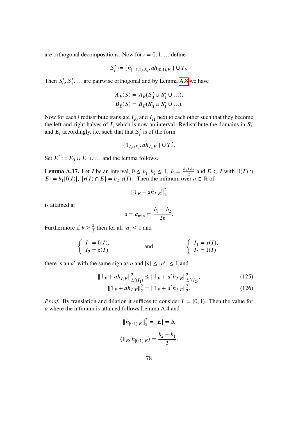are orthogonal decompositions. Now for  $i = 0, 1, \ldots$  define

$$
S_i' := \{h_{[-1,1),E_i}, ah_{[0,1),E_i}\} \cup T_i.
$$

Then  $S'_0$  $\mathcal{S}'_0$ ,  $\mathcal{S}'_1$ , ... are pairwise orthogonal and by Lemma [A.8](#page-71-0) we have

$$
A_E(S) = A_E(S'_0 \cup S'_1 \cup ...),
$$
  
\n
$$
B_E(S) = B_E(S'_0 \cup S'_1 \cup ...).
$$

Now for each *i* redistribute translate  $I_{i0}$  and  $I_{i1}$  next to each other such that they become the left and right halves of  $I_i$  which is now an interval. Redistribute the domains in  $S_i'$ i and  $E_i$  accordingly, i.e. such that that  $S'_i$  $i'$  is of the form

$$
\{\mathbb{1}_{I_i\cap E_i}, ah_{I_i,E_i}\}\cup T'_i.
$$

Set  $E' := E_0 \cup E_1 \cup ...$  and the lemma follows.

**Lemma A.17.** Let *I* be an interval,  $0 \le b_1, b_2 \le 1$ ,  $b := \frac{b_1 + b_2}{2}$  and  $E \subset I$  with  $|I(I) \cap$  $|E| = b_1 |V(I)|$ ,  $|\mathfrak{r}(I) \cap E| = b_2 |\mathfrak{r}(I)|$ . Then the infimum over  $a \in \mathbb{R}$  of

$$
\|\mathbf{1}_E + ah_{I,E}\|_2^2
$$

is attained at

$$
a = a_{\min} \coloneqq \frac{b_1 - b_2}{2b}.
$$

Furthermore if  $b \geq \frac{2}{3}$  then for all  $|a| \leq 1$  and

$$
\begin{cases}\nI_1 = \mathfrak{l}(I), \\
I_2 = \mathfrak{r}(I)\n\end{cases}\n\qquad \text{and} \qquad\n\begin{cases}\nI_1 = \mathfrak{r}(I), \\
I_2 = \mathfrak{l}(I)\n\end{cases}
$$

there is an a' with the same sign as a and  $|a| \le |a'| \le 1$  and

$$
\|1\|_{E} + ah_{I,E}\|_{L^{2}(I_{1})}^{2} \le \|1\|_{E} + a'h_{I,E}\|_{L^{2}(I_{2})}^{2},
$$
\n
$$
\|1\|_{E} + ah_{I,E}\|_{2}^{2} = \|1\|_{E} + a'h_{I,E}\|_{2}^{2}.
$$
\n(126)

*Proof.* By translation and dilation it suffices to consider  $I = [0, 1)$ . Then the value for where the infimum is attained follows Lemma [A.4](#page-69-0) and

<span id="page-79-1"></span>
$$
||h_{[0,1),E}||_2^2 = |E| = b,
$$
  

$$
\langle \mathbb{1}_E, h_{[0,1),E} \rangle = \frac{b_2 - b_1}{2}.
$$

<span id="page-79-0"></span> $\Box$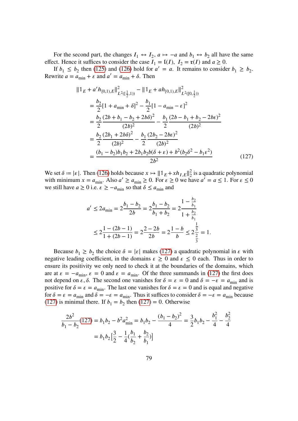For the second part, the changes  $I_1 \leftrightarrow I_2$ ,  $a \mapsto -a$  and  $b_1 \leftrightarrow b_2$  all have the same effect. Hence it suffices to consider the case  $I_1 = \mathfrak{l}(I)$ ,  $I_2 = \mathfrak{r}(I)$  and  $a \ge 0$ .

If  $b_1 \leq b_2$  then [\(125\)](#page-79-0) and [\(126\)](#page-79-1) hold for  $a' = a$ . It remains to consider  $b_1 \geq b_2$ . Rewrite  $a = a_{\min} + \varepsilon$  and  $a' = a_{\min} + \delta$ . Then

$$
\|\mathbb{1}_{E} + a'h_{[0,1),E}\|_{L^{2}(\left[\frac{1}{2},1\right))}^{2} - \|\mathbb{1}_{E} + ah_{[0,1),E}\|_{L^{2}([0,\frac{1}{2}))}^{2}
$$
\n
$$
= \frac{b_{2}}{2}[1 + a_{\min} + \delta]^{2} - \frac{b_{1}}{2}[1 - a_{\min} - \varepsilon]^{2}
$$
\n
$$
= \frac{b_{2}}{2}\frac{(2b + b_{1} - b_{2} + 2b\delta)^{2}}{(2b)^{2}} - \frac{b_{1}}{2}\frac{(2b - b_{1} + b_{2} - 2b\varepsilon)^{2}}{(2b)^{2}}
$$
\n
$$
= \frac{b_{2}}{2}\frac{(2b_{1} + 2b\delta)^{2}}{(2b)^{2}} - \frac{b_{1}}{2}\frac{(2b_{2} - 2b\varepsilon)^{2}}{(2b)^{2}}
$$
\n
$$
= \frac{(b_{1} - b_{2})b_{1}b_{2} + 2b_{1}b_{2}b(\delta + \varepsilon) + b^{2}(b_{2}\delta^{2} - b_{1}\varepsilon^{2})}{2b^{2}}
$$
\n(127)

We set  $\delta = |\varepsilon|$ . Then [\(126\)](#page-79-1) holds because  $x \mapsto ||\mathbf{1}_E + xh_{I,E}||_2^2$  $\frac{2}{2}$  is a quadratic polynomial with minimum  $x = a_{\min}$ . Also  $a' \ge a_{\min} \ge 0$ . For  $\varepsilon \ge 0$  we have  $a' = a \le 1$ . For  $\varepsilon \le 0$ we still have  $a \ge 0$  i.e.  $\varepsilon \ge -a_{\min}$  so that  $\delta \le a_{\min}$  and

<span id="page-80-0"></span>
$$
a' \le 2a_{\min} = 2\frac{b_1 - b_2}{2b} = 2\frac{b_1 - b_2}{b_1 + b_2} = 2\frac{1 - \frac{b_2}{b_1}}{1 + \frac{b_2}{b_1}}
$$
  

$$
\le 2\frac{1 - (2b - 1)}{1 + (2b - 1)} = 2\frac{2 - 2b}{2b} = 2\frac{1 - b}{b} \le 2\frac{\frac{1}{2}}{\frac{2}{3}} = 1.
$$

Because  $b_1 \ge b_2$  the choice  $\delta = |\varepsilon|$  makes [\(127\)](#page-80-0) a quadratic polynomial in  $\varepsilon$  with negative leading coefficient, in the domains  $\varepsilon \geq 0$  and  $\varepsilon \leq 0$  each. Thus in order to ensure its positivity we only need to check it at the boundaries of the domains, which are at  $\varepsilon = -a_{\min}$ ,  $\varepsilon = 0$  and  $\varepsilon = a_{\min}$ . Of the three summands in [\(127\)](#page-80-0) the first does not depend on  $\varepsilon$ ,  $\delta$ . The second one vanishes for  $\delta = \varepsilon = 0$  and  $\delta = -\varepsilon = a_{\min}$  and is positive for  $\delta = \varepsilon = a_{\min}$ . The last one vanishes for  $\delta = \varepsilon = 0$  and is equal and negative for  $\delta = \epsilon = a_{\min}$  and  $\delta = -\epsilon = a_{\min}$ . Thus it suffices to consider  $\delta = -\epsilon = a_{\min}$  because [\(127\)](#page-80-0) is minimal there. If  $b_1 = b_2$  then [\(127\)](#page-80-0) = 0. Otherwise

$$
\frac{2b^2}{b_1 - b_2}(127) = b_1b_2 - b^2a_{\min}^2 = b_1b_2 - \frac{(b_1 - b_2)^2}{4} = \frac{3}{2}b_1b_2 - \frac{b_1^2}{4} - \frac{b_2^2}{4}
$$

$$
= b_1b_2\left[\frac{3}{2} - \frac{1}{4}(\frac{b_1}{b_2} + \frac{b_2}{b_1})\right]
$$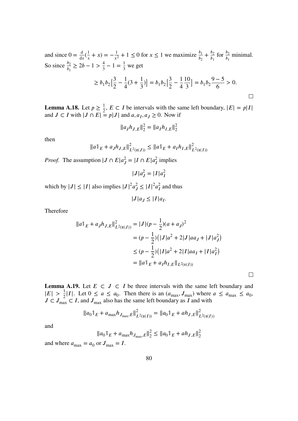<span id="page-81-1"></span>and since  $0 = \frac{d}{dx}(\frac{1}{x})$  $(\frac{1}{x} + x) = -\frac{1}{x^2} + 1 \le 0$  for  $x \le 1$  we maximize  $\frac{b_1}{b_2} + \frac{b_2}{b_1}$  $\frac{b_2}{b_1}$  for  $\frac{b_2}{b_1}$  minimal. So since  $\frac{b_2}{b_1} \ge 2b - 1 > \frac{4}{3} - 1 = \frac{1}{3}$  we get

$$
\geq b_1 b_2 \left[\frac{3}{2} - \frac{1}{4}(3 + \frac{1}{3})\right] = b_1 b_2 \left[\frac{3}{2} - \frac{1}{4}\frac{10}{3}\right] = b_1 b_2 \frac{9 - 5}{6} > 0.
$$

**Lemma A.18.** Let  $p \ge \frac{1}{2}$ ,  $E \subset I$  be intervals with the same left boundary,  $|E| = p|I|$ and  $J \subset I$  with  $|J \cap E| = p|J|$  and  $a, a_I, a_J \ge 0$ . Now if

$$
||a_J h_{J,E}||_2^2 = ||a_I h_{I,E}||_2^2
$$

then

$$
||a||_E + a_J h_{J,E}||_{L^2(\mathfrak{x}(J))}^2 \le ||a||_E + a_I h_{I,E}||_{L^2(\mathfrak{x}(I))}^2
$$

*Proof.* The assumption  $|J \cap E|a_J^2 = |I \cap E|a_I^2$  implies

$$
|J|a_J^2 = |I|a_I^2
$$

which by  $|J| \leq |I|$  also implies  $|J|^2 a_J^2$  $\frac{2}{J} \leq |I|^2 a_I^2$  $\frac{2}{I}$  and thus

 $|J|a_J \leq |I|a_I.$ 

Therefore

$$
||a||_E + a_J h_{J,E}||_{L^2(\mathfrak{x}(J))}^2 = |J|(p - \frac{1}{2})(a + a_J)^2
$$
  
=  $(p - \frac{1}{2})(|J|a^2 + 2|J|aa_J + |J|a_J^2)$   
 $\leq (p - \frac{1}{2})(|I|a^2 + 2|I|aa_I + |I|a_I^2)$   
=  $||a||_E + a_I h_{I,E}||_{L^2(\mathfrak{x}(I))}$ 

<span id="page-81-0"></span>**Lemma A.19.** Let  $E \subset J \subset I$  be three intervals with the same left boundary and  $|E| > \frac{1}{2}|I|$ . Let  $0 \le a \le a_0$ . Then there is an  $(a_{\text{max}}, J_{\text{max}})$  where  $a \le a_{\text{max}} \le a_0$ ,  $J \subset J_{\text{max}} \subset I$ , and  $J_{\text{max}}$  also has the same left boundary as I and with

 $\Box$ 

$$
||a_0||_E + a_{\max} h_{J_{\max},E}||_{L^2(\mathfrak{x}(I))}^2 = ||a_0||_E + ah_{J,E}||_{L^2(\mathfrak{x}(I))}^2
$$

and

$$
||a_01_E + a_{\text{max}} h_{J_{\text{max}},E}||_2^2 \le ||a_01_E + ah_{J,E}||_2^2
$$

and where  $a_{\text{max}} = a_0$  or  $J_{\text{max}} = I$ .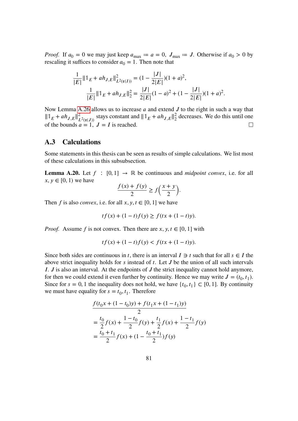*Proof.* If  $a_0 = 0$  we may just keep  $a_{\text{max}} := a = 0$ ,  $J_{\text{max}} := J$ . Otherwise if  $a_0 > 0$  by rescaling it suffices to consider  $a_0 = 1$ . Then note that

$$
\frac{1}{|E|} ||\mathbb{1}_E + ah_{J,E}||_{L^2(\mathfrak{x}(I))}^2 = (1 - \frac{|J|}{2|E|})(1 + a)^2,
$$
  

$$
\frac{1}{|E|} ||\mathbb{1}_E + ah_{J,E}||_2^2 = \frac{|J|}{2|E|}(1 - a)^2 + (1 - \frac{|J|}{2|E|})(1 + a)^2.
$$

Now Lemma [A.26](#page-87-0) allows us to increase  $a$  and extend  $J$  to the right in such a way that  $\| \mathbb{1}_E + ah_{J,E} \|_{L^2(\mathfrak{x}(J))}^2$  stays constant and  $\| \mathbb{1}_E + ah_{J,E} \|_2^2$  $\frac{2}{2}$  decreases. We do this until one of the bounds  $a = 1$ ,  $J = I$  is reached.  $\Box$ 

#### **A.3 Calculations**

Some statements in this thesis can be seen as results of simple calculations. We list most of these calculations in this subsubsection.

**Lemma A.20.** Let  $f : [0, 1] \rightarrow \mathbb{R}$  be continuous and *midpoint convex*, i.e. for all  $x, y \in [0, 1)$  we have

$$
\frac{f(x) + f(y)}{2} \ge f\left(\frac{x+y}{2}\right).
$$

Then f is also *convex*, i.e. for all  $x, y, t \in [0, 1]$  we have

$$
tf(x) + (1 - t)f(y) \ge f(tx + (1 - t)y).
$$

*Proof.* Assume f is not convex. Then there are  $x, y, t \in [0, 1]$  with

$$
tf(x) + (1 - t)f(y) < f(tx + (1 - t)y).
$$

Since both sides are continuous in t, there is an interval  $I \ni t$  such that for all  $s \in I$  the above strict inequality holds for  $s$  instead of  $t$ . Let  $J$  be the union of all such intervals I.  $J$  is also an interval. At the endpoints of  $J$  the strict inequality cannot hold anymore, for then we could extend it even further by continuity. Hence we may write  $J = (t_0, t_1)$ . Since for  $s = 0, 1$  the inequality does not hold, we have  $\{t_0, t_1\} \subset [0, 1]$ . By continuity we must have equality for  $s = t_0, t_1$ . Therefore

$$
\frac{f(t_0x + (1 - t_0)y) + f(t_1x + (1 - t_1)y)}{2}
$$
\n
$$
= \frac{t_0}{2}f(x) + \frac{1 - t_0}{2}f(y) + \frac{t_1}{2}f(x) + \frac{1 - t_1}{2}f(y)
$$
\n
$$
= \frac{t_0 + t_1}{2}f(x) + (1 - \frac{t_0 + t_1}{2})f(y)
$$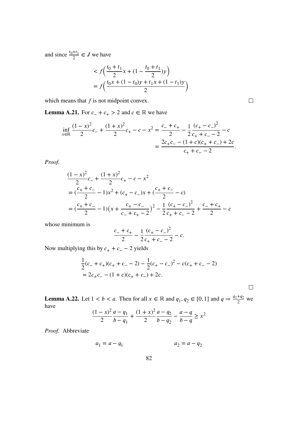and since  $\frac{t_0+t_1}{2} \in J$  we have

$$
\begin{aligned} &< f\left(\frac{t_0 + t_1}{2}x + (1 - \frac{t_0 + t_1}{2})y\right) \\ &= f\left(\frac{t_0x + (1 - t_0)y + t_1x + (1 - t_1)y}{2}\right) \end{aligned}
$$

which means that  $f$  is not midpoint convex.

 $\hfill \square$ 

<span id="page-83-0"></span>**Lemma A.21.** For  $c_- + c_+ > 2$  and  $c \in \mathbb{R}$  we have

$$
\inf_{x \in \mathbb{R}} \frac{(1-x)^2}{2} c_+ + \frac{(1+x)^2}{2} c_+ - c - x^2 = \frac{c_- + c_+}{2} - \frac{1}{2} \frac{(c_+ - c_-)^2}{c_+ + c_- - 2} - c
$$

$$
= \frac{2c_+c_- - (1+c)(c_+ + c_-) + 2c}{c_+ + c_- - 2}.
$$

*Proof.*

$$
\frac{(1-x)^2}{2}c_- + \frac{(1+x)^2}{2}c_+ - c - x^2
$$
  
=  $(\frac{c_+ + c_-}{2} - 1)x^2 + (c_+ - c_-)x + (\frac{c_+ + c_-}{2} - c)$   
=  $(\frac{c_+ + c_-}{2} - 1)(x + \frac{c_+ - c_-}{c_- + c_+ - 2})^2 - \frac{1}{2}\frac{(c_+ - c_-)^2}{c_+ + c_- - 2} + \frac{c_- + c_+}{2} - c$ 

whose minimum is

$$
\frac{c_{-}+c_{+}}{2}-\frac{1}{2}\frac{(c_{+}-c_{-})^{2}}{c_{+}+c_{-}-2}-c.
$$

Now multiplying this by  $c_+ + c_- - 2$  yields

$$
\frac{1}{2}(c_{-} + c_{+})(c_{+} + c_{-} - 2) - \frac{1}{2}(c_{+} - c_{-})^{2} - c(c_{+} + c_{-} - 2)
$$
  
= 2c\_{+}c\_{-} - (1 + c)(c\_{+} + c\_{-}) + 2c.

 $\Box$ 

**Lemma A.22.** Let  $1 < b < a$ . Then for all  $x \in \mathbb{R}$  and  $q_1, q_2 \in [0, 1]$  and  $q := \frac{q_1 + q_2}{2}$  $rac{q}{2}$  we have  $\frac{(1-x)^2}{x}$ 

$$
\frac{(1-x)^2}{2} \frac{a-q_1}{b-q_1} + \frac{(1+x)^2}{2} \frac{a-q_2}{b-q_2} - \frac{a-q}{b-q} \ge x^2
$$

*Proof.* Abbreviate

$$
a_1 = a - q_1 \qquad \qquad a_2 = a - q_2
$$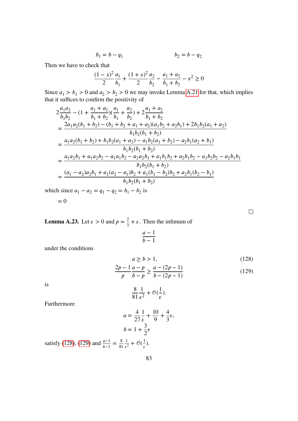$$
b_1 = b - q_1 \qquad \qquad b_2 = b - q_2
$$

Then we have to check that

$$
\frac{(1-x)^2}{2}\frac{a_1}{b_1} + \frac{(1+x)^2}{2}\frac{a_2}{b_2} - \frac{a_1 + a_2}{b_1 + b_2} - x^2 \ge 0
$$

Since  $a_1 > b_1 > 0$  and  $a_2 > b_2 > 0$  we may invoke Lemma [A.21](#page-83-0) for that, which implies that it suffices to confirm the positivity of

$$
2\frac{a_1a_2}{b_1b_2} - (1 + \frac{a_1 + a_2}{b_1 + b_2})(\frac{a_1}{b_1} + \frac{a_2}{b_2}) + 2\frac{a_1 + a_2}{b_1 + b_2}
$$
  
\n
$$
= \frac{2a_1a_2(b_1 + b_2) - (b_1 + b_2 + a_1 + a_2)(a_1b_2 + a_2b_1) + 2b_1b_2(a_1 + a_2)}{b_1b_2(b_1 + b_2)}
$$
  
\n
$$
= \frac{a_1a_2(b_1 + b_2) + b_1b_2(a_1 + a_2) - a_1b_2(a_1 + b_2) - a_2b_1(a_2 + b_1)}{b_1b_2(b_1 + b_2)}
$$
  
\n
$$
= \frac{a_1a_2b_1 + a_1a_2b_2 - a_1a_1b_2 - a_2a_2b_1 + a_1b_1b_2 + a_2b_1b_2 - a_1b_2b_2 - a_2b_1b_1}{b_1b_2(b_1 + b_2)}
$$
  
\n
$$
= \frac{(a_1 - a_2)a_2b_1 + a_1(a_2 - a_1)b_2 + a_1(b_1 - b_2)b_2 + a_2b_1(b_2 - b_1)}{b_1b_2(b_1 + b_2)}
$$

which since  $a_1 - a_2 = q_1 - q_2 = b_1 - b_2$  is

$$
= 0
$$

<span id="page-84-1"></span><span id="page-84-0"></span> $\Box$ 

**Lemma A.23.** Let  $\epsilon > 0$  and  $p = \frac{2}{3}$  $\frac{2}{3} + \varepsilon$ . Then the infimum of

$$
\frac{a-1}{b-1}
$$

under the conditions

$$
a \ge b > 1,\tag{128}
$$

$$
\frac{2p-1}{p} \frac{a-p}{b-p} \ge \frac{a - (2p-1)}{b - (2p-1)}
$$
(129)

is

$$
\frac{8}{81}\frac{1}{\epsilon^2}+\mathcal{O}(\frac{1}{\epsilon}).
$$

Furthermore

$$
a = \frac{4}{27} \frac{1}{\epsilon} + \frac{10}{9} + \frac{4}{3} \epsilon,
$$
  

$$
b = 1 + \frac{3}{2} \epsilon
$$

satisfy [\(128\)](#page-84-0), [\(129\)](#page-84-1) and  $\frac{a-1}{b-1} = \frac{8}{8}$ 81 1  $\frac{1}{\epsilon^2} + \mathcal{O}(\frac{1}{\epsilon}).$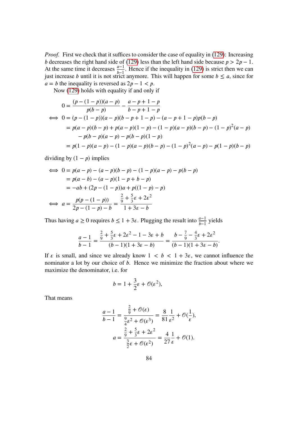*Proof.* First we check that it suffices to consider the case of equality in [\(129\)](#page-84-1): Increasing b decreases the right hand side of [\(129\)](#page-84-1) less than the left hand side because  $p > 2p - 1$ . At the same time it decreases  $\frac{a-1}{b-1}$ . Hence if the inequality in [\(129\)](#page-84-1) is strict then we can just increase *b* until it is not strict anymore. This will happen for some  $b \le a$ , since for  $a = b$  the inequality is reversed as  $2p - 1 < p$ .

Now [\(129\)](#page-84-1) holds with equality if and only if

$$
0 = \frac{(p - (1 - p))(a - p)}{p(b - p)} - \frac{a - p + 1 - p}{b - p + 1 - p}
$$
  
\n
$$
\iff 0 = (p - (1 - p))(a - p)(b - p + 1 - p) - (a - p + 1 - p)p(b - p)
$$
  
\n
$$
= p(a - p)(b - p) + p(a - p)(1 - p) - (1 - p)(a - p)(b - p) - (1 - p)^2(a - p)
$$
  
\n
$$
- p(b - p)(a - p) - p(b - p)(1 - p)
$$
  
\n
$$
= p(1 - p)(a - p) - (1 - p)(a - p)(b - p) - (1 - p)^2(a - p) - p(1 - p)(b - p)
$$

dividing by  $(1 - p)$  implies

$$
\iff 0 = p(a - p) - (a - p)(b - p) - (1 - p)(a - p) - p(b - p)
$$
  
=  $p(a - b) - (a - p)(1 - p + b - p)$   
=  $-ab + (2p - (1 - p))a + p((1 - p) - p)$   

$$
\iff a = \frac{p(p - (1 - p))}{2p - (1 - p) - b} = \frac{\frac{2}{9} + \frac{5}{3}\varepsilon + 2\varepsilon^2}{1 + 3\varepsilon - b}
$$

Thus having  $a \ge 0$  requires  $b \le 1 + 3\varepsilon$ . Plugging the result into  $\frac{a-1}{b-1}$  yields

$$
\frac{a-1}{b-1} = \frac{\frac{2}{9} + \frac{5}{3}\varepsilon + 2\varepsilon^2 - 1 - 3\varepsilon + b}{(b-1)(1+3\varepsilon - b)} = \frac{b - \frac{7}{9} - \frac{4}{3}\varepsilon + 2\varepsilon^2}{(b-1)(1+3\varepsilon - b)}.
$$

If  $\varepsilon$  is small, and since we already know  $1 \lt b \lt 1 + 3\varepsilon$ , we cannot influence the nominator a lot by our choice of  $b$ . Hence we minimize the fraction about where we maximize the denominator, i.e. for

$$
b = 1 + \frac{3}{2}\varepsilon + \mathcal{O}(\varepsilon^2),
$$

That means

$$
\frac{a-1}{b-1} = \frac{\frac{2}{9} + \mathcal{O}(\varepsilon)}{\frac{9}{4}\varepsilon^2 + \mathcal{O}(\varepsilon^3)} = \frac{8}{81}\frac{1}{\varepsilon^2} + \mathcal{O}(\frac{1}{\varepsilon}),
$$

$$
a = \frac{\frac{2}{9} + \frac{5}{3}\varepsilon + 2\varepsilon^2}{\frac{3}{2}\varepsilon + \mathcal{O}(\varepsilon^2)} = \frac{4}{27}\frac{1}{\varepsilon} + \mathcal{O}(1).
$$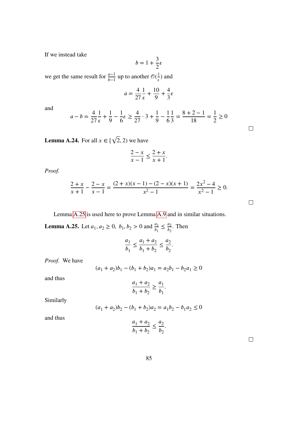If we instead take

$$
b = 1 + \frac{3}{2}\varepsilon
$$

we get the same result for  $\frac{a-1}{b-1}$  up to another  $\mathcal{O}(\frac{1}{\varepsilon})$  and

$$
a = \frac{4}{27} \frac{1}{\varepsilon} + \frac{10}{9} + \frac{4}{3} \varepsilon
$$

and

$$
a - b = \frac{4}{27} \frac{1}{\epsilon} + \frac{1}{9} - \frac{1}{6} \epsilon \ge \frac{4}{27} \cdot 3 + \frac{1}{9} - \frac{1}{6} \frac{1}{3} = \frac{8+2-1}{18} = \frac{1}{2} \ge 0
$$

**Lemma A.24.** For all  $x \in [\sqrt{2}, 2)$  we have

$$
\frac{2-x}{x-1} \le \frac{2+x}{x+1}.
$$

*Proof.*

$$
\frac{2+x}{x+1} - \frac{2-x}{x-1} = \frac{(2+x)(x-1) - (2-x)(x+1)}{x^2 - 1} = \frac{2x^2 - 4}{x^2 - 1} \ge 0.
$$

Lemma [A.25](#page-86-0) is used here to prove Lemma [A.9](#page-71-1) and in similar situations.

<span id="page-86-0"></span>**Lemma A.25.** Let  $a_1, a_2 \ge 0$ ,  $b_1, b_2 > 0$  and  $\frac{a_1}{b_1} \le \frac{a_2}{b_2}$  $\frac{a_2}{b_2}$ . Then

$$
\frac{a_1}{b_1} \le \frac{a_1 + a_2}{b_1 + b_2} \le \frac{a_2}{b_2}.
$$

*Proof.* We have

$$
(a_1 + a_2)b_1 - (b_1 + b_2)a_1 = a_2b_1 - b_2a_1 \ge 0
$$

and thus

$$
\frac{a_1 + a_2}{b_1 + b_2} \ge \frac{a_1}{b_1}.
$$

Similarly

$$
(a_1 + a_2)b_2 - (b_1 + b_2)a_2 = a_1b_2 - b_1a_2 \le 0
$$

and thus

$$
\frac{a_1+a_2}{b_1+b_2}\leq \frac{a_2}{b_2}
$$

.

 $\Box$ 

 $\Box$ 

 $\Box$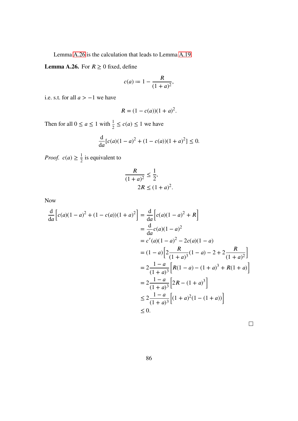Lemma [A.26](#page-87-0) is the calculation that leads to Lemma [A.19.](#page-81-0)

<span id="page-87-0"></span>**Lemma A.26.** For  $R \ge 0$  fixed, define

$$
c(a) \coloneqq 1 - \frac{R}{(1+a)^2},
$$

i.e. s.t. for all  $a > -1$  we have

$$
R = (1 - c(a))(1 + a)^2.
$$

Then for all  $0 \le a \le 1$  with  $\frac{1}{2} \le c(a) \le 1$  we have

$$
\frac{d}{da}[c(a)(1-a)^2 + (1-c(a))(1+a)^2] \le 0.
$$

*Proof.*  $c(a) \geq \frac{1}{2}$  is equivalent to

$$
\frac{R}{(1+a)^2} \le \frac{1}{2},
$$
  

$$
2R \le (1+a)^2
$$

.

Now

$$
\frac{d}{da} \left[ c(a)(1-a)^2 + (1-c(a))(1+a)^2 \right] = \frac{d}{da} \left[ c(a)(1-a)^2 + R \right]
$$
  
\n
$$
= \frac{d}{da} c(a)(1-a)^2
$$
  
\n
$$
= c'(a)(1-a)^2 - 2c(a)(1-a)
$$
  
\n
$$
= (1-a)\left[ 2\frac{R}{(1+a)^3}(1-a) - 2 + 2\frac{R}{(1+a)^2} \right]
$$
  
\n
$$
= 2\frac{1-a}{(1+a)^3} \left[ R(1-a) - (1+a)^3 + R(1+a) \right]
$$
  
\n
$$
= 2\frac{1-a}{(1+a)^3} \left[ 2R - (1+a)^3 \right]
$$
  
\n
$$
\le 2\frac{1-a}{(1+a)^3} \left[ (1+a)^2(1-(1+a)) \right]
$$
  
\n
$$
\le 0.
$$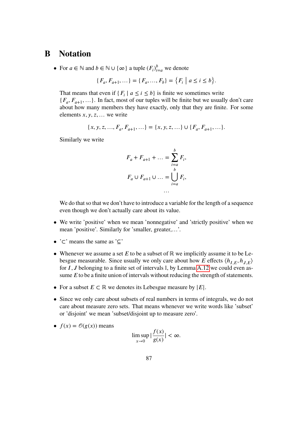## **B Notation**

• For  $a \in \mathbb{N}$  and  $b \in \mathbb{N} \cup \{\infty\}$  a tuple  $(F_i)_{i=a}^b$  we denote

$$
\{F_a, F_{a+1}, \ldots\} = \{F_a, \ldots, F_b\} = \{F_i \mid a \le i \le b\}.
$$

That means that even if  $\{F_i \mid a \le i \le b\}$  is finite we sometimes write  $\{F_a, F_{a+1}, \ldots\}$ . In fact, most of our tuples will be finite but we usually don't care about how many members they have exactly, only that they are finite. For some elements  $x, y, z, \ldots$  we write

$$
\{x, y, z, ..., F_a, F_{a+1}, ... \} = \{x, y, z, ... \} \cup \{F_a, F_{a+1}, ... \}.
$$

Similarly we write

$$
F_a + F_{a+1} + \dots = \sum_{i=a}^{b} F_i,
$$
  

$$
F_a \cup F_{a+1} \cup \dots = \bigcup_{i=a}^{b} F_i,
$$
  

$$
\dots
$$

We do that so that we don't have to introduce a variable for the length of a sequence even though we don't actually care about its value.

- We write 'positive' when we mean 'nonnegative' and 'strictly positive' when we mean 'positive'. Similarly for 'smaller, greater,…'.
- '⊂' means the same as '⊆'
- Whenever we assume a set  $E$  to be a subset of  $\mathbb R$  we implicitly assume it to be Lebesgue measurable. Since usually we only care about how E effects  $\langle h_{LE}, h_{LE} \rangle$ for  $I, J$  belonging to a finite set of intervals  $\mathbb{I}$ , by Lemma [A.12](#page-73-0) we could even assume  $E$  to be a finite union of intervals without reducing the strength of statements.
- For a subset  $E \subset \mathbb{R}$  we denotes its Lebesgue measure by  $|E|$ .
- Since we only care about subsets of real numbers in terms of integrals, we do not care about measure zero sets. That means whenever we write words like 'subset' or 'disjoint' we mean 'subset/disjoint up to measure zero'.

• 
$$
f(x) = \mathcal{O}(g(x))
$$
 means

$$
\limsup_{x\to 0} |\frac{f(x)}{g(x)}| < \infty.
$$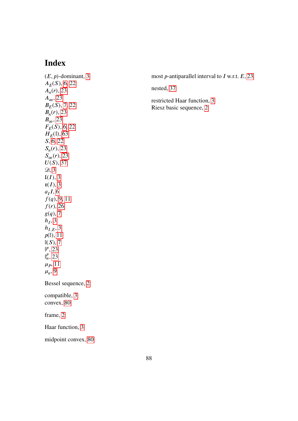# **Index**

 $(E, p)$ -dominant, [3](#page-4-0)  $A_E(S)$ , [6,](#page-7-0) [22](#page-23-0)  $A_n(r)$ , [23](#page-24-0)  $A_{\infty}$ , [23](#page-24-0)  $B_E(S)$ , [7,](#page-8-0) [22](#page-23-0)  $B_n(r)$ , [23](#page-24-0)  $B_{\infty}$ , [23](#page-24-0)  $F_E(S)$ , [6,](#page-7-0) [22](#page-23-0)  $H_E(\mathbb{I}), 63$  $H_E(\mathbb{I}), 63$ S, [6,](#page-7-0) [22](#page-23-0)  $S_n(r)$ , [23](#page-24-0)  $S_{\infty}(r)$ , [23](#page-24-0)  $\widetilde{U(S)}$ , [37](#page-38-0)  $\mathcal{D}, 3$  $\mathcal{D}, 3$  $\mathfrak{l}(I), 3$  $\mathfrak{l}(I), 3$  $\mathfrak{r}(I), 3$  $\mathfrak{r}(I), 3$  $a_I I$ , [6](#page-7-0)  $f(q)$ , [9,](#page-10-0) [11](#page-12-0)  $f(r)$ , [26](#page-27-0)  $g(q)$ , [7](#page-8-0)  $h_I$ , [3](#page-4-0)  $h_{I,E}$ , [3](#page-4-0)  $p(\mathbb{I}), 11$  $p(\mathbb{I}), 11$  $\mathbb{I}(S), 7$  $\mathbb{I}(S), 7$  $\mathbb{I}^p$ , [23](#page-24-0)  $\mathbb{I}_n^p$  $_{n}^{\nu}$ , [23](#page-24-0)  $\mu_P$ , [11](#page-12-0)  $\mu_n$ , [9](#page-10-0) Bessel sequence, [2](#page-3-0) compatible, [3](#page-4-0) convex, [80](#page-81-1) frame, [2](#page-3-0) Haar function, [3](#page-4-0) midpoint convex, [80](#page-81-1) most *p*-antiparallel interval to  $I$  w.r.t.  $E$ , [23](#page-24-0) nested, [37](#page-38-0) restricted Haar function, [3](#page-4-0) Riesz basic sequence, [2](#page-3-0)